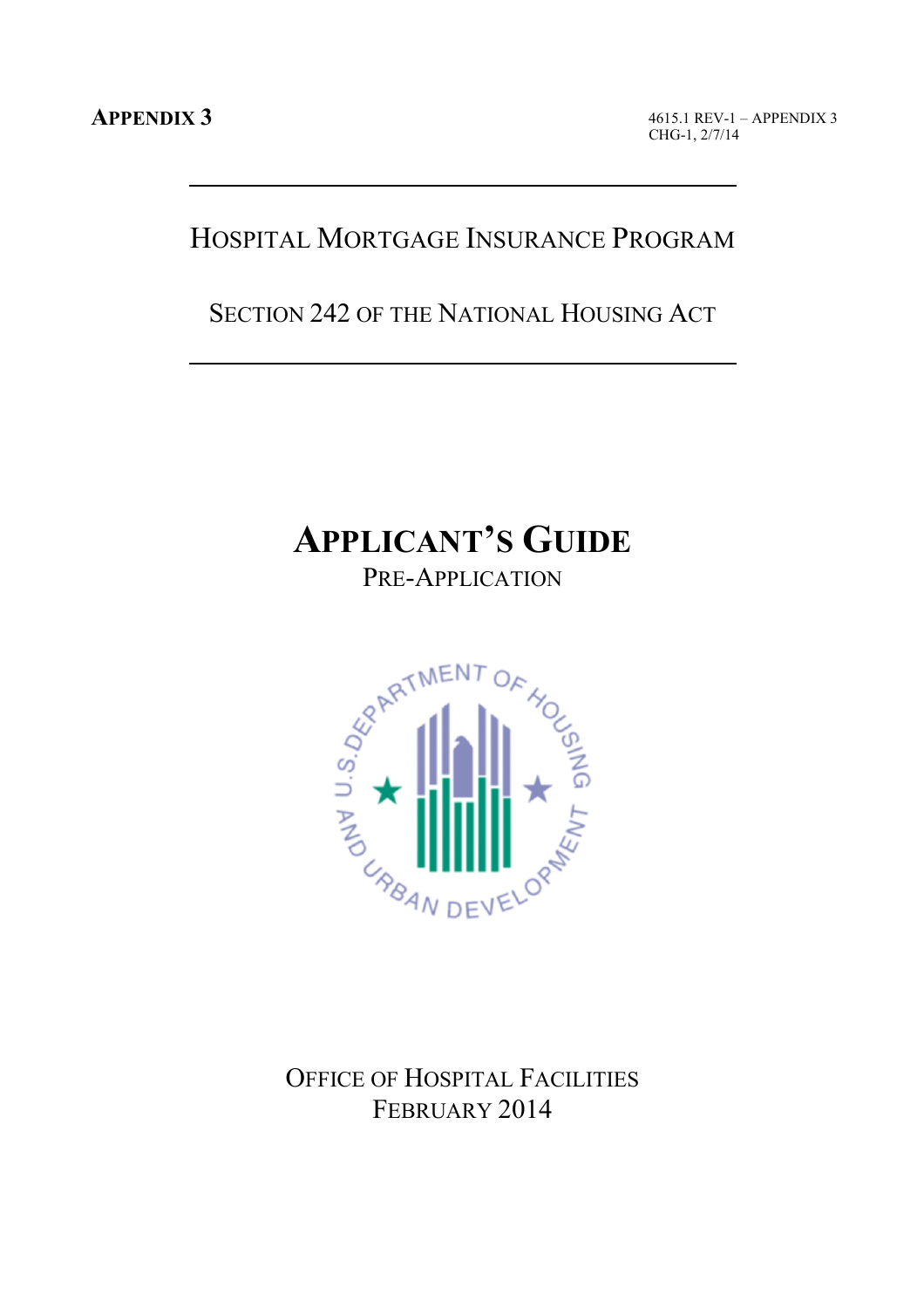4615.1 REV-1 – APPENDIX 3 CHG-1, 2/7/14

# HOSPITAL MORTGAGE INSURANCE PROGRAM

SECTION 242 OF THE NATIONAL HOUSING ACT

# **APPLICANT'S GUIDE** PRE-APPLICATION



OFFICE OF HOSPITAL FACILITIES FEBRUARY 2014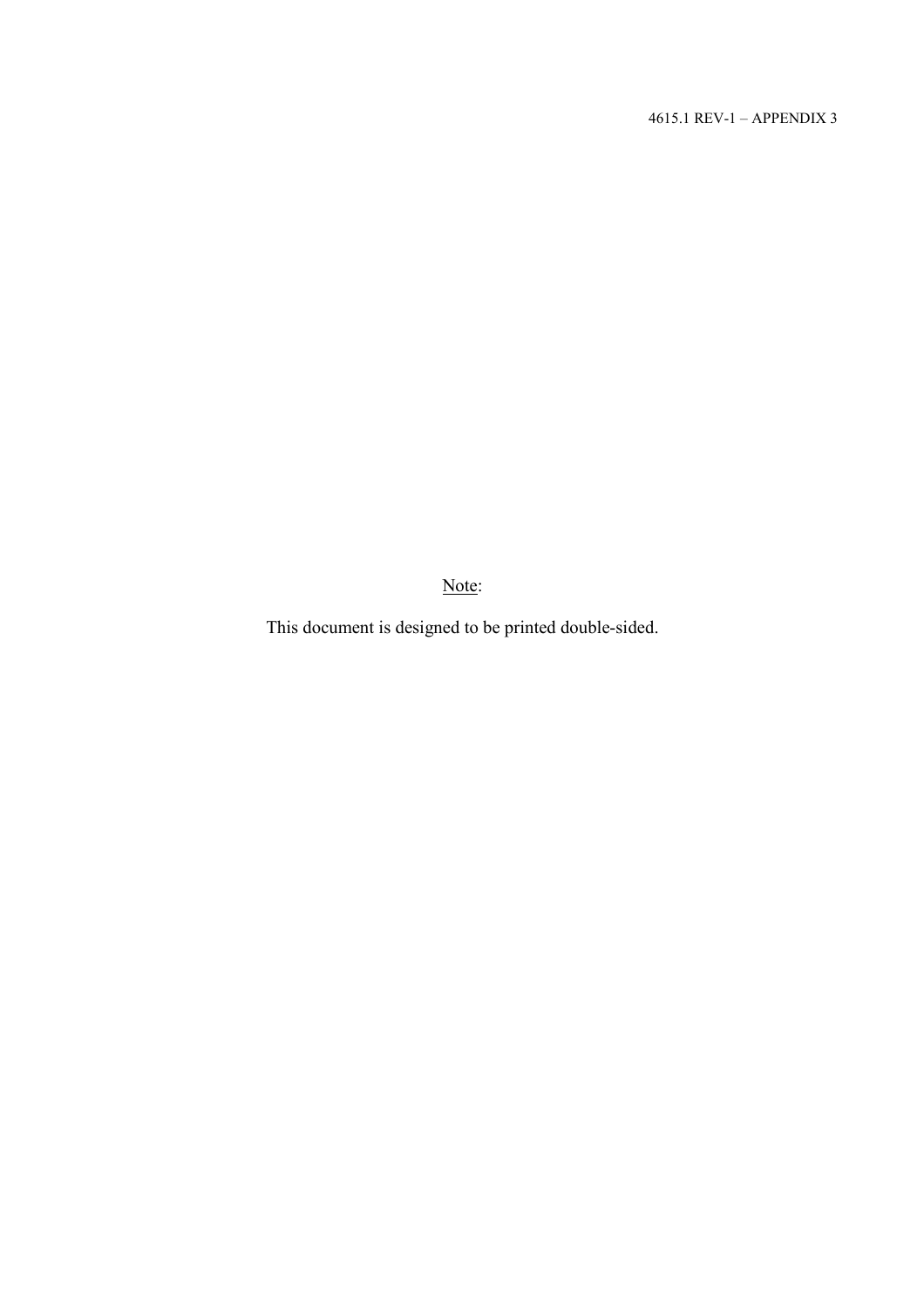Note:

This document is designed to be printed double-sided.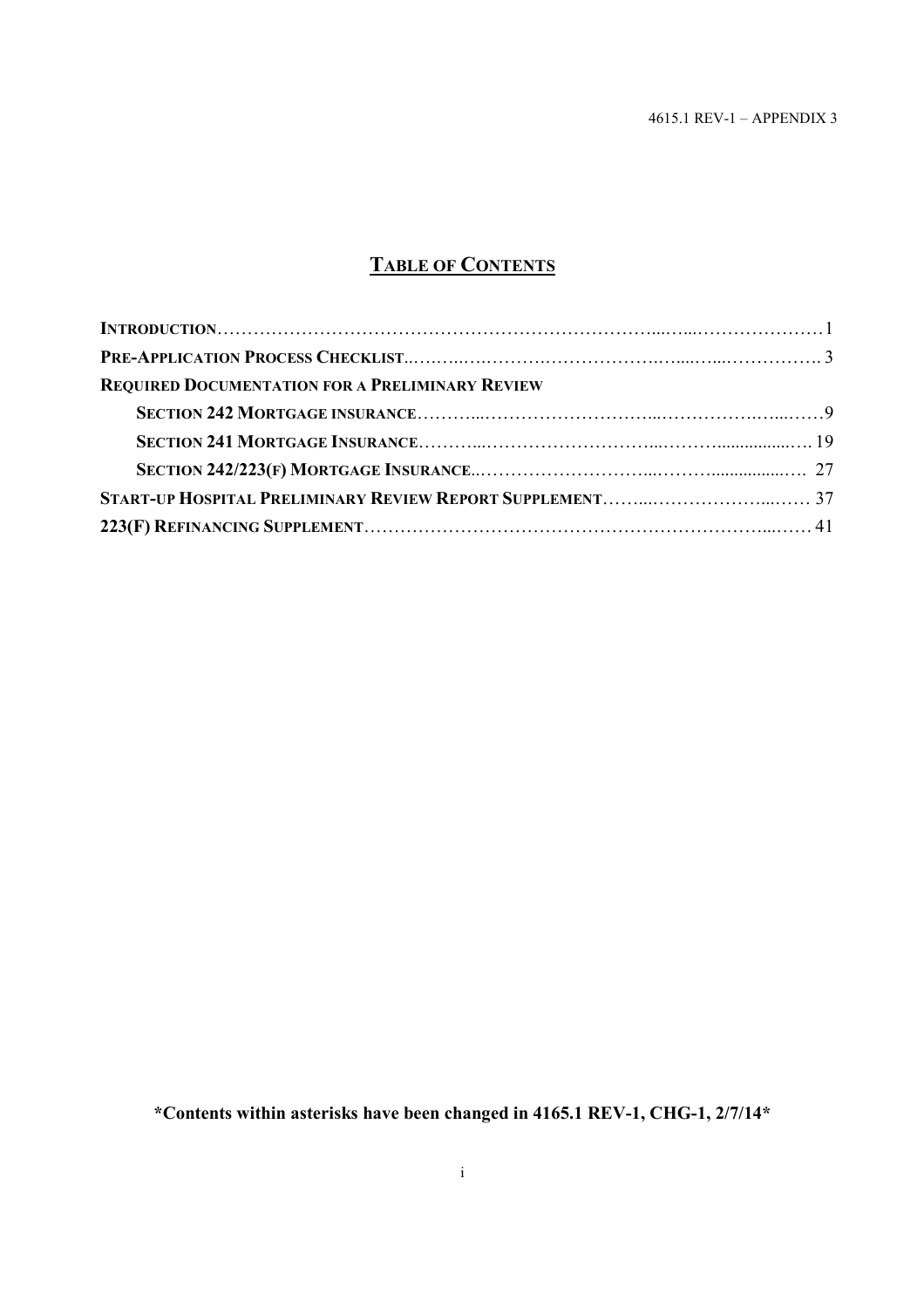# **TABLE OF CONTENTS**

| <b>REQUIRED DOCUMENTATION FOR A PRELIMINARY REVIEW</b> |  |
|--------------------------------------------------------|--|
|                                                        |  |
|                                                        |  |
|                                                        |  |
|                                                        |  |
|                                                        |  |

**\*Contents within asterisks have been changed in 4165.1 REV-1, CHG-1, 2/7/14\***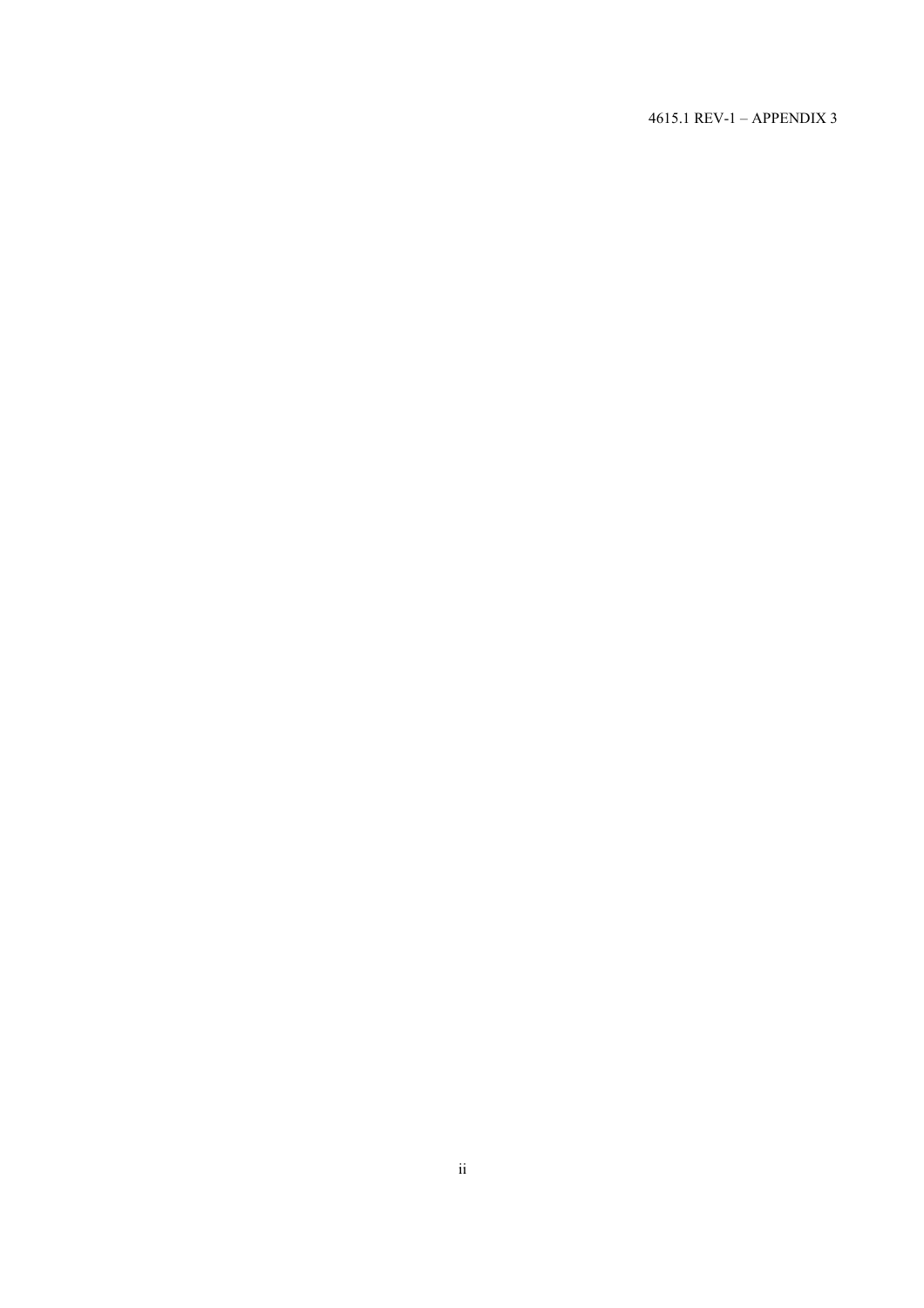#### 4615.1 REV-1 – APPENDIX 3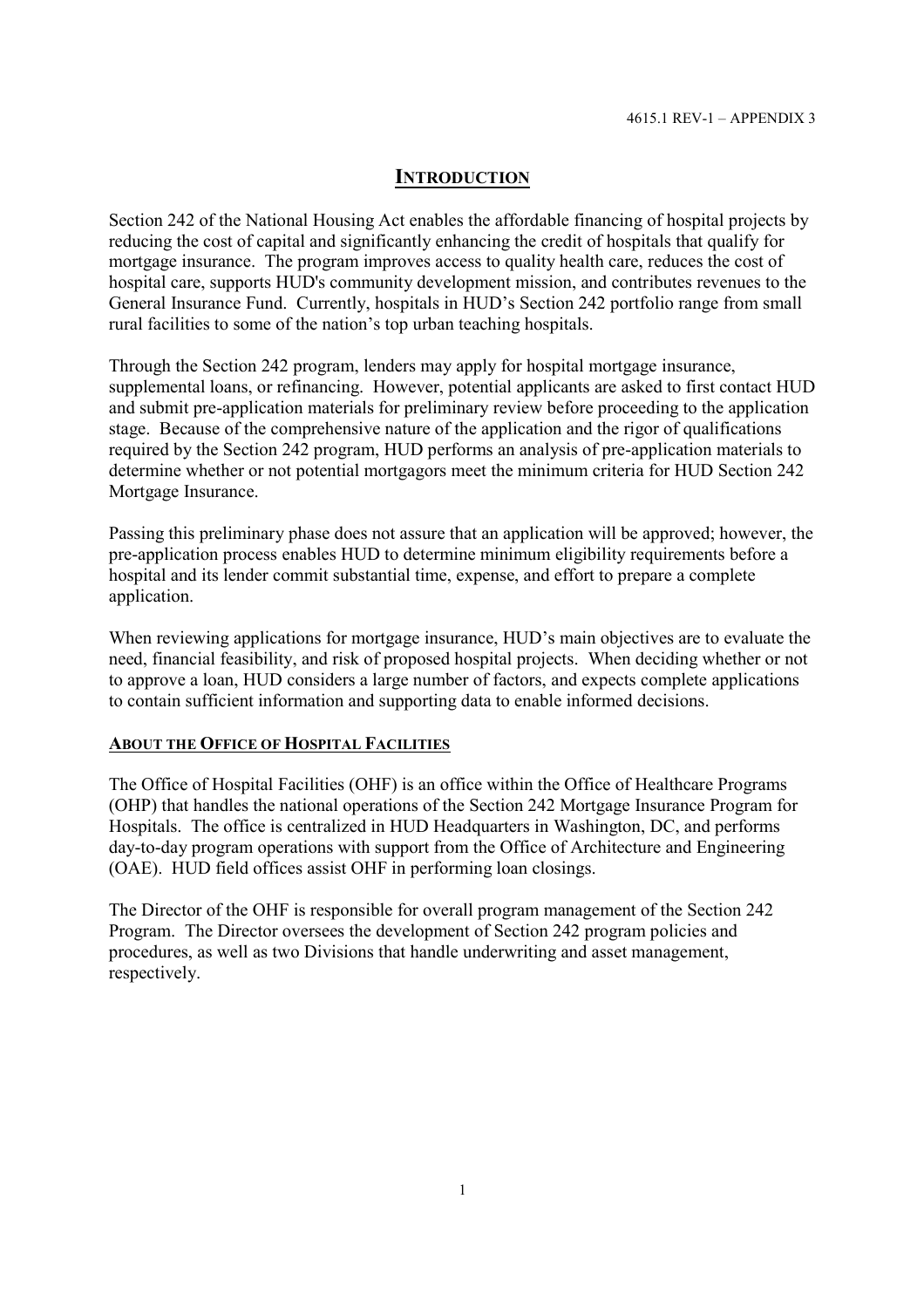# **INTRODUCTION**

Section 242 of the National Housing Act enables the affordable financing of hospital projects by reducing the cost of capital and significantly enhancing the credit of hospitals that qualify for mortgage insurance. The program improves access to quality health care, reduces the cost of hospital care, supports HUD's community development mission, and contributes revenues to the General Insurance Fund. Currently, hospitals in HUD's Section 242 portfolio range from small rural facilities to some of the nation's top urban teaching hospitals.

Through the Section 242 program, lenders may apply for hospital mortgage insurance, supplemental loans, or refinancing. However, potential applicants are asked to first contact HUD and submit pre-application materials for preliminary review before proceeding to the application stage. Because of the comprehensive nature of the application and the rigor of qualifications required by the Section 242 program, HUD performs an analysis of pre-application materials to determine whether or not potential mortgagors meet the minimum criteria for HUD Section 242 Mortgage Insurance.

Passing this preliminary phase does not assure that an application will be approved; however, the pre-application process enables HUD to determine minimum eligibility requirements before a hospital and its lender commit substantial time, expense, and effort to prepare a complete application.

When reviewing applications for mortgage insurance, HUD's main objectives are to evaluate the need, financial feasibility, and risk of proposed hospital projects. When deciding whether or not to approve a loan, HUD considers a large number of factors, and expects complete applications to contain sufficient information and supporting data to enable informed decisions.

#### **ABOUT THE OFFICE OF HOSPITAL FACILITIES**

The Office of Hospital Facilities (OHF) is an office within the Office of Healthcare Programs (OHP) that handles the national operations of the Section 242 Mortgage Insurance Program for Hospitals. The office is centralized in HUD Headquarters in Washington, DC, and performs day-to-day program operations with support from the Office of Architecture and Engineering (OAE). HUD field offices assist OHF in performing loan closings.

The Director of the OHF is responsible for overall program management of the Section 242 Program. The Director oversees the development of Section 242 program policies and procedures, as well as two Divisions that handle underwriting and asset management, respectively.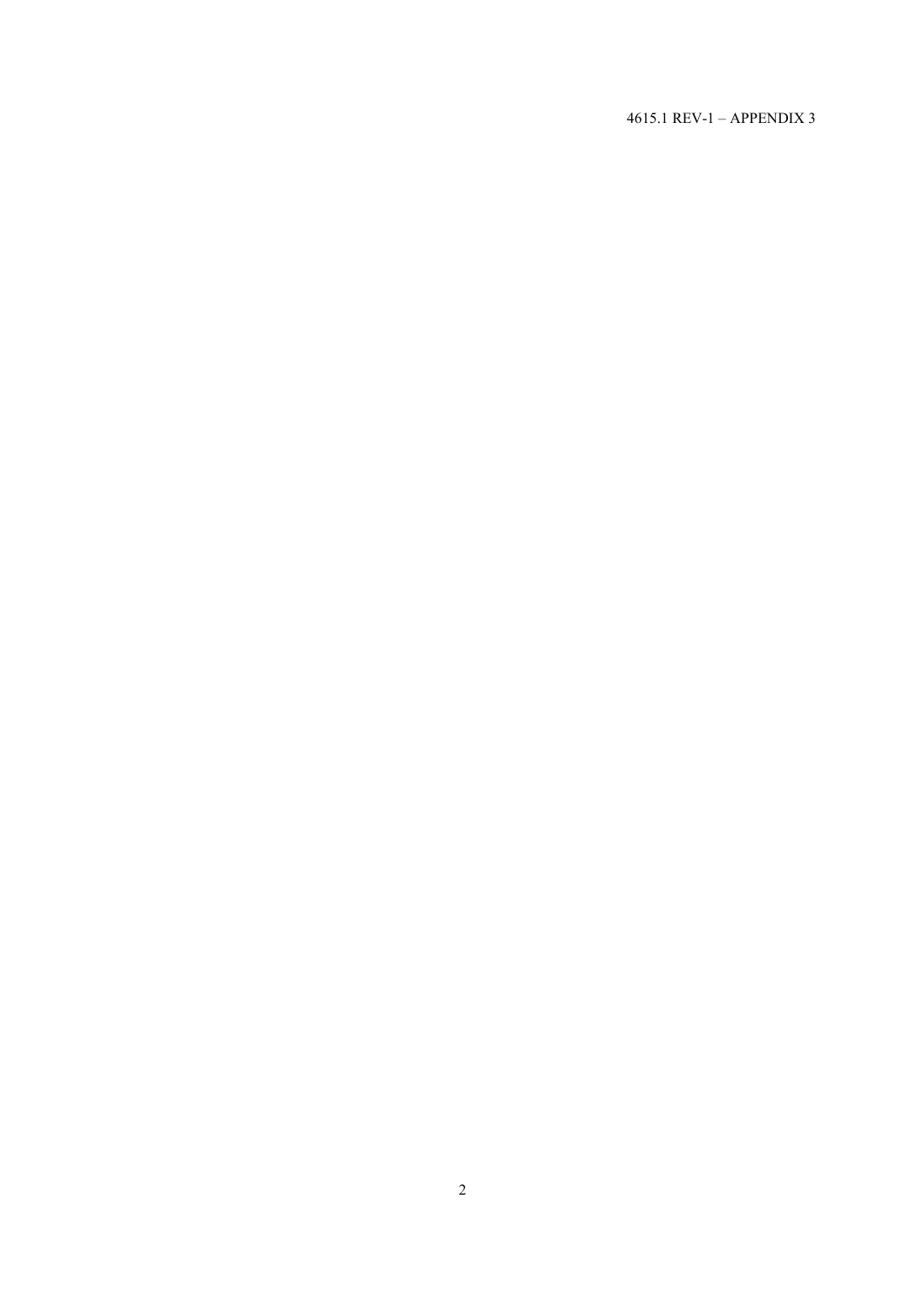#### 4615.1 REV-1 – APPENDIX 3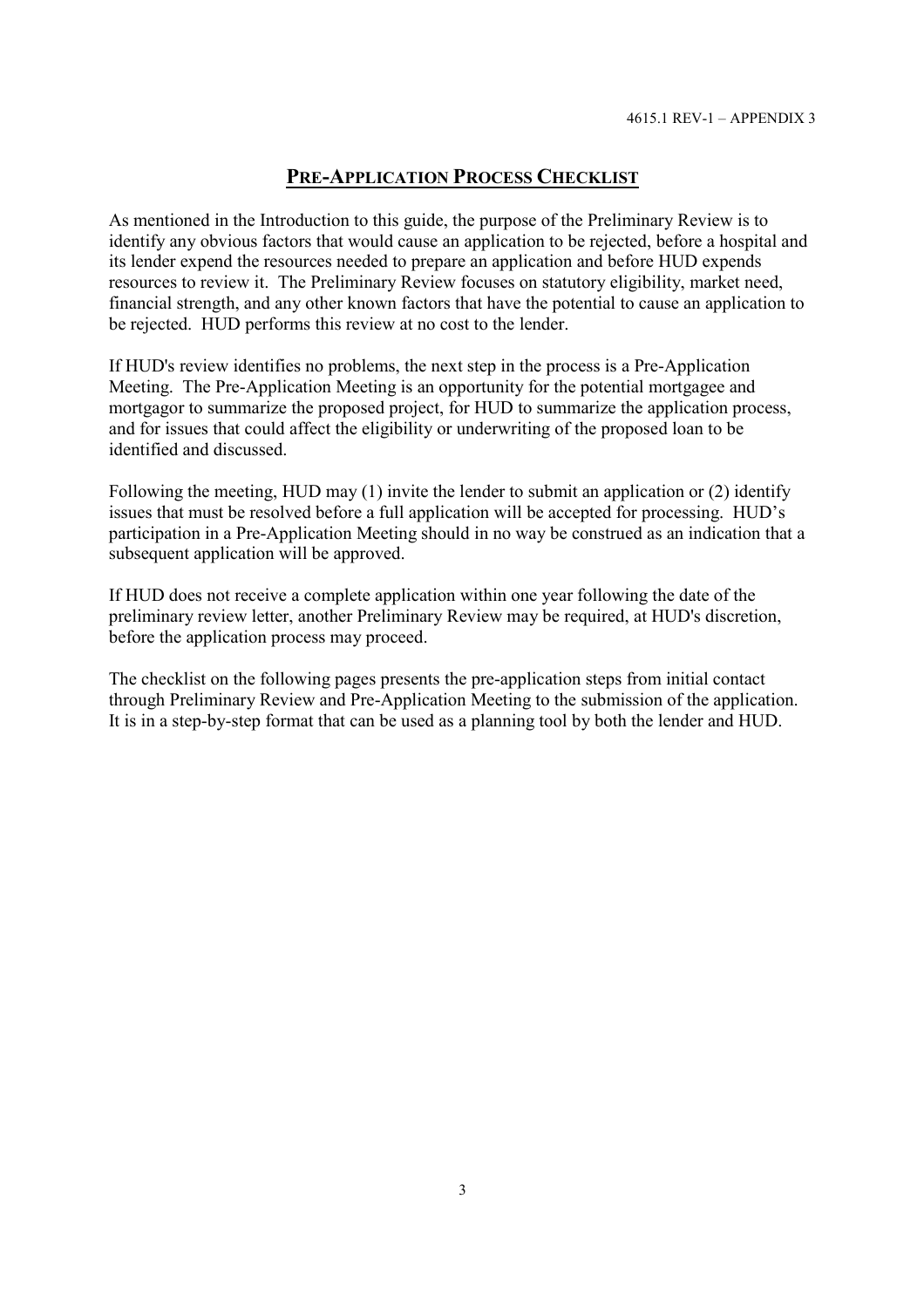## **PRE-APPLICATION PROCESS CHECKLIST**

As mentioned in the Introduction to this guide, the purpose of the Preliminary Review is to identify any obvious factors that would cause an application to be rejected, before a hospital and its lender expend the resources needed to prepare an application and before HUD expends resources to review it. The Preliminary Review focuses on statutory eligibility, market need, financial strength, and any other known factors that have the potential to cause an application to be rejected. HUD performs this review at no cost to the lender.

If HUD's review identifies no problems, the next step in the process is a Pre-Application Meeting. The Pre-Application Meeting is an opportunity for the potential mortgagee and mortgagor to summarize the proposed project, for HUD to summarize the application process, and for issues that could affect the eligibility or underwriting of the proposed loan to be identified and discussed.

Following the meeting, HUD may (1) invite the lender to submit an application or (2) identify issues that must be resolved before a full application will be accepted for processing. HUD's participation in a Pre-Application Meeting should in no way be construed as an indication that a subsequent application will be approved.

If HUD does not receive a complete application within one year following the date of the preliminary review letter, another Preliminary Review may be required, at HUD's discretion, before the application process may proceed.

The checklist on the following pages presents the pre-application steps from initial contact through Preliminary Review and Pre-Application Meeting to the submission of the application. It is in a step-by-step format that can be used as a planning tool by both the lender and HUD.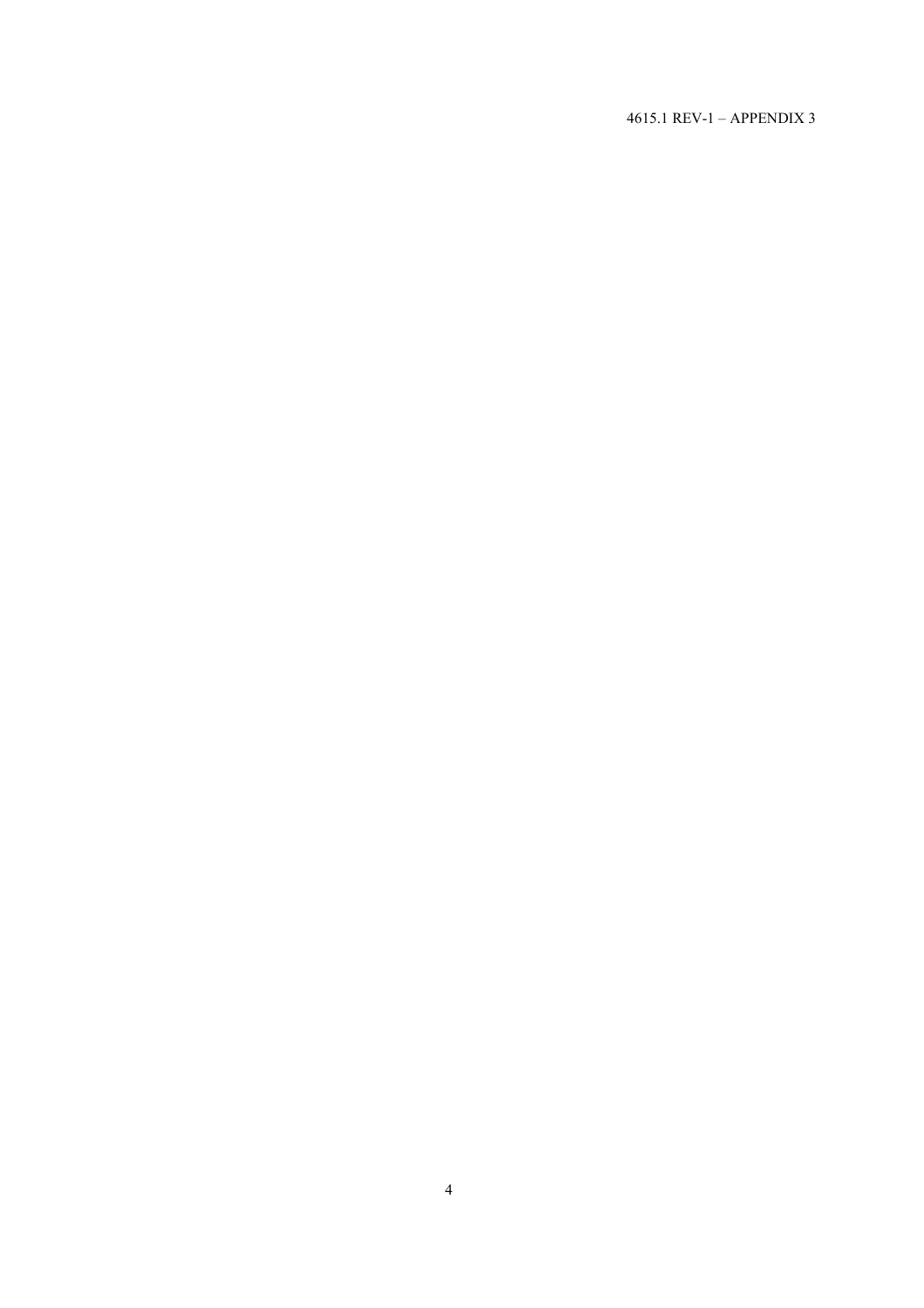#### 4615.1 REV-1 – APPENDIX 3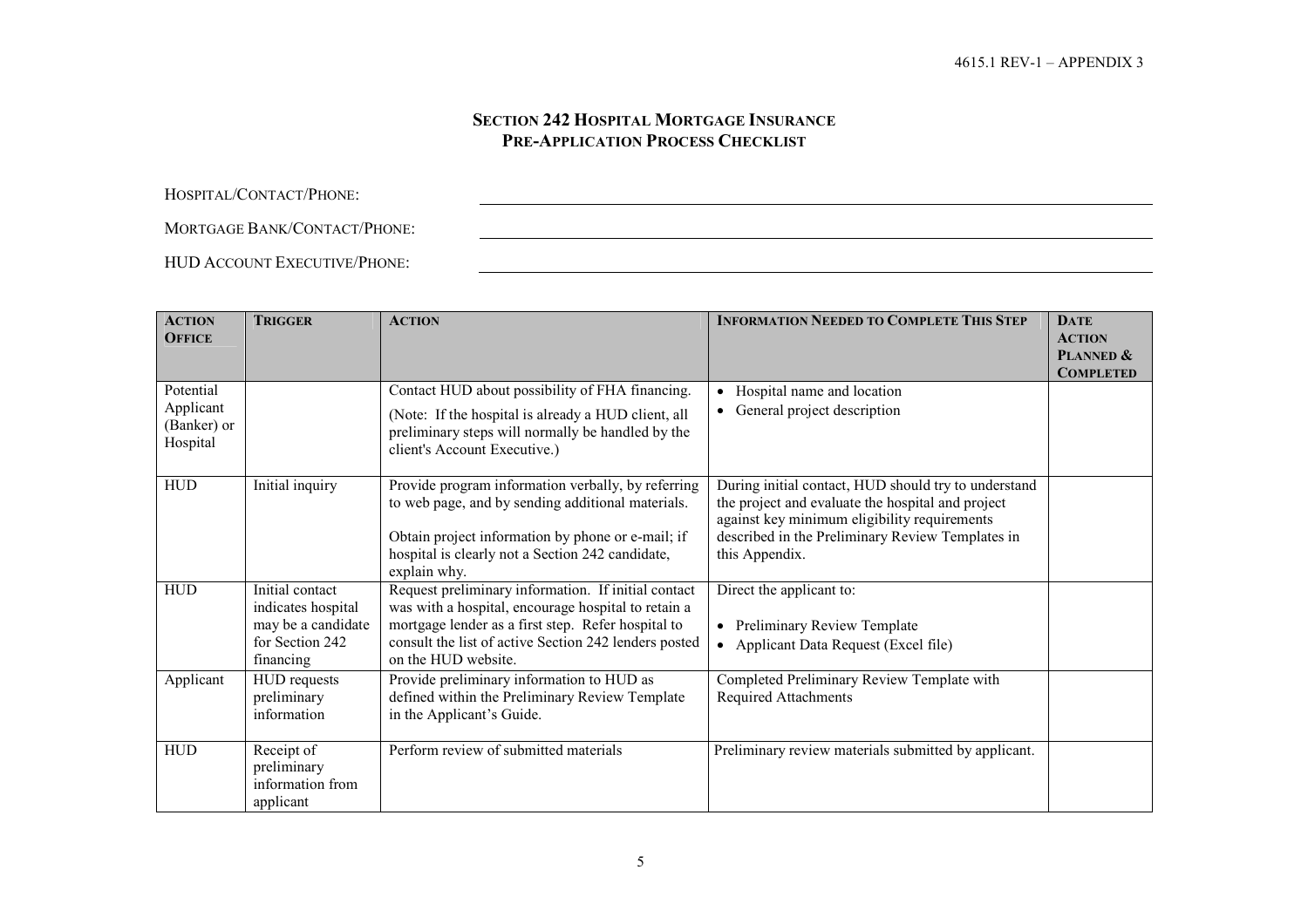#### **SECTION 242 HOSPITAL MORTGAGE INSURANCE PRE-APPLICATION PROCESS CHECKLIST**

HOSPITAL/CONTACT/PHONE:

MORTGAGE BANK/CONTACT/PHONE:

HUD ACCOUNT EXECUTIVE/PHONE:

| <b>ACTION</b><br><b>OFFICE</b>                    | TRIGGER                                                                                     | <b>ACTION</b>                                                                                                                                                                                                                                    | <b>INFORMATION NEEDED TO COMPLETE THIS STEP</b>                                                                                                                                                                                 | <b>DATE</b><br><b>ACTION</b><br><b>PLANNED &amp;</b><br><b>COMPLETED</b> |
|---------------------------------------------------|---------------------------------------------------------------------------------------------|--------------------------------------------------------------------------------------------------------------------------------------------------------------------------------------------------------------------------------------------------|---------------------------------------------------------------------------------------------------------------------------------------------------------------------------------------------------------------------------------|--------------------------------------------------------------------------|
| Potential<br>Applicant<br>(Banker) or<br>Hospital |                                                                                             | Contact HUD about possibility of FHA financing.<br>(Note: If the hospital is already a HUD client, all<br>preliminary steps will normally be handled by the<br>client's Account Executive.)                                                      | Hospital name and location<br>$\bullet$<br>General project description                                                                                                                                                          |                                                                          |
| <b>HUD</b>                                        | Initial inquiry                                                                             | Provide program information verbally, by referring<br>to web page, and by sending additional materials.<br>Obtain project information by phone or e-mail; if<br>hospital is clearly not a Section 242 candidate,<br>explain why.                 | During initial contact, HUD should try to understand<br>the project and evaluate the hospital and project<br>against key minimum eligibility requirements<br>described in the Preliminary Review Templates in<br>this Appendix. |                                                                          |
| ${\rm HUD}$                                       | Initial contact<br>indicates hospital<br>may be a candidate<br>for Section 242<br>financing | Request preliminary information. If initial contact<br>was with a hospital, encourage hospital to retain a<br>mortgage lender as a first step. Refer hospital to<br>consult the list of active Section 242 lenders posted<br>on the HUD website. | Direct the applicant to:<br>• Preliminary Review Template<br>Applicant Data Request (Excel file)<br>$\bullet$                                                                                                                   |                                                                          |
| Applicant                                         | HUD requests<br>preliminary<br>information                                                  | Provide preliminary information to HUD as<br>defined within the Preliminary Review Template<br>in the Applicant's Guide.                                                                                                                         | Completed Preliminary Review Template with<br><b>Required Attachments</b>                                                                                                                                                       |                                                                          |
| <b>HUD</b>                                        | Receipt of<br>preliminary<br>information from<br>applicant                                  | Perform review of submitted materials                                                                                                                                                                                                            | Preliminary review materials submitted by applicant.                                                                                                                                                                            |                                                                          |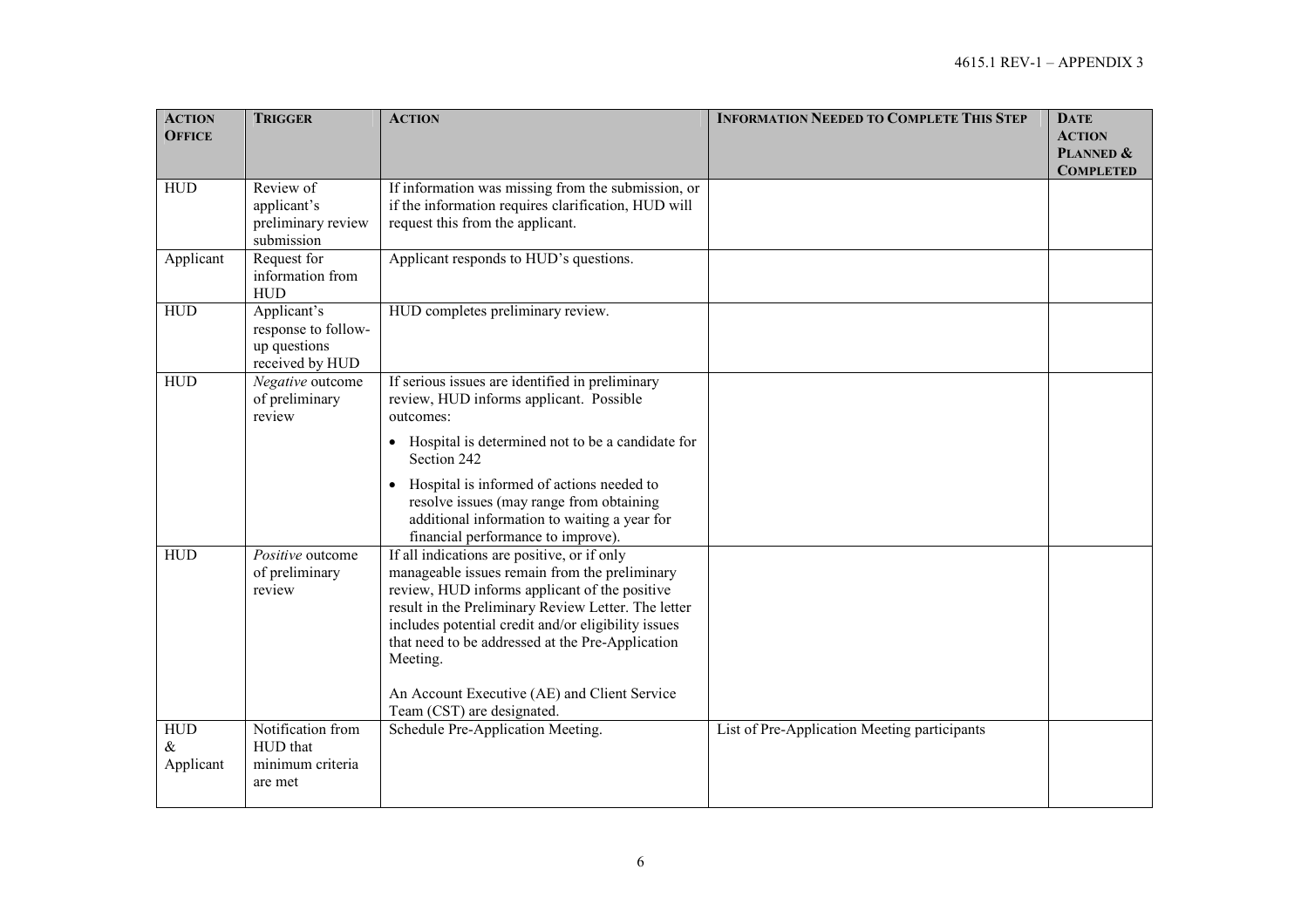| <b>ACTION</b><br><b>OFFICE</b> | <b>TRIGGER</b>                                                        | <b>ACTION</b>                                                                                                                                                                                                                                                                                                               | <b>INFORMATION NEEDED TO COMPLETE THIS STEP</b> | <b>DATE</b><br><b>ACTION</b>  |
|--------------------------------|-----------------------------------------------------------------------|-----------------------------------------------------------------------------------------------------------------------------------------------------------------------------------------------------------------------------------------------------------------------------------------------------------------------------|-------------------------------------------------|-------------------------------|
|                                |                                                                       |                                                                                                                                                                                                                                                                                                                             |                                                 | PLANNED &<br><b>COMPLETED</b> |
| ${\rm HUD}$                    | Review of<br>applicant's<br>preliminary review<br>submission          | If information was missing from the submission, or<br>if the information requires clarification, HUD will<br>request this from the applicant.                                                                                                                                                                               |                                                 |                               |
| Applicant                      | Request for<br>information from<br><b>HUD</b>                         | Applicant responds to HUD's questions.                                                                                                                                                                                                                                                                                      |                                                 |                               |
| <b>HUD</b>                     | Applicant's<br>response to follow-<br>up questions<br>received by HUD | HUD completes preliminary review.                                                                                                                                                                                                                                                                                           |                                                 |                               |
| ${\rm HUD}$                    | Negative outcome<br>of preliminary<br>review                          | If serious issues are identified in preliminary<br>review, HUD informs applicant. Possible<br>outcomes:                                                                                                                                                                                                                     |                                                 |                               |
|                                |                                                                       | • Hospital is determined not to be a candidate for<br>Section 242                                                                                                                                                                                                                                                           |                                                 |                               |
|                                |                                                                       | Hospital is informed of actions needed to<br>$\bullet$<br>resolve issues (may range from obtaining<br>additional information to waiting a year for<br>financial performance to improve).                                                                                                                                    |                                                 |                               |
| ${\rm HUD}$                    | Positive outcome<br>of preliminary<br>review                          | If all indications are positive, or if only<br>manageable issues remain from the preliminary<br>review, HUD informs applicant of the positive<br>result in the Preliminary Review Letter. The letter<br>includes potential credit and/or eligibility issues<br>that need to be addressed at the Pre-Application<br>Meeting. |                                                 |                               |
|                                |                                                                       | An Account Executive (AE) and Client Service<br>Team (CST) are designated.                                                                                                                                                                                                                                                  |                                                 |                               |
| ${\rm HUD}$<br>&<br>Applicant  | Notification from<br>HUD that<br>minimum criteria<br>are met          | Schedule Pre-Application Meeting.                                                                                                                                                                                                                                                                                           | List of Pre-Application Meeting participants    |                               |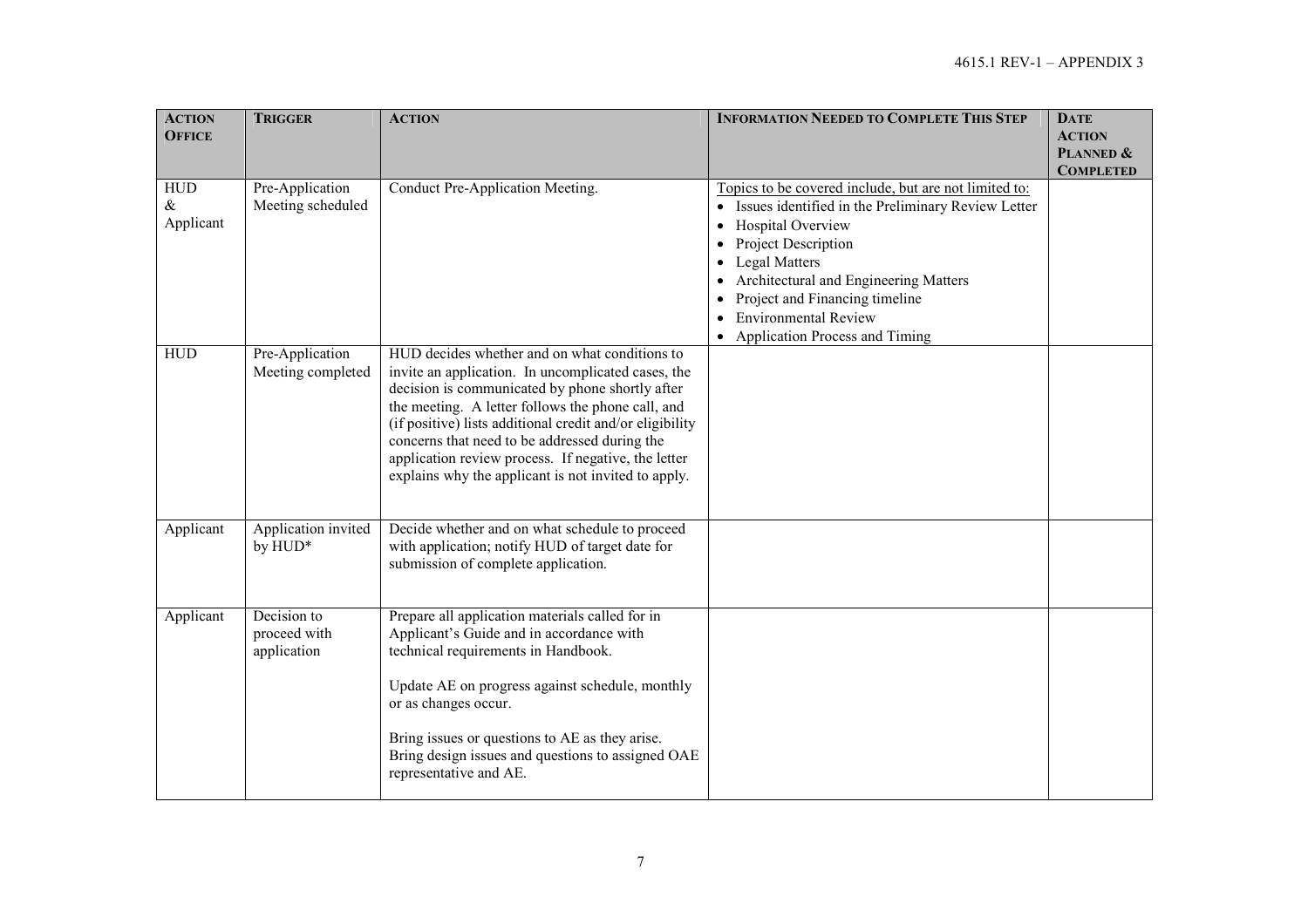| <b>ACTION</b><br><b>OFFICE</b>  | <b>TRIGGER</b>                             | <b>ACTION</b>                                                                                                                                                                                                                                                                                                                                                                                                                          | <b>INFORMATION NEEDED TO COMPLETE THIS STEP</b>                                                                                                                                                                                                                                                                                                                                                | <b>DATE</b><br><b>ACTION</b><br>PLANNED & |
|---------------------------------|--------------------------------------------|----------------------------------------------------------------------------------------------------------------------------------------------------------------------------------------------------------------------------------------------------------------------------------------------------------------------------------------------------------------------------------------------------------------------------------------|------------------------------------------------------------------------------------------------------------------------------------------------------------------------------------------------------------------------------------------------------------------------------------------------------------------------------------------------------------------------------------------------|-------------------------------------------|
| <b>HUD</b><br>$\&$<br>Applicant | Pre-Application<br>Meeting scheduled       | Conduct Pre-Application Meeting.                                                                                                                                                                                                                                                                                                                                                                                                       | Topics to be covered include, but are not limited to:<br>• Issues identified in the Preliminary Review Letter<br>Hospital Overview<br>$\bullet$<br>Project Description<br><b>Legal Matters</b><br>$\bullet$<br>Architectural and Engineering Matters<br>$\bullet$<br>Project and Financing timeline<br><b>Environmental Review</b><br>$\bullet$<br>Application Process and Timing<br>$\bullet$ | <b>COMPLETED</b>                          |
| <b>HUD</b>                      | Pre-Application<br>Meeting completed       | HUD decides whether and on what conditions to<br>invite an application. In uncomplicated cases, the<br>decision is communicated by phone shortly after<br>the meeting. A letter follows the phone call, and<br>(if positive) lists additional credit and/or eligibility<br>concerns that need to be addressed during the<br>application review process. If negative, the letter<br>explains why the applicant is not invited to apply. |                                                                                                                                                                                                                                                                                                                                                                                                |                                           |
| Applicant                       | Application invited<br>by HUD*             | Decide whether and on what schedule to proceed<br>with application; notify HUD of target date for<br>submission of complete application.                                                                                                                                                                                                                                                                                               |                                                                                                                                                                                                                                                                                                                                                                                                |                                           |
| Applicant                       | Decision to<br>proceed with<br>application | Prepare all application materials called for in<br>Applicant's Guide and in accordance with<br>technical requirements in Handbook.<br>Update AE on progress against schedule, monthly<br>or as changes occur.<br>Bring issues or questions to AE as they arise.<br>Bring design issues and questions to assigned OAE<br>representative and AE.                                                                                         |                                                                                                                                                                                                                                                                                                                                                                                                |                                           |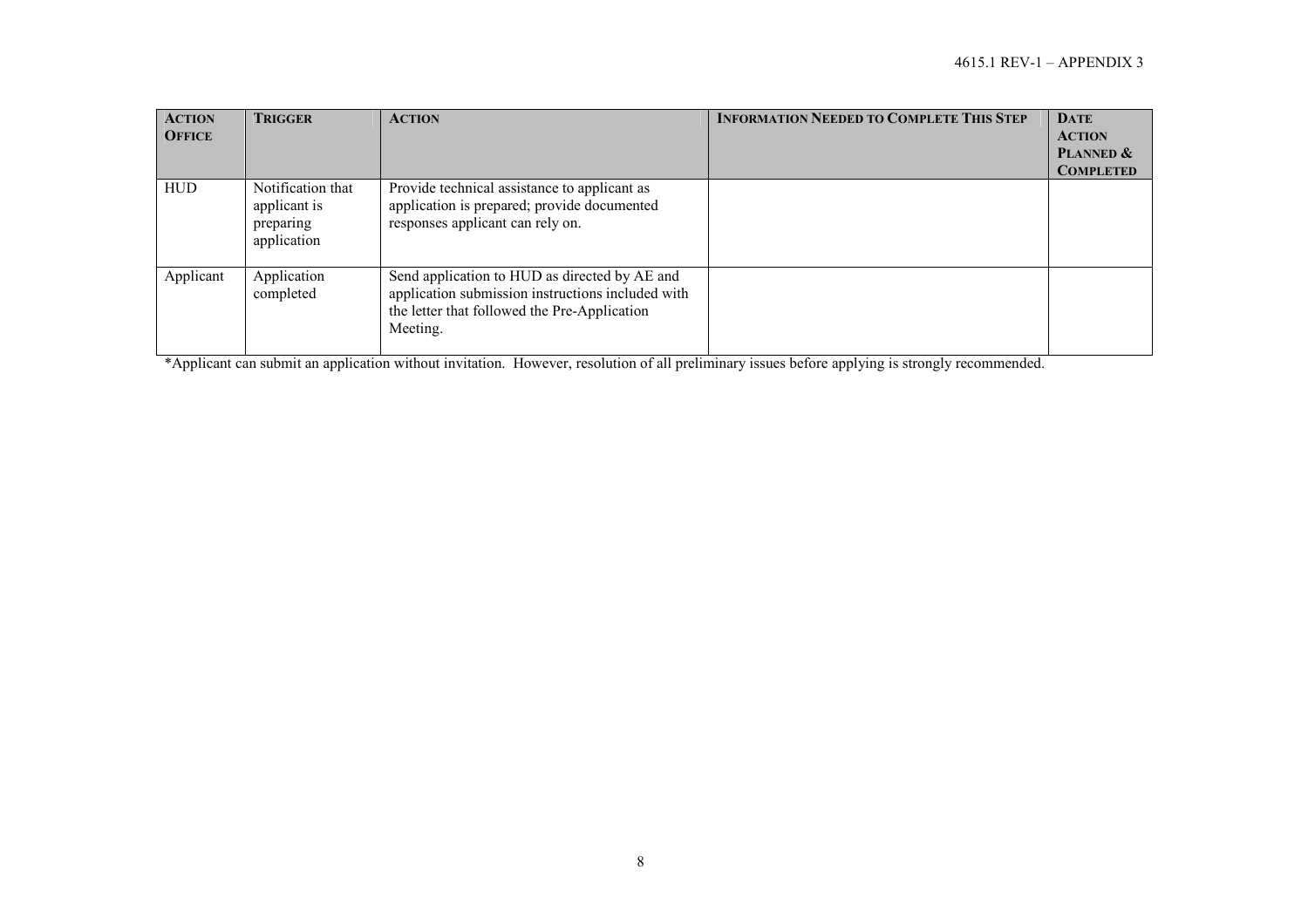| <b>ACTION</b><br><b>OFFICE</b> | TRIGGER                                                       | <b>ACTION</b>                                                                                                                                                  | <b>INFORMATION NEEDED TO COMPLETE THIS STEP</b> | <b>DATE</b><br><b>ACTION</b><br><b>PLANNED &amp;</b><br><b>COMPLETED</b> |
|--------------------------------|---------------------------------------------------------------|----------------------------------------------------------------------------------------------------------------------------------------------------------------|-------------------------------------------------|--------------------------------------------------------------------------|
| <b>HUD</b>                     | Notification that<br>applicant is<br>preparing<br>application | Provide technical assistance to applicant as<br>application is prepared; provide documented<br>responses applicant can rely on.                                |                                                 |                                                                          |
| Applicant                      | Application<br>completed                                      | Send application to HUD as directed by AE and<br>application submission instructions included with<br>the letter that followed the Pre-Application<br>Meeting. |                                                 |                                                                          |

\*Applicant can submit an application without invitation. However, resolution of all preliminary issues before applying is strongly recommended.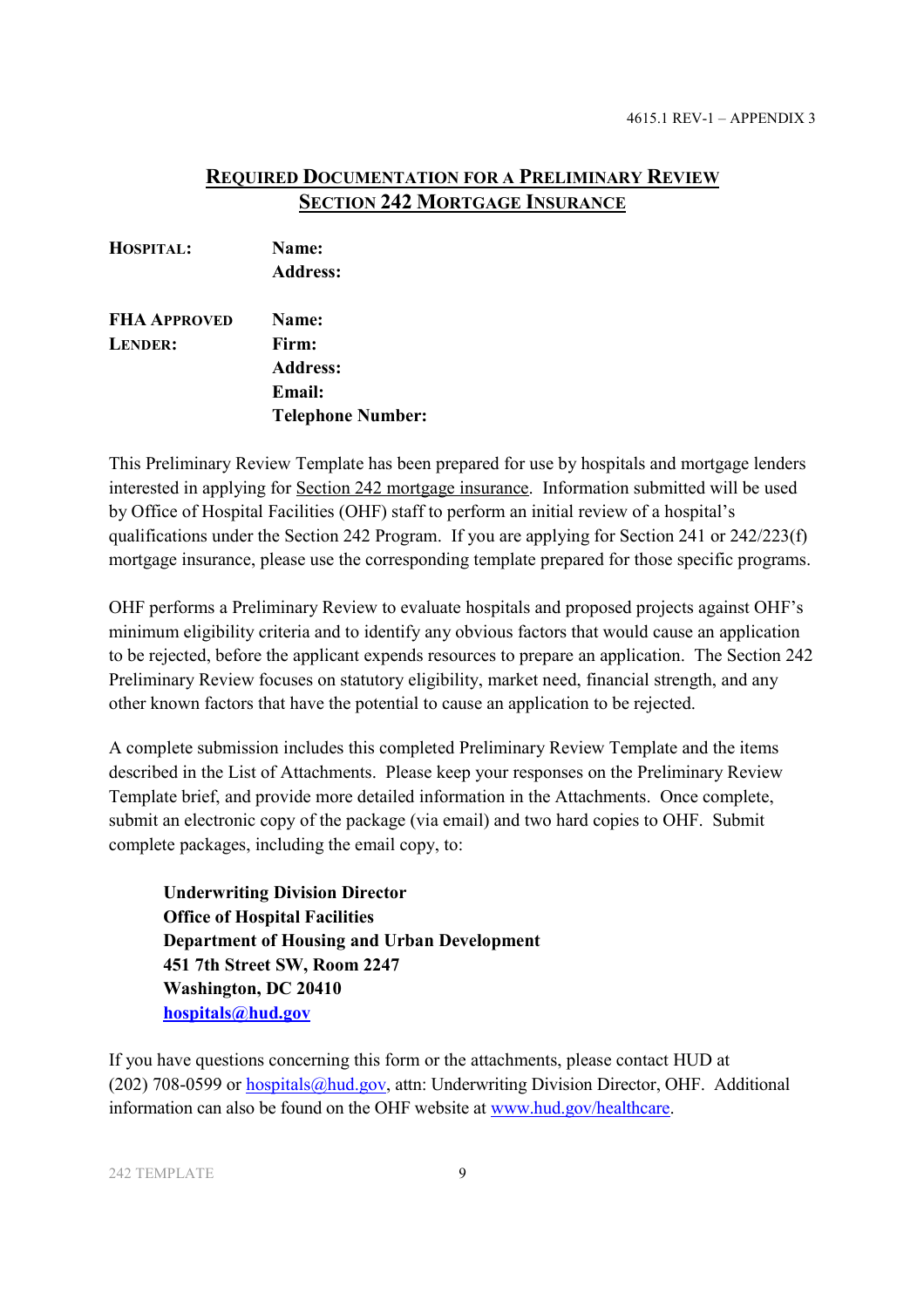# **REQUIRED DOCUMENTATION FOR A PRELIMINARY REVIEW SECTION 242 MORTGAGE INSURANCE**

| HOSPITAL:           | Name:                    |
|---------------------|--------------------------|
|                     | <b>Address:</b>          |
| <b>FHA APPROVED</b> | Name:                    |
| LENDER:             | Firm:                    |
|                     | <b>Address:</b>          |
|                     | Email:                   |
|                     | <b>Telephone Number:</b> |

This Preliminary Review Template has been prepared for use by hospitals and mortgage lenders interested in applying for Section 242 mortgage insurance. Information submitted will be used by Office of Hospital Facilities (OHF) staff to perform an initial review of a hospital's qualifications under the Section 242 Program. If you are applying for Section 241 or 242/223(f) mortgage insurance, please use the corresponding template prepared for those specific programs.

OHF performs a Preliminary Review to evaluate hospitals and proposed projects against OHF's minimum eligibility criteria and to identify any obvious factors that would cause an application to be rejected, before the applicant expends resources to prepare an application. The Section 242 Preliminary Review focuses on statutory eligibility, market need, financial strength, and any other known factors that have the potential to cause an application to be rejected.

A complete submission includes this completed Preliminary Review Template and the items described in the List of Attachments. Please keep your responses on the Preliminary Review Template brief, and provide more detailed information in the Attachments. Once complete, submit an electronic copy of the package (via email) and two hard copies to OHF. Submit complete packages, including the email copy, to:

**Underwriting Division Director Office of Hospital Facilities Department of Housing and Urban Development 451 7th Street SW, Room 2247 Washington, DC 20410 hospitals@hud.gov**

If you have questions concerning this form or the attachments, please contact HUD at (202) 708-0599 or hospitals@hud.gov, attn: Underwriting Division Director, OHF. Additional information can also be found on the OHF website at www.hud.gov/healthcare.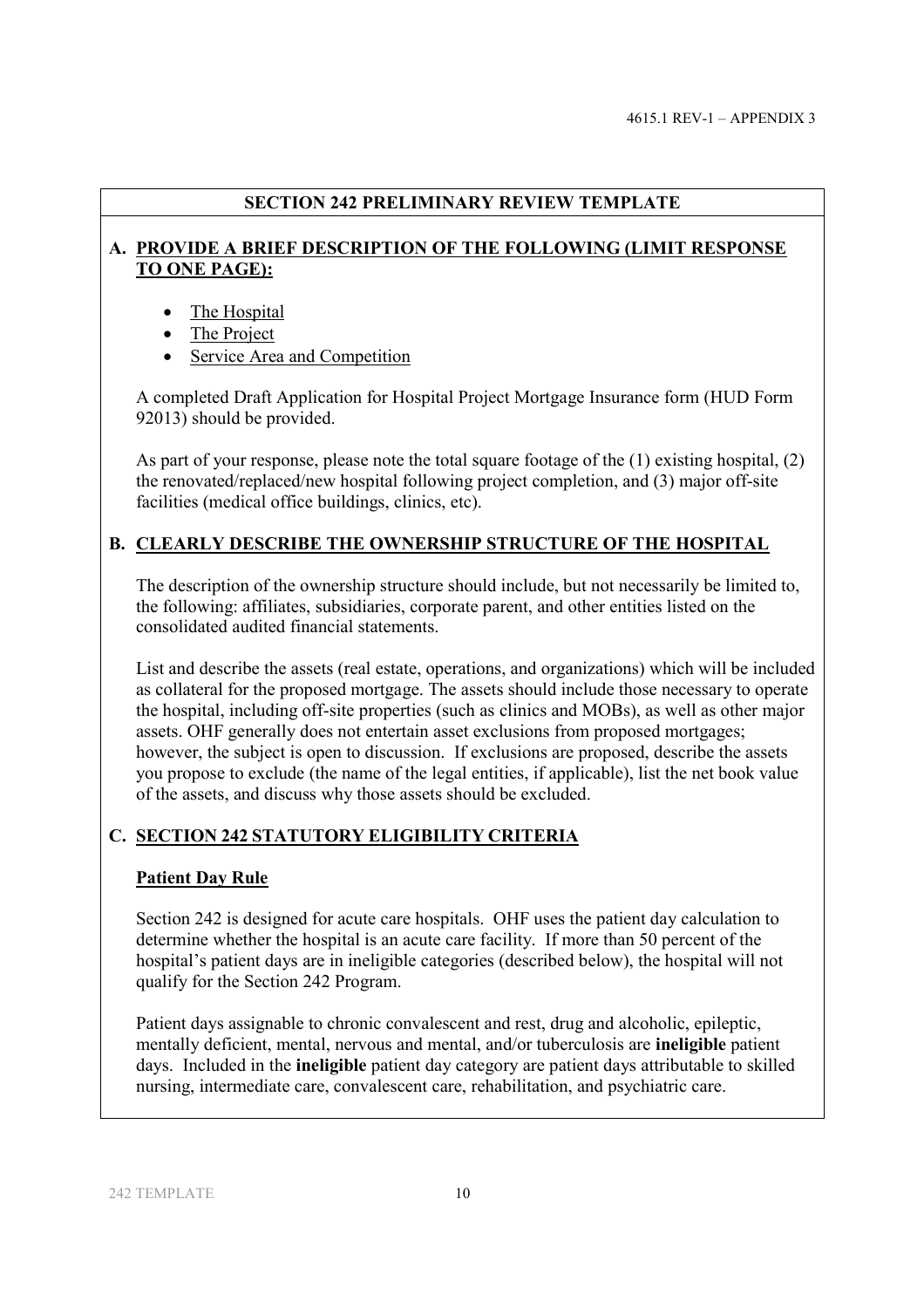# **SECTION 242 PRELIMINARY REVIEW TEMPLATE**

## **A. PROVIDE A BRIEF DESCRIPTION OF THE FOLLOWING (LIMIT RESPONSE TO ONE PAGE):**

- The Hospital
- The Project
- Service Area and Competition

A completed Draft Application for Hospital Project Mortgage Insurance form (HUD Form 92013) should be provided.

As part of your response, please note the total square footage of the (1) existing hospital, (2) the renovated/replaced/new hospital following project completion, and (3) major off-site facilities (medical office buildings, clinics, etc).

# **B. CLEARLY DESCRIBE THE OWNERSHIP STRUCTURE OF THE HOSPITAL**

The description of the ownership structure should include, but not necessarily be limited to, the following: affiliates, subsidiaries, corporate parent, and other entities listed on the consolidated audited financial statements.

List and describe the assets (real estate, operations, and organizations) which will be included as collateral for the proposed mortgage. The assets should include those necessary to operate the hospital, including off-site properties (such as clinics and MOBs), as well as other major assets. OHF generally does not entertain asset exclusions from proposed mortgages; however, the subject is open to discussion. If exclusions are proposed, describe the assets you propose to exclude (the name of the legal entities, if applicable), list the net book value of the assets, and discuss why those assets should be excluded.

# **C. SECTION 242 STATUTORY ELIGIBILITY CRITERIA**

# **Patient Day Rule**

Section 242 is designed for acute care hospitals. OHF uses the patient day calculation to determine whether the hospital is an acute care facility. If more than 50 percent of the hospital's patient days are in ineligible categories (described below), the hospital will not qualify for the Section 242 Program.

Patient days assignable to chronic convalescent and rest, drug and alcoholic, epileptic, mentally deficient, mental, nervous and mental, and/or tuberculosis are **ineligible** patient days. Included in the **ineligible** patient day category are patient days attributable to skilled nursing, intermediate care, convalescent care, rehabilitation, and psychiatric care.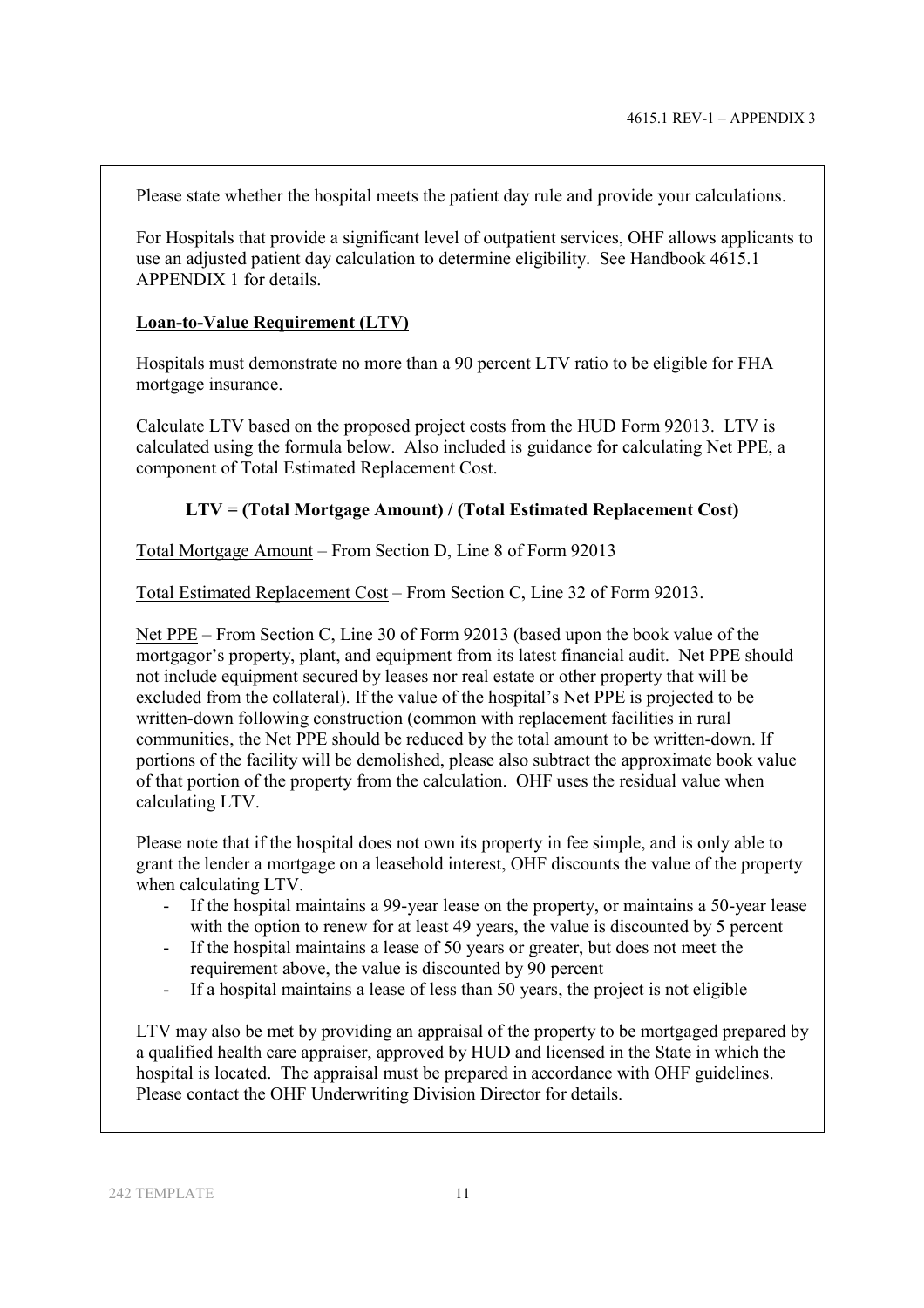Please state whether the hospital meets the patient day rule and provide your calculations.

For Hospitals that provide a significant level of outpatient services, OHF allows applicants to use an adjusted patient day calculation to determine eligibility. See Handbook 4615.1 APPENDIX 1 for details.

# **Loan-to-Value Requirement (LTV)**

Hospitals must demonstrate no more than a 90 percent LTV ratio to be eligible for FHA mortgage insurance.

Calculate LTV based on the proposed project costs from the HUD Form 92013. LTV is calculated using the formula below. Also included is guidance for calculating Net PPE, a component of Total Estimated Replacement Cost.

# **LTV = (Total Mortgage Amount) / (Total Estimated Replacement Cost)**

Total Mortgage Amount – From Section D, Line 8 of Form 92013

Total Estimated Replacement Cost – From Section C, Line 32 of Form 92013.

Net PPE – From Section C, Line 30 of Form 92013 (based upon the book value of the mortgagor's property, plant, and equipment from its latest financial audit. Net PPE should not include equipment secured by leases nor real estate or other property that will be excluded from the collateral). If the value of the hospital's Net PPE is projected to be written-down following construction (common with replacement facilities in rural communities, the Net PPE should be reduced by the total amount to be written-down. If portions of the facility will be demolished, please also subtract the approximate book value of that portion of the property from the calculation. OHF uses the residual value when calculating LTV.

Please note that if the hospital does not own its property in fee simple, and is only able to grant the lender a mortgage on a leasehold interest, OHF discounts the value of the property when calculating LTV.

- If the hospital maintains a 99-year lease on the property, or maintains a 50-year lease with the option to renew for at least 49 years, the value is discounted by 5 percent
- If the hospital maintains a lease of 50 years or greater, but does not meet the requirement above, the value is discounted by 90 percent
- If a hospital maintains a lease of less than 50 years, the project is not eligible

LTV may also be met by providing an appraisal of the property to be mortgaged prepared by a qualified health care appraiser, approved by HUD and licensed in the State in which the hospital is located. The appraisal must be prepared in accordance with OHF guidelines. Please contact the OHF Underwriting Division Director for details.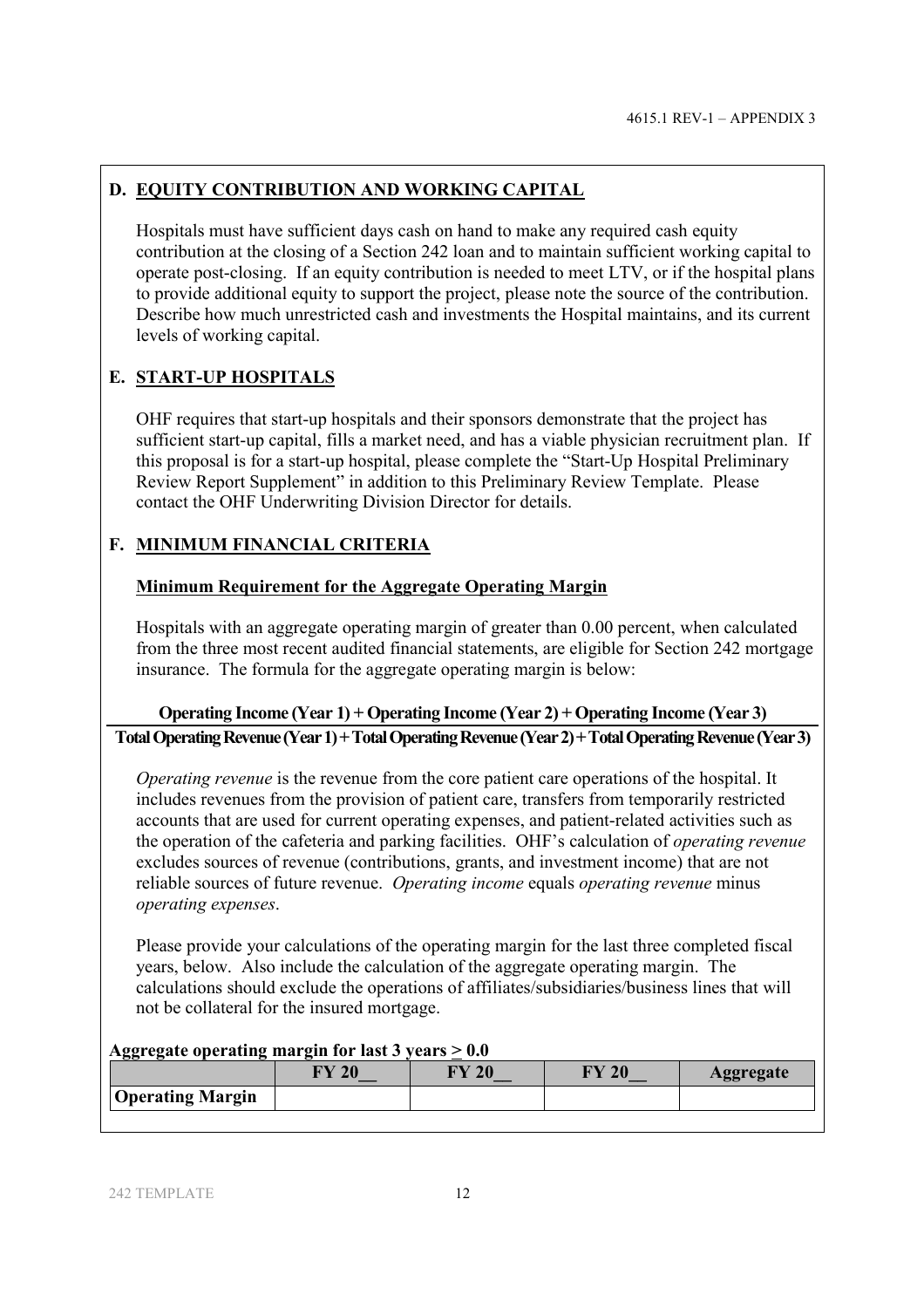# **D. EQUITY CONTRIBUTION AND WORKING CAPITAL**

Hospitals must have sufficient days cash on hand to make any required cash equity contribution at the closing of a Section 242 loan and to maintain sufficient working capital to operate post-closing. If an equity contribution is needed to meet LTV, or if the hospital plans to provide additional equity to support the project, please note the source of the contribution. Describe how much unrestricted cash and investments the Hospital maintains, and its current levels of working capital.

# **E. START-UP HOSPITALS**

OHF requires that start-up hospitals and their sponsors demonstrate that the project has sufficient start-up capital, fills a market need, and has a viable physician recruitment plan. If this proposal is for a start-up hospital, please complete the "Start-Up Hospital Preliminary Review Report Supplement" in addition to this Preliminary Review Template. Please contact the OHF Underwriting Division Director for details.

# **F. MINIMUM FINANCIAL CRITERIA**

### **Minimum Requirement for the Aggregate Operating Margin**

Hospitals with an aggregate operating margin of greater than 0.00 percent, when calculated from the three most recent audited financial statements, are eligible for Section 242 mortgage insurance. The formula for the aggregate operating margin is below:

# **Operating Income (Year 1) + Operating Income (Year 2) + Operating Income (Year 3) TotalOperatingRevenue(Year1)+TotalOperatingRevenue(Year2)+TotalOperatingRevenue(Year3)**

*Operating revenue* is the revenue from the core patient care operations of the hospital. It includes revenues from the provision of patient care, transfers from temporarily restricted accounts that are used for current operating expenses, and patient-related activities such as the operation of the cafeteria and parking facilities. OHF's calculation of *operating revenue* excludes sources of revenue (contributions, grants, and investment income) that are not reliable sources of future revenue. *Operating income* equals *operating revenue* minus *operating expenses*.

Please provide your calculations of the operating margin for the last three completed fiscal years, below. Also include the calculation of the aggregate operating margin. The calculations should exclude the operations of affiliates/subsidiaries/business lines that will not be collateral for the insured mortgage.

# **FY 20\_\_ FY 20\_\_ FY 20\_\_ Aggregate Operating Margin**

#### **Aggregate operating margin for last 3 years > 0.0**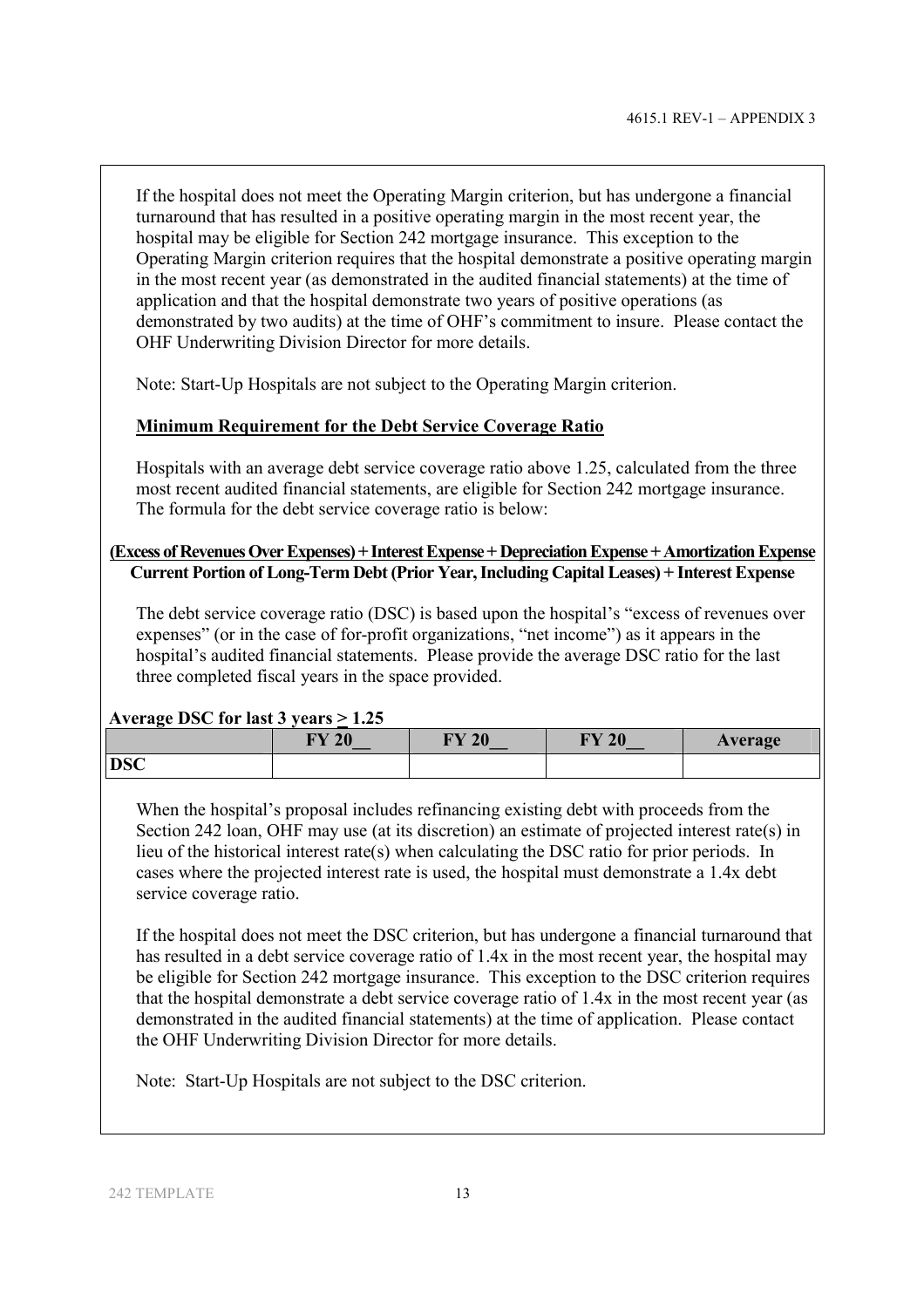If the hospital does not meet the Operating Margin criterion, but has undergone a financial turnaround that has resulted in a positive operating margin in the most recent year, the hospital may be eligible for Section 242 mortgage insurance. This exception to the Operating Margin criterion requires that the hospital demonstrate a positive operating margin in the most recent year (as demonstrated in the audited financial statements) at the time of application and that the hospital demonstrate two years of positive operations (as demonstrated by two audits) at the time of OHF's commitment to insure. Please contact the OHF Underwriting Division Director for more details.

Note: Start-Up Hospitals are not subject to the Operating Margin criterion.

# **Minimum Requirement for the Debt Service Coverage Ratio**

Hospitals with an average debt service coverage ratio above 1.25, calculated from the three most recent audited financial statements, are eligible for Section 242 mortgage insurance. The formula for the debt service coverage ratio is below:

#### **(Excess of Revenues Over Expenses) + Interest Expense+ DepreciationExpense + Amortization Expense Current Portion of Long-Term Debt (Prior Year, Including Capital Leases) + Interest Expense**

The debt service coverage ratio (DSC) is based upon the hospital's "excess of revenues over expenses" (or in the case of for-profit organizations, "net income") as it appears in the hospital's audited financial statements. Please provide the average DSC ratio for the last three completed fiscal years in the space provided.

#### **Average DSC for last 3 years > 1.25**

|                     | <b>FY 20</b> | <b>FY 20</b> | <b>FY 20</b> | <b>Average</b> |
|---------------------|--------------|--------------|--------------|----------------|
| $\mathbf{C}$<br>DQC |              |              |              |                |

When the hospital's proposal includes refinancing existing debt with proceeds from the Section 242 loan, OHF may use (at its discretion) an estimate of projected interest rate(s) in lieu of the historical interest rate(s) when calculating the DSC ratio for prior periods. In cases where the projected interest rate is used, the hospital must demonstrate a 1.4x debt service coverage ratio.

If the hospital does not meet the DSC criterion, but has undergone a financial turnaround that has resulted in a debt service coverage ratio of 1.4x in the most recent year, the hospital may be eligible for Section 242 mortgage insurance. This exception to the DSC criterion requires that the hospital demonstrate a debt service coverage ratio of 1.4x in the most recent year (as demonstrated in the audited financial statements) at the time of application. Please contact the OHF Underwriting Division Director for more details.

Note: Start-Up Hospitals are not subject to the DSC criterion.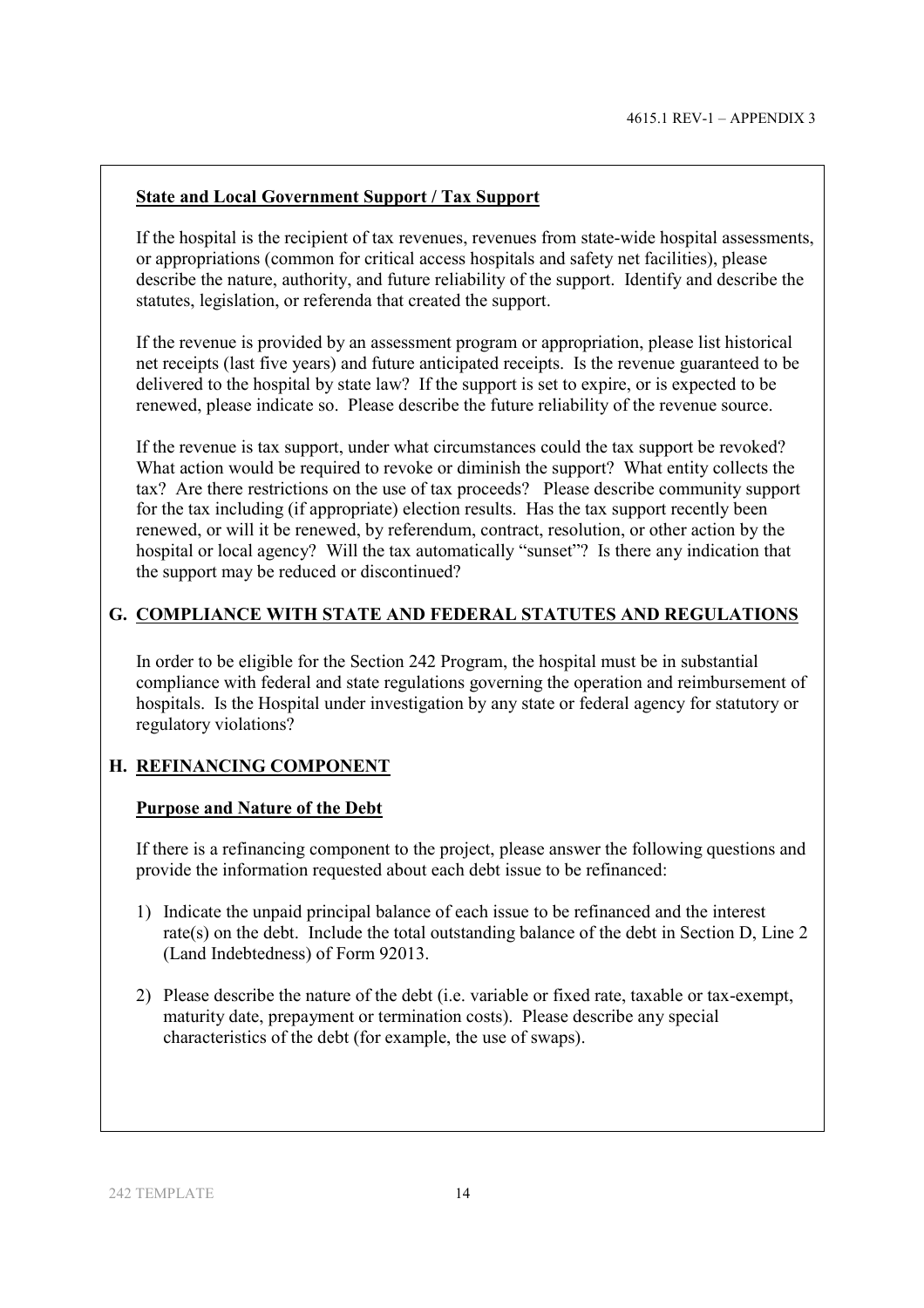# **State and Local Government Support / Tax Support**

If the hospital is the recipient of tax revenues, revenues from state-wide hospital assessments, or appropriations (common for critical access hospitals and safety net facilities), please describe the nature, authority, and future reliability of the support. Identify and describe the statutes, legislation, or referenda that created the support.

If the revenue is provided by an assessment program or appropriation, please list historical net receipts (last five years) and future anticipated receipts. Is the revenue guaranteed to be delivered to the hospital by state law? If the support is set to expire, or is expected to be renewed, please indicate so. Please describe the future reliability of the revenue source.

If the revenue is tax support, under what circumstances could the tax support be revoked? What action would be required to revoke or diminish the support? What entity collects the tax? Are there restrictions on the use of tax proceeds? Please describe community support for the tax including (if appropriate) election results. Has the tax support recently been renewed, or will it be renewed, by referendum, contract, resolution, or other action by the hospital or local agency? Will the tax automatically "sunset"? Is there any indication that the support may be reduced or discontinued?

# **G. COMPLIANCE WITH STATE AND FEDERAL STATUTES AND REGULATIONS**

In order to be eligible for the Section 242 Program, the hospital must be in substantial compliance with federal and state regulations governing the operation and reimbursement of hospitals. Is the Hospital under investigation by any state or federal agency for statutory or regulatory violations?

# **H. REFINANCING COMPONENT**

#### **Purpose and Nature of the Debt**

If there is a refinancing component to the project, please answer the following questions and provide the information requested about each debt issue to be refinanced:

- 1) Indicate the unpaid principal balance of each issue to be refinanced and the interest rate(s) on the debt. Include the total outstanding balance of the debt in Section D, Line 2 (Land Indebtedness) of Form 92013.
- 2) Please describe the nature of the debt (i.e. variable or fixed rate, taxable or tax-exempt, maturity date, prepayment or termination costs). Please describe any special characteristics of the debt (for example, the use of swaps).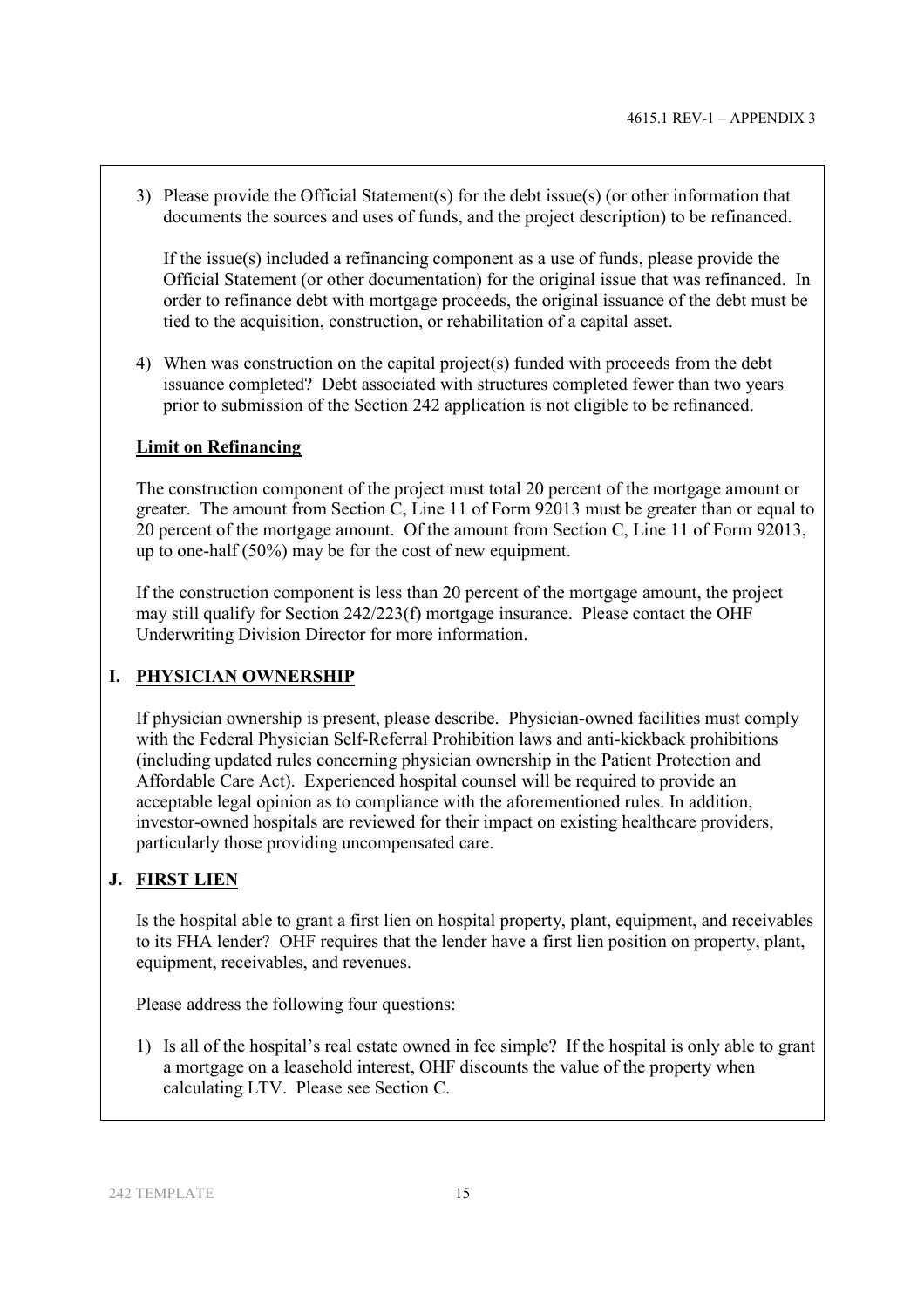3) Please provide the Official Statement(s) for the debt issue(s) (or other information that documents the sources and uses of funds, and the project description) to be refinanced.

If the issue(s) included a refinancing component as a use of funds, please provide the Official Statement (or other documentation) for the original issue that was refinanced. In order to refinance debt with mortgage proceeds, the original issuance of the debt must be tied to the acquisition, construction, or rehabilitation of a capital asset.

4) When was construction on the capital project(s) funded with proceeds from the debt issuance completed? Debt associated with structures completed fewer than two years prior to submission of the Section 242 application is not eligible to be refinanced.

### **Limit on Refinancing**

The construction component of the project must total 20 percent of the mortgage amount or greater. The amount from Section C, Line 11 of Form 92013 must be greater than or equal to 20 percent of the mortgage amount. Of the amount from Section C, Line 11 of Form 92013, up to one-half (50%) may be for the cost of new equipment.

If the construction component is less than 20 percent of the mortgage amount, the project may still qualify for Section 242/223(f) mortgage insurance. Please contact the OHF Underwriting Division Director for more information.

# **I. PHYSICIAN OWNERSHIP**

If physician ownership is present, please describe. Physician-owned facilities must comply with the Federal Physician Self-Referral Prohibition laws and anti-kickback prohibitions (including updated rules concerning physician ownership in the Patient Protection and Affordable Care Act). Experienced hospital counsel will be required to provide an acceptable legal opinion as to compliance with the aforementioned rules. In addition, investor-owned hospitals are reviewed for their impact on existing healthcare providers, particularly those providing uncompensated care.

# **J. FIRST LIEN**

Is the hospital able to grant a first lien on hospital property, plant, equipment, and receivables to its FHA lender? OHF requires that the lender have a first lien position on property, plant, equipment, receivables, and revenues.

Please address the following four questions:

1) Is all of the hospital's real estate owned in fee simple? If the hospital is only able to grant a mortgage on a leasehold interest, OHF discounts the value of the property when calculating LTV. Please see Section C.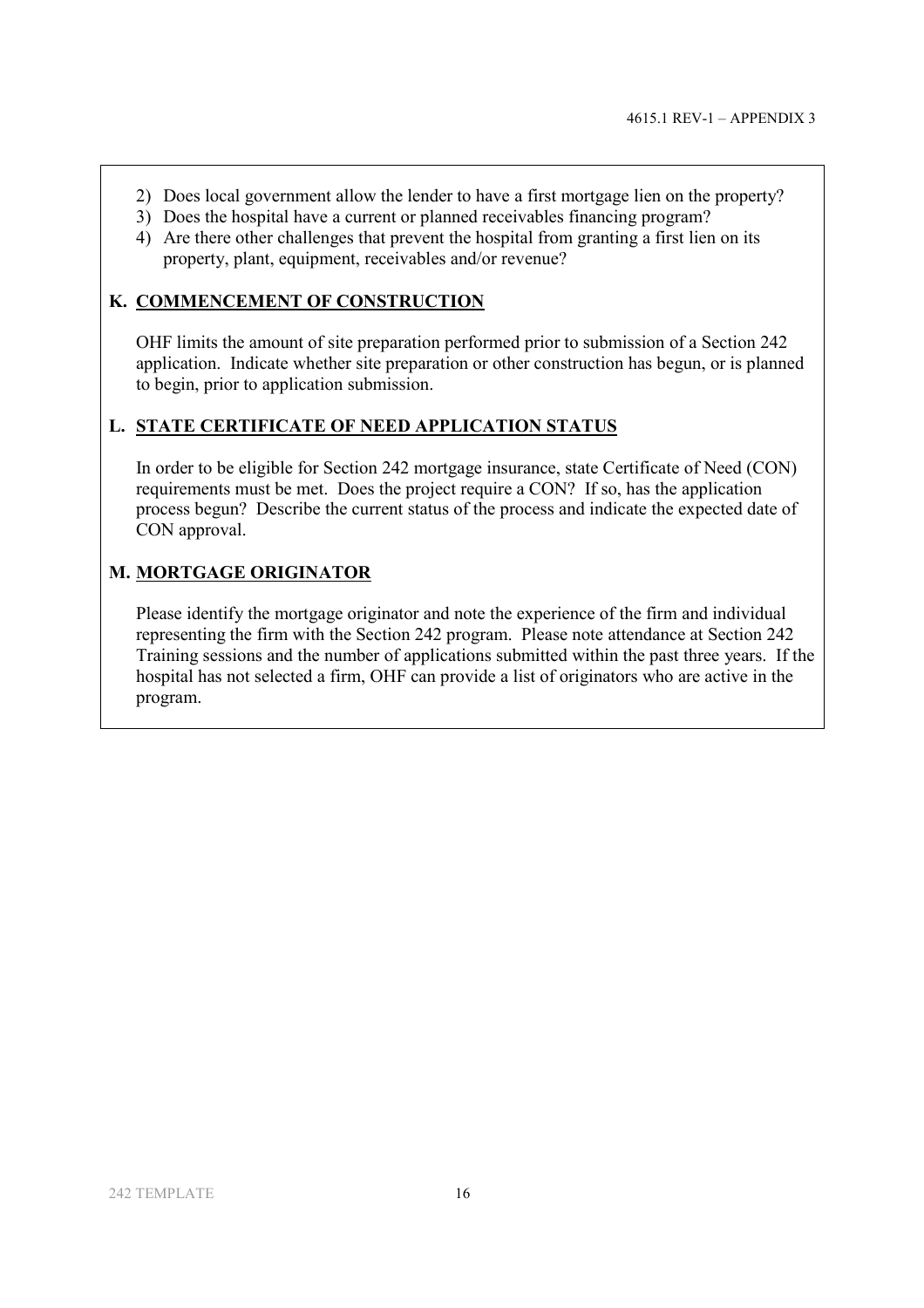- 2) Does local government allow the lender to have a first mortgage lien on the property?
- 3) Does the hospital have a current or planned receivables financing program?
- 4) Are there other challenges that prevent the hospital from granting a first lien on its property, plant, equipment, receivables and/or revenue?

## **K. COMMENCEMENT OF CONSTRUCTION**

OHF limits the amount of site preparation performed prior to submission of a Section 242 application. Indicate whether site preparation or other construction has begun, or is planned to begin, prior to application submission.

# **L. STATE CERTIFICATE OF NEED APPLICATION STATUS**

In order to be eligible for Section 242 mortgage insurance, state Certificate of Need (CON) requirements must be met. Does the project require a CON? If so, has the application process begun? Describe the current status of the process and indicate the expected date of CON approval.

# **M. MORTGAGE ORIGINATOR**

Please identify the mortgage originator and note the experience of the firm and individual representing the firm with the Section 242 program. Please note attendance at Section 242 Training sessions and the number of applications submitted within the past three years. If the hospital has not selected a firm, OHF can provide a list of originators who are active in the program.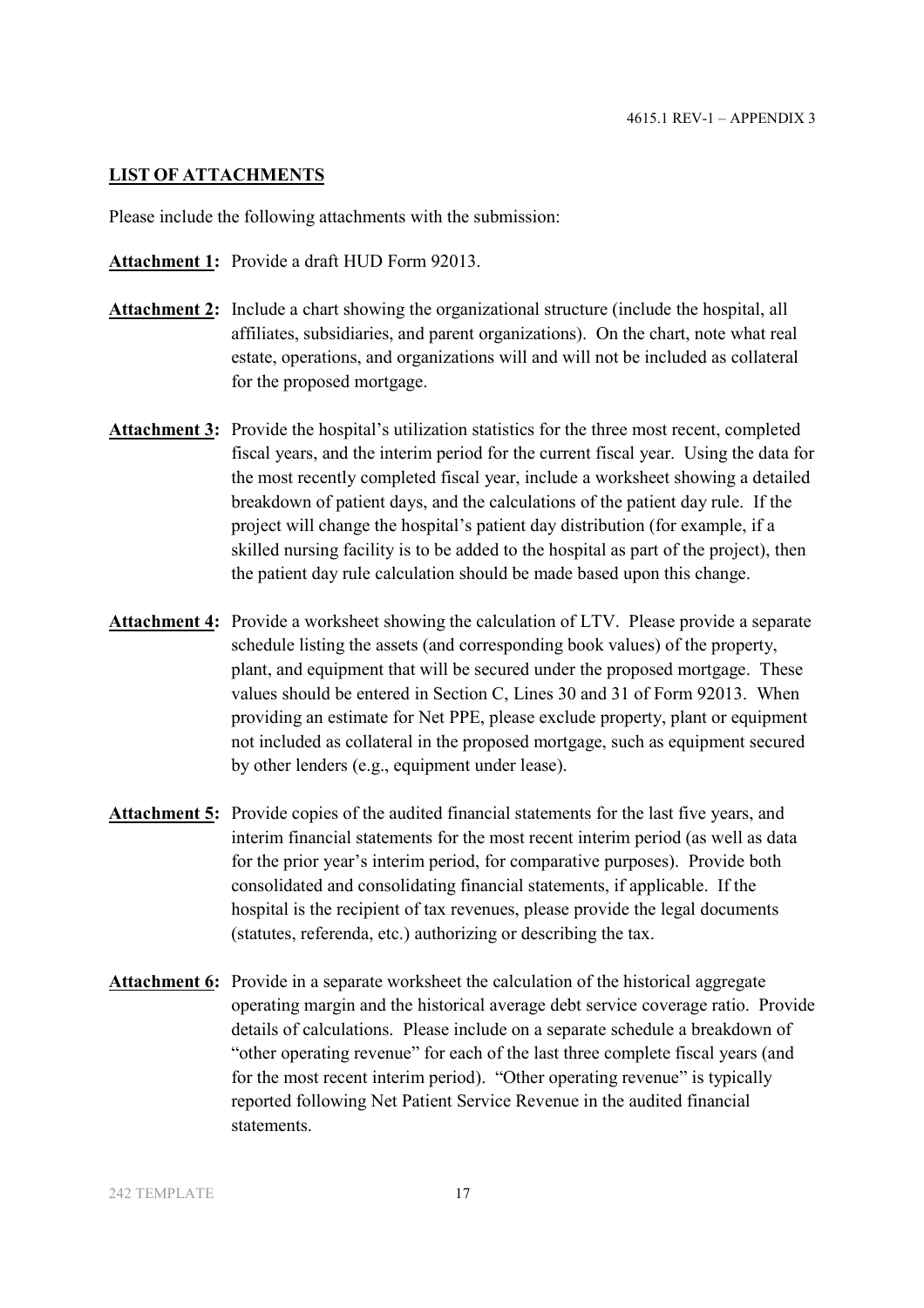#### **LIST OF ATTACHMENTS**

Please include the following attachments with the submission:

- **Attachment 1:** Provide a draft HUD Form 92013.
- **Attachment 2:** Include a chart showing the organizational structure (include the hospital, all affiliates, subsidiaries, and parent organizations). On the chart, note what real estate, operations, and organizations will and will not be included as collateral for the proposed mortgage.
- **Attachment 3:** Provide the hospital's utilization statistics for the three most recent, completed fiscal years, and the interim period for the current fiscal year. Using the data for the most recently completed fiscal year, include a worksheet showing a detailed breakdown of patient days, and the calculations of the patient day rule. If the project will change the hospital's patient day distribution (for example, if a skilled nursing facility is to be added to the hospital as part of the project), then the patient day rule calculation should be made based upon this change.
- **Attachment 4:** Provide a worksheet showing the calculation of LTV. Please provide a separate schedule listing the assets (and corresponding book values) of the property, plant, and equipment that will be secured under the proposed mortgage. These values should be entered in Section C, Lines 30 and 31 of Form 92013. When providing an estimate for Net PPE, please exclude property, plant or equipment not included as collateral in the proposed mortgage, such as equipment secured by other lenders (e.g., equipment under lease).
- **Attachment 5:** Provide copies of the audited financial statements for the last five years, and interim financial statements for the most recent interim period (as well as data for the prior year's interim period, for comparative purposes). Provide both consolidated and consolidating financial statements, if applicable. If the hospital is the recipient of tax revenues, please provide the legal documents (statutes, referenda, etc.) authorizing or describing the tax.
- **Attachment 6:** Provide in a separate worksheet the calculation of the historical aggregate operating margin and the historical average debt service coverage ratio. Provide details of calculations. Please include on a separate schedule a breakdown of "other operating revenue" for each of the last three complete fiscal years (and for the most recent interim period). "Other operating revenue" is typically reported following Net Patient Service Revenue in the audited financial statements.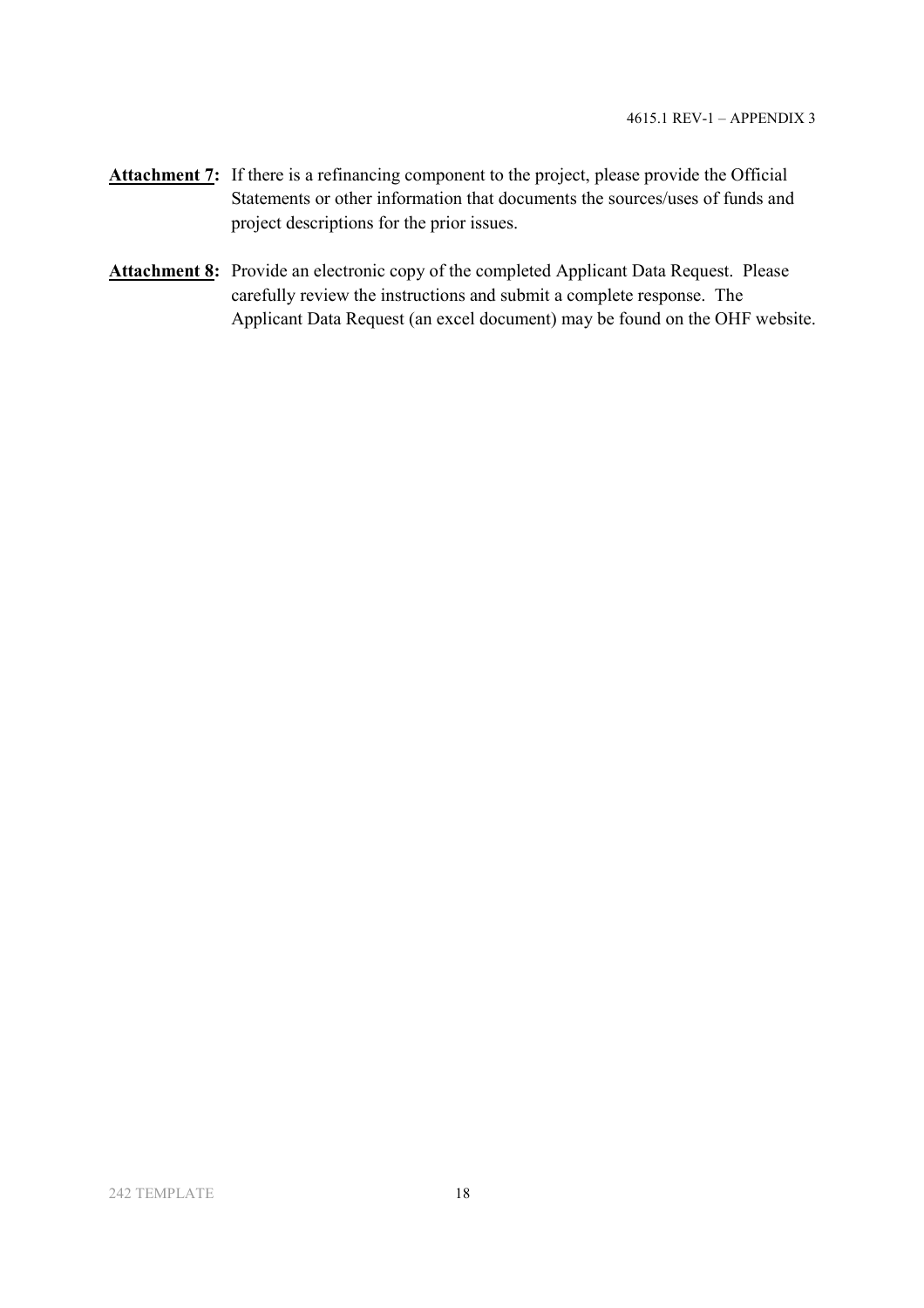- Attachment 7: If there is a refinancing component to the project, please provide the Official Statements or other information that documents the sources/uses of funds and project descriptions for the prior issues.
- **Attachment 8:** Provide an electronic copy of the completed Applicant Data Request. Please carefully review the instructions and submit a complete response. The Applicant Data Request (an excel document) may be found on the OHF website.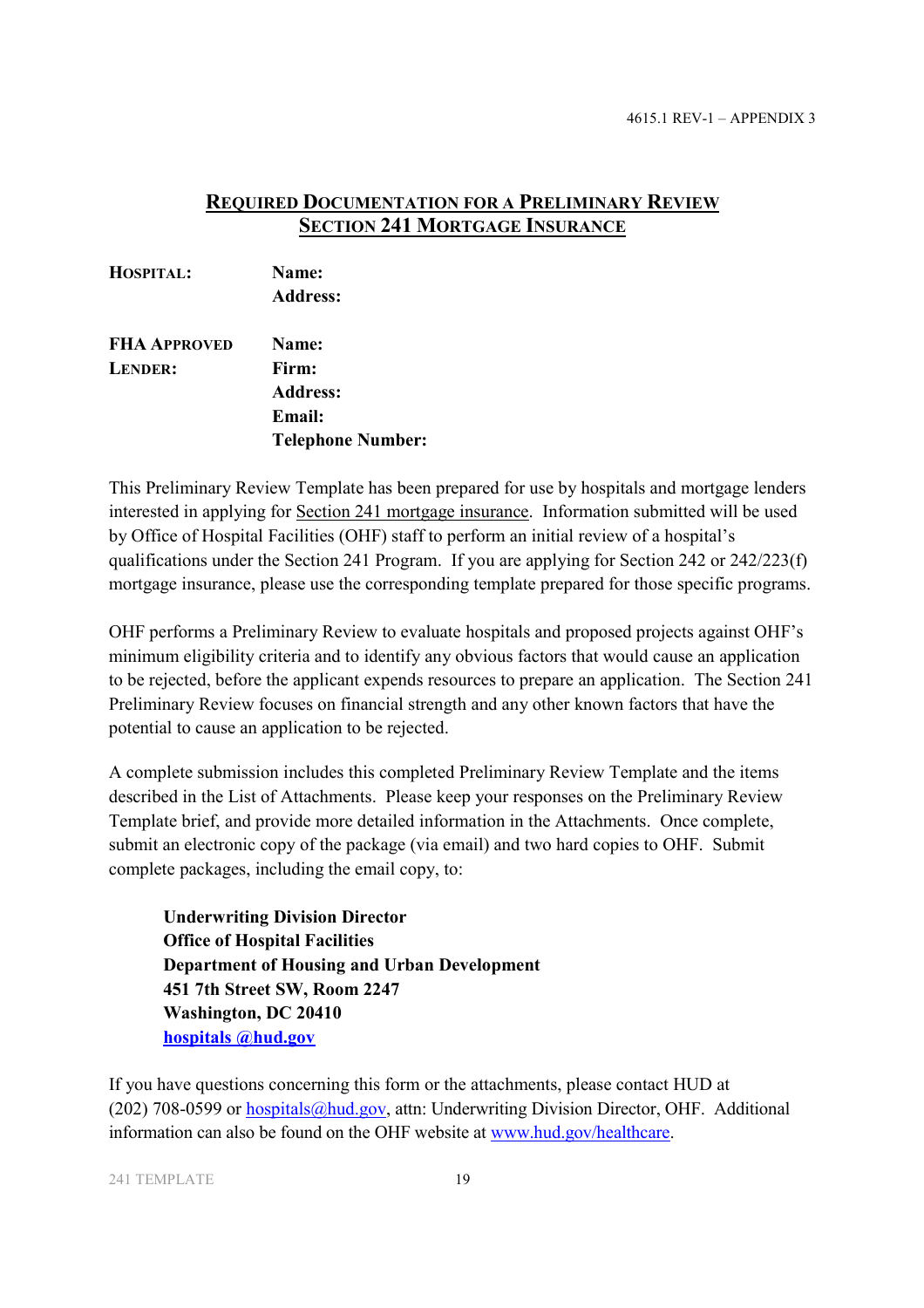# **REQUIRED DOCUMENTATION FOR A PRELIMINARY REVIEW SECTION 241 MORTGAGE INSURANCE**

| HOSPITAL:           | Name:                    |
|---------------------|--------------------------|
|                     | <b>Address:</b>          |
| <b>FHA APPROVED</b> | Name:                    |
| <b>LENDER:</b>      | Firm:                    |
|                     | <b>Address:</b>          |
|                     | <b>E</b> mail:           |
|                     | <b>Telephone Number:</b> |

This Preliminary Review Template has been prepared for use by hospitals and mortgage lenders interested in applying for Section 241 mortgage insurance. Information submitted will be used by Office of Hospital Facilities (OHF) staff to perform an initial review of a hospital's qualifications under the Section 241 Program. If you are applying for Section 242 or 242/223(f) mortgage insurance, please use the corresponding template prepared for those specific programs.

OHF performs a Preliminary Review to evaluate hospitals and proposed projects against OHF's minimum eligibility criteria and to identify any obvious factors that would cause an application to be rejected, before the applicant expends resources to prepare an application. The Section 241 Preliminary Review focuses on financial strength and any other known factors that have the potential to cause an application to be rejected.

A complete submission includes this completed Preliminary Review Template and the items described in the List of Attachments. Please keep your responses on the Preliminary Review Template brief, and provide more detailed information in the Attachments. Once complete, submit an electronic copy of the package (via email) and two hard copies to OHF. Submit complete packages, including the email copy, to:

**Underwriting Division Director Office of Hospital Facilities Department of Housing and Urban Development 451 7th Street SW, Room 2247 Washington, DC 20410 hospitals @hud.gov**

If you have questions concerning this form or the attachments, please contact HUD at (202) 708-0599 or hospitals@hud.gov, attn: Underwriting Division Director, OHF. Additional information can also be found on the OHF website at www.hud.gov/healthcare.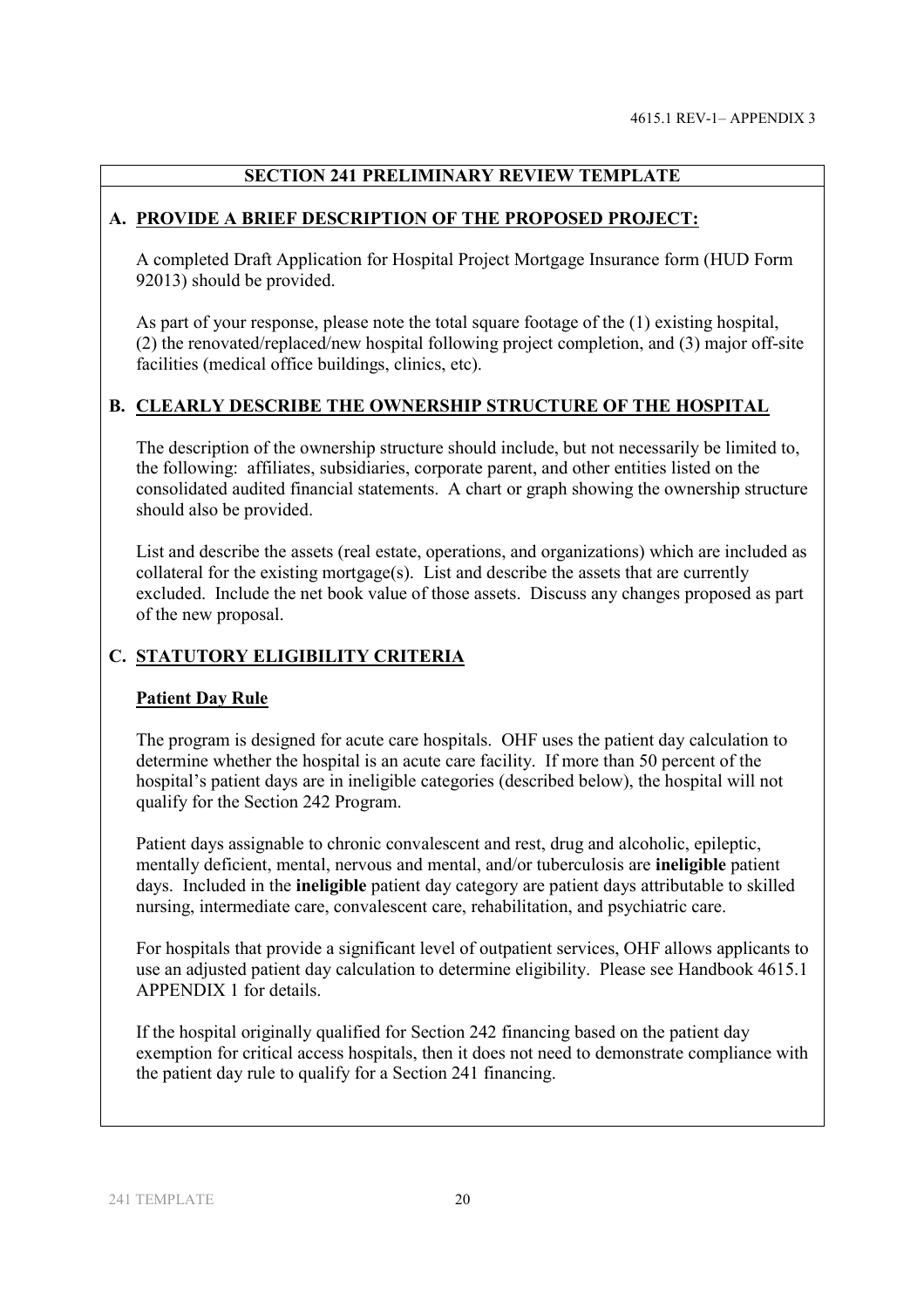# **SECTION 241 PRELIMINARY REVIEW TEMPLATE**

# **A. PROVIDE A BRIEF DESCRIPTION OF THE PROPOSED PROJECT:**

A completed Draft Application for Hospital Project Mortgage Insurance form (HUD Form 92013) should be provided.

As part of your response, please note the total square footage of the (1) existing hospital, (2) the renovated/replaced/new hospital following project completion, and (3) major off-site facilities (medical office buildings, clinics, etc).

### **B. CLEARLY DESCRIBE THE OWNERSHIP STRUCTURE OF THE HOSPITAL**

The description of the ownership structure should include, but not necessarily be limited to, the following: affiliates, subsidiaries, corporate parent, and other entities listed on the consolidated audited financial statements. A chart or graph showing the ownership structure should also be provided.

List and describe the assets (real estate, operations, and organizations) which are included as collateral for the existing mortgage(s). List and describe the assets that are currently excluded. Include the net book value of those assets. Discuss any changes proposed as part of the new proposal.

# **C. STATUTORY ELIGIBILITY CRITERIA**

#### **Patient Day Rule**

The program is designed for acute care hospitals. OHF uses the patient day calculation to determine whether the hospital is an acute care facility. If more than 50 percent of the hospital's patient days are in ineligible categories (described below), the hospital will not qualify for the Section 242 Program.

Patient days assignable to chronic convalescent and rest, drug and alcoholic, epileptic, mentally deficient, mental, nervous and mental, and/or tuberculosis are **ineligible** patient days. Included in the **ineligible** patient day category are patient days attributable to skilled nursing, intermediate care, convalescent care, rehabilitation, and psychiatric care.

For hospitals that provide a significant level of outpatient services, OHF allows applicants to use an adjusted patient day calculation to determine eligibility. Please see Handbook 4615.1 APPENDIX 1 for details.

If the hospital originally qualified for Section 242 financing based on the patient day exemption for critical access hospitals, then it does not need to demonstrate compliance with the patient day rule to qualify for a Section 241 financing.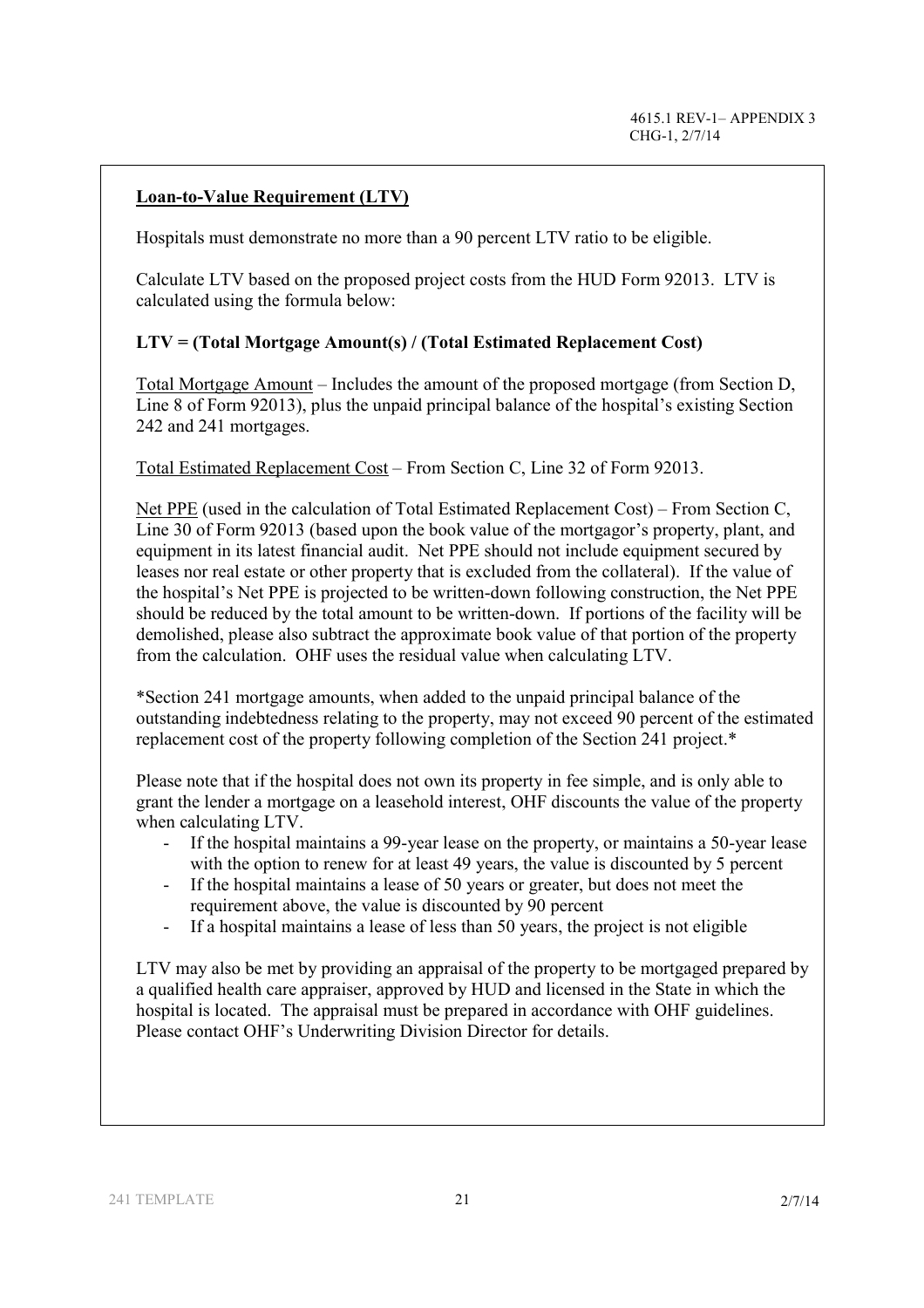# **Loan-to-Value Requirement (LTV)**

Hospitals must demonstrate no more than a 90 percent LTV ratio to be eligible.

Calculate LTV based on the proposed project costs from the HUD Form 92013. LTV is calculated using the formula below:

# **LTV = (Total Mortgage Amount(s) / (Total Estimated Replacement Cost)**

Total Mortgage Amount – Includes the amount of the proposed mortgage (from Section D, Line 8 of Form 92013), plus the unpaid principal balance of the hospital's existing Section 242 and 241 mortgages.

Total Estimated Replacement Cost – From Section C, Line 32 of Form 92013.

Net PPE (used in the calculation of Total Estimated Replacement Cost) – From Section C, Line 30 of Form 92013 (based upon the book value of the mortgagor's property, plant, and equipment in its latest financial audit. Net PPE should not include equipment secured by leases nor real estate or other property that is excluded from the collateral). If the value of the hospital's Net PPE is projected to be written-down following construction, the Net PPE should be reduced by the total amount to be written-down. If portions of the facility will be demolished, please also subtract the approximate book value of that portion of the property from the calculation. OHF uses the residual value when calculating LTV.

\*Section 241 mortgage amounts, when added to the unpaid principal balance of the outstanding indebtedness relating to the property, may not exceed 90 percent of the estimated replacement cost of the property following completion of the Section 241 project.\*

Please note that if the hospital does not own its property in fee simple, and is only able to grant the lender a mortgage on a leasehold interest, OHF discounts the value of the property when calculating LTV.

- If the hospital maintains a 99-year lease on the property, or maintains a 50-year lease with the option to renew for at least 49 years, the value is discounted by 5 percent
- If the hospital maintains a lease of 50 years or greater, but does not meet the requirement above, the value is discounted by 90 percent
- If a hospital maintains a lease of less than 50 years, the project is not eligible

LTV may also be met by providing an appraisal of the property to be mortgaged prepared by a qualified health care appraiser, approved by HUD and licensed in the State in which the hospital is located. The appraisal must be prepared in accordance with OHF guidelines. Please contact OHF's Underwriting Division Director for details.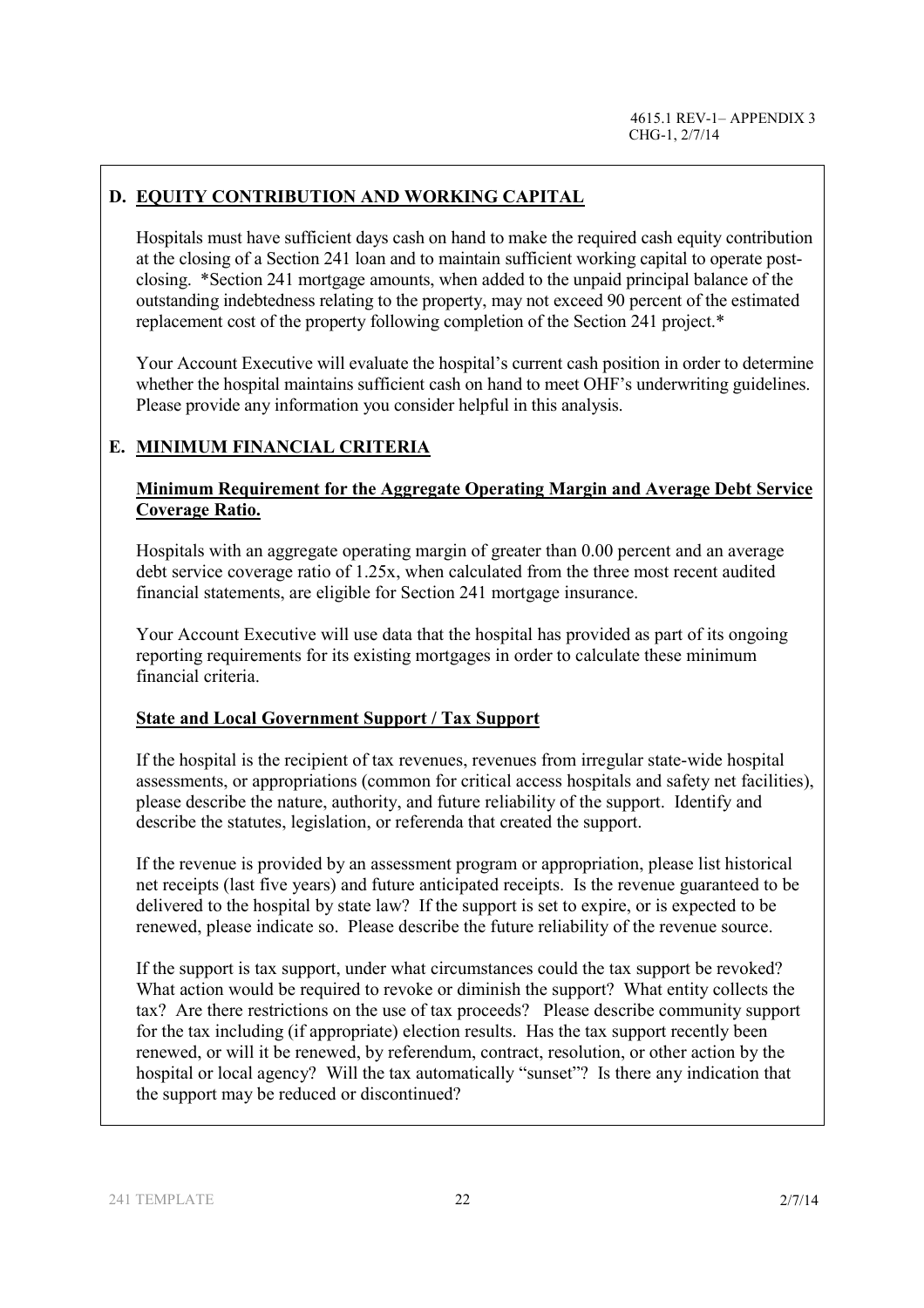# **D. EQUITY CONTRIBUTION AND WORKING CAPITAL**

Hospitals must have sufficient days cash on hand to make the required cash equity contribution at the closing of a Section 241 loan and to maintain sufficient working capital to operate postclosing. \*Section 241 mortgage amounts, when added to the unpaid principal balance of the outstanding indebtedness relating to the property, may not exceed 90 percent of the estimated replacement cost of the property following completion of the Section 241 project.\*

Your Account Executive will evaluate the hospital's current cash position in order to determine whether the hospital maintains sufficient cash on hand to meet OHF's underwriting guidelines. Please provide any information you consider helpful in this analysis.

# **E. MINIMUM FINANCIAL CRITERIA**

# **Minimum Requirement for the Aggregate Operating Margin and Average Debt Service Coverage Ratio.**

Hospitals with an aggregate operating margin of greater than 0.00 percent and an average debt service coverage ratio of 1.25x, when calculated from the three most recent audited financial statements, are eligible for Section 241 mortgage insurance.

Your Account Executive will use data that the hospital has provided as part of its ongoing reporting requirements for its existing mortgages in order to calculate these minimum financial criteria.

#### **State and Local Government Support / Tax Support**

If the hospital is the recipient of tax revenues, revenues from irregular state-wide hospital assessments, or appropriations (common for critical access hospitals and safety net facilities), please describe the nature, authority, and future reliability of the support. Identify and describe the statutes, legislation, or referenda that created the support.

If the revenue is provided by an assessment program or appropriation, please list historical net receipts (last five years) and future anticipated receipts. Is the revenue guaranteed to be delivered to the hospital by state law? If the support is set to expire, or is expected to be renewed, please indicate so. Please describe the future reliability of the revenue source.

If the support is tax support, under what circumstances could the tax support be revoked? What action would be required to revoke or diminish the support? What entity collects the tax? Are there restrictions on the use of tax proceeds? Please describe community support for the tax including (if appropriate) election results. Has the tax support recently been renewed, or will it be renewed, by referendum, contract, resolution, or other action by the hospital or local agency? Will the tax automatically "sunset"? Is there any indication that the support may be reduced or discontinued?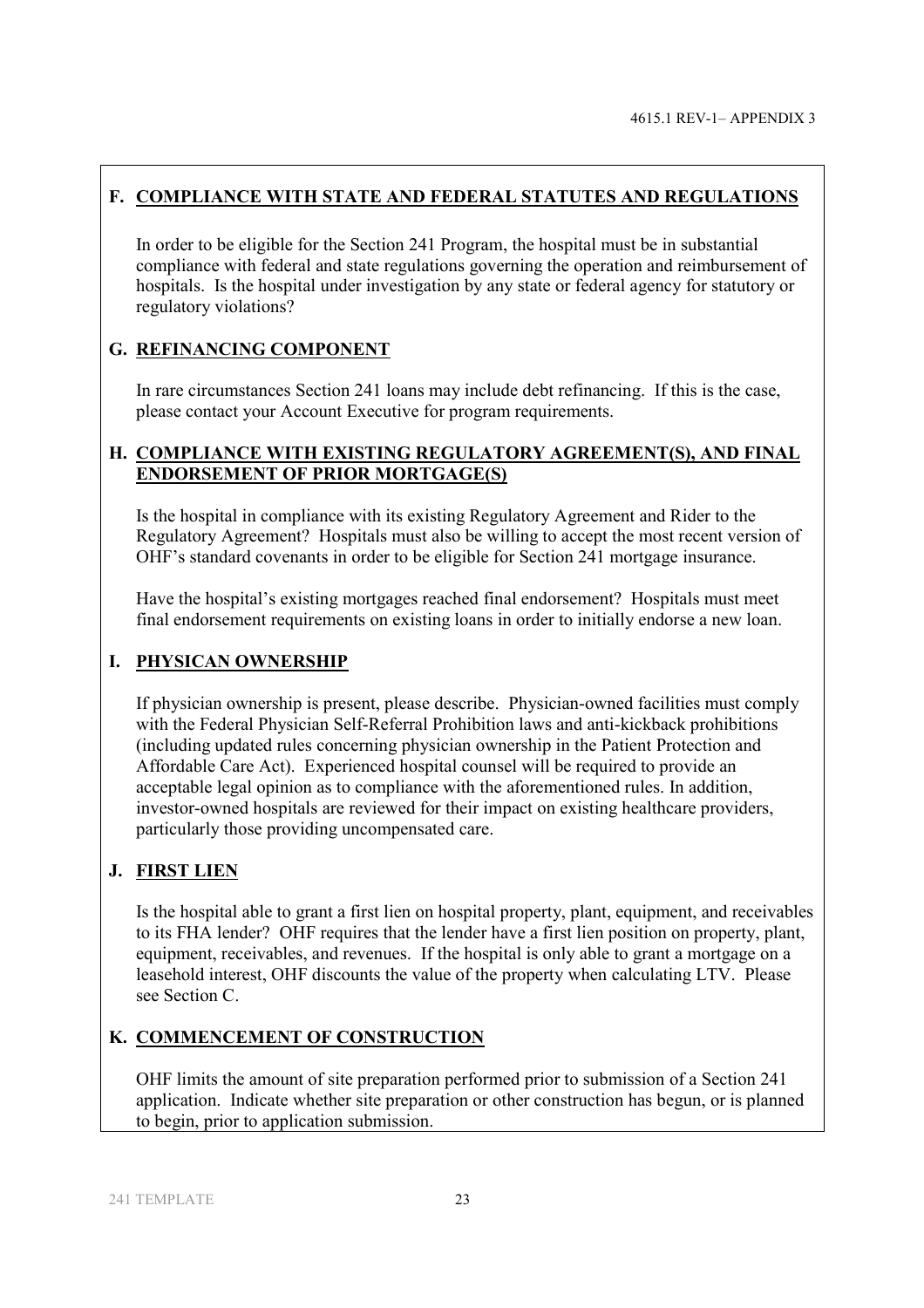# **F. COMPLIANCE WITH STATE AND FEDERAL STATUTES AND REGULATIONS**

In order to be eligible for the Section 241 Program, the hospital must be in substantial compliance with federal and state regulations governing the operation and reimbursement of hospitals. Is the hospital under investigation by any state or federal agency for statutory or regulatory violations?

# **G. REFINANCING COMPONENT**

In rare circumstances Section 241 loans may include debt refinancing. If this is the case, please contact your Account Executive for program requirements.

# **H. COMPLIANCE WITH EXISTING REGULATORY AGREEMENT(S), AND FINAL ENDORSEMENT OF PRIOR MORTGAGE(S)**

Is the hospital in compliance with its existing Regulatory Agreement and Rider to the Regulatory Agreement? Hospitals must also be willing to accept the most recent version of OHF's standard covenants in order to be eligible for Section 241 mortgage insurance.

Have the hospital's existing mortgages reached final endorsement? Hospitals must meet final endorsement requirements on existing loans in order to initially endorse a new loan.

# **I. PHYSICAN OWNERSHIP**

If physician ownership is present, please describe. Physician-owned facilities must comply with the Federal Physician Self-Referral Prohibition laws and anti-kickback prohibitions (including updated rules concerning physician ownership in the Patient Protection and Affordable Care Act). Experienced hospital counsel will be required to provide an acceptable legal opinion as to compliance with the aforementioned rules. In addition, investor-owned hospitals are reviewed for their impact on existing healthcare providers, particularly those providing uncompensated care.

# **J. FIRST LIEN**

Is the hospital able to grant a first lien on hospital property, plant, equipment, and receivables to its FHA lender? OHF requires that the lender have a first lien position on property, plant, equipment, receivables, and revenues. If the hospital is only able to grant a mortgage on a leasehold interest, OHF discounts the value of the property when calculating LTV. Please see Section C.

# **K. COMMENCEMENT OF CONSTRUCTION**

OHF limits the amount of site preparation performed prior to submission of a Section 241 application. Indicate whether site preparation or other construction has begun, or is planned to begin, prior to application submission.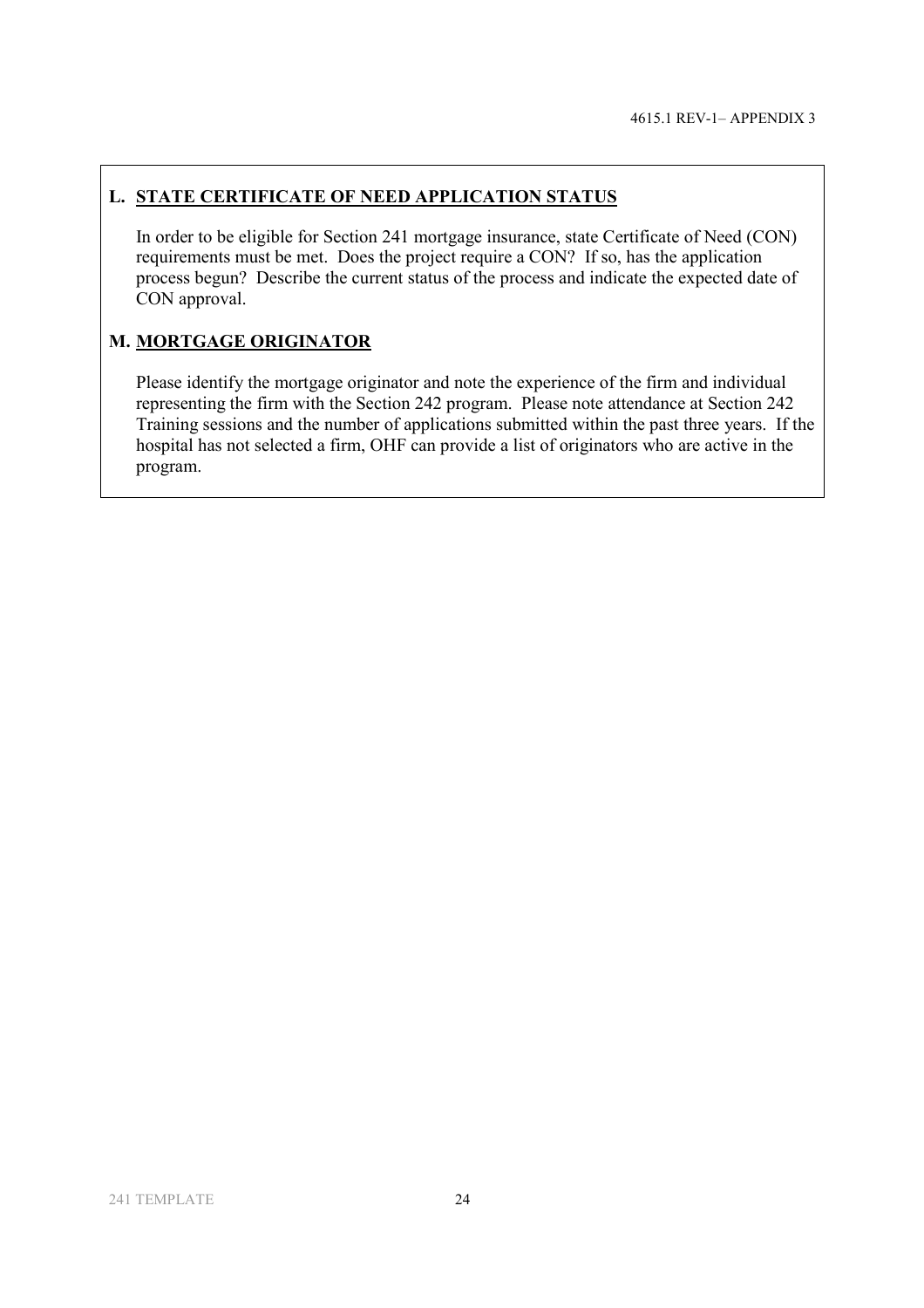# **L. STATE CERTIFICATE OF NEED APPLICATION STATUS**

In order to be eligible for Section 241 mortgage insurance, state Certificate of Need (CON) requirements must be met. Does the project require a CON? If so, has the application process begun? Describe the current status of the process and indicate the expected date of CON approval.

# **M. MORTGAGE ORIGINATOR**

Please identify the mortgage originator and note the experience of the firm and individual representing the firm with the Section 242 program. Please note attendance at Section 242 Training sessions and the number of applications submitted within the past three years. If the hospital has not selected a firm, OHF can provide a list of originators who are active in the program.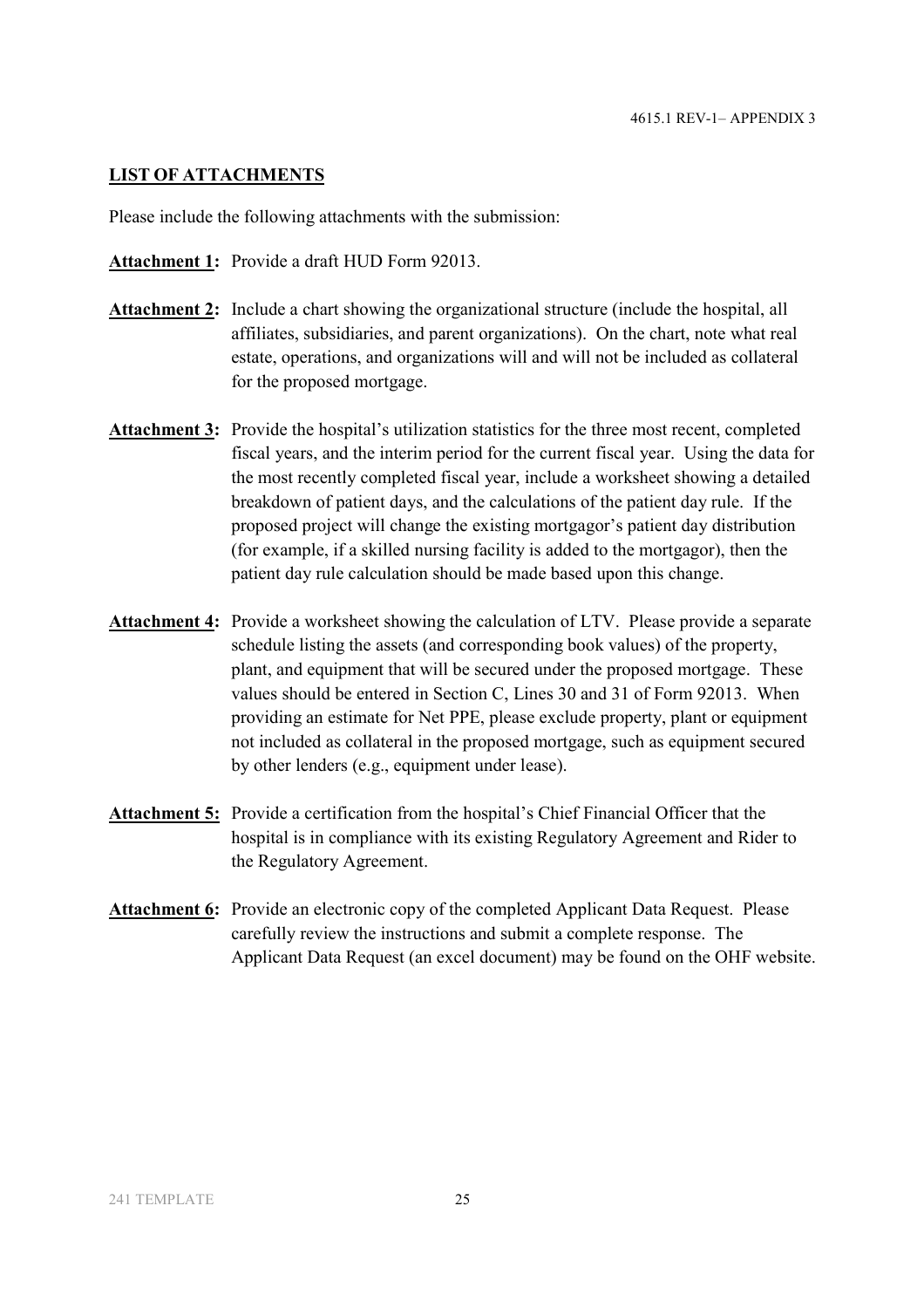#### **LIST OF ATTACHMENTS**

Please include the following attachments with the submission:

- **Attachment 1:** Provide a draft HUD Form 92013.
- **Attachment 2:** Include a chart showing the organizational structure (include the hospital, all affiliates, subsidiaries, and parent organizations). On the chart, note what real estate, operations, and organizations will and will not be included as collateral for the proposed mortgage.
- **Attachment 3:** Provide the hospital's utilization statistics for the three most recent, completed fiscal years, and the interim period for the current fiscal year. Using the data for the most recently completed fiscal year, include a worksheet showing a detailed breakdown of patient days, and the calculations of the patient day rule. If the proposed project will change the existing mortgagor's patient day distribution (for example, if a skilled nursing facility is added to the mortgagor), then the patient day rule calculation should be made based upon this change.
- **Attachment 4:** Provide a worksheet showing the calculation of LTV. Please provide a separate schedule listing the assets (and corresponding book values) of the property, plant, and equipment that will be secured under the proposed mortgage. These values should be entered in Section C, Lines 30 and 31 of Form 92013. When providing an estimate for Net PPE, please exclude property, plant or equipment not included as collateral in the proposed mortgage, such as equipment secured by other lenders (e.g., equipment under lease).
- **Attachment 5:** Provide a certification from the hospital's Chief Financial Officer that the hospital is in compliance with its existing Regulatory Agreement and Rider to the Regulatory Agreement.
- **Attachment 6:** Provide an electronic copy of the completed Applicant Data Request. Please carefully review the instructions and submit a complete response. The Applicant Data Request (an excel document) may be found on the OHF website.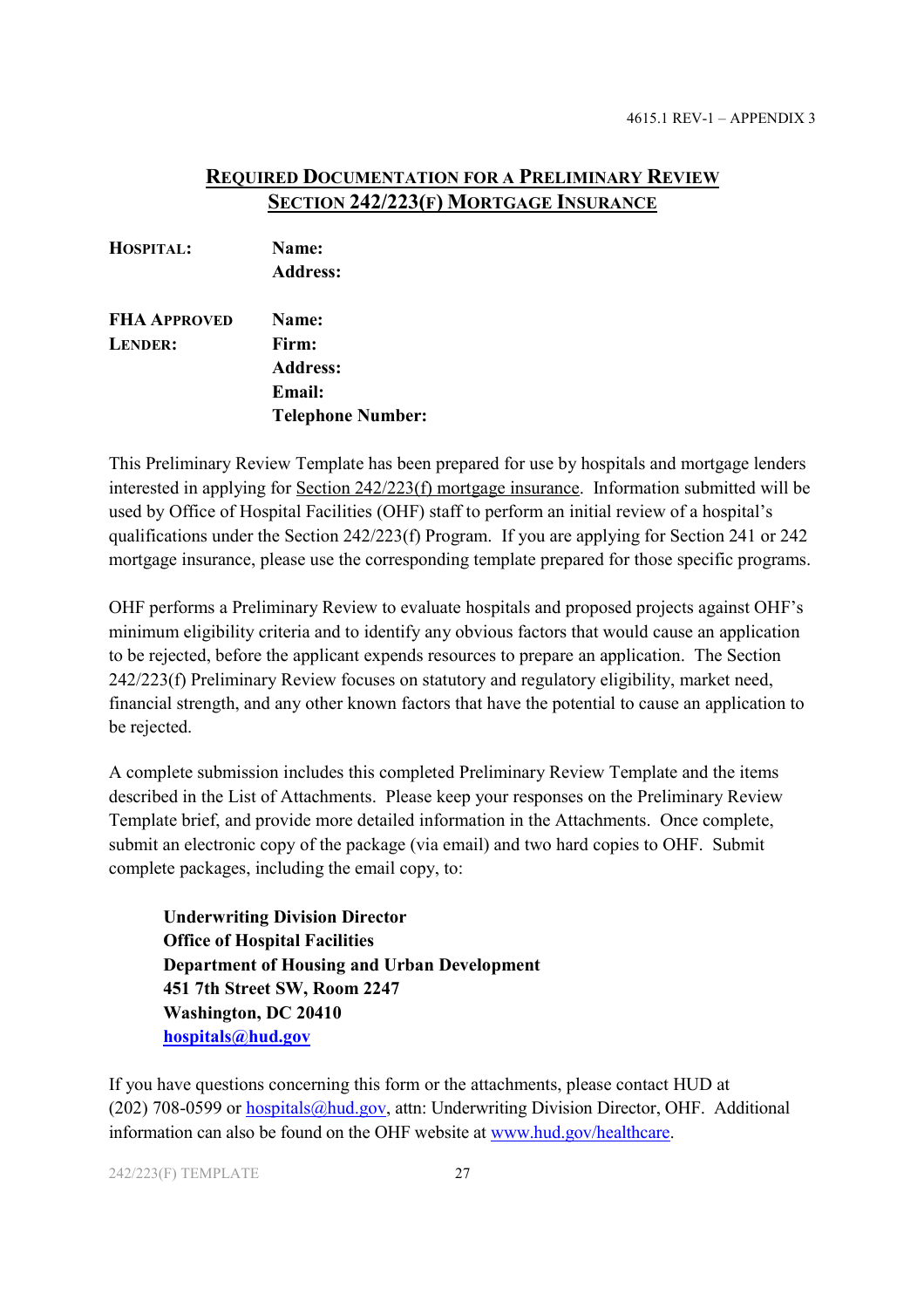# **REQUIRED DOCUMENTATION FOR A PRELIMINARY REVIEW SECTION 242/223(F) MORTGAGE INSURANCE**

| HOSPITAL:    | Name:                    |
|--------------|--------------------------|
|              | <b>Address:</b>          |
| FHA APPROVED | Name:                    |
| LENDER:      | Firm:                    |
|              | <b>Address:</b>          |
|              | Email:                   |
|              | <b>Telephone Number:</b> |

This Preliminary Review Template has been prepared for use by hospitals and mortgage lenders interested in applying for Section 242/223(f) mortgage insurance. Information submitted will be used by Office of Hospital Facilities (OHF) staff to perform an initial review of a hospital's qualifications under the Section 242/223(f) Program. If you are applying for Section 241 or 242 mortgage insurance, please use the corresponding template prepared for those specific programs.

OHF performs a Preliminary Review to evaluate hospitals and proposed projects against OHF's minimum eligibility criteria and to identify any obvious factors that would cause an application to be rejected, before the applicant expends resources to prepare an application. The Section 242/223(f) Preliminary Review focuses on statutory and regulatory eligibility, market need, financial strength, and any other known factors that have the potential to cause an application to be rejected.

A complete submission includes this completed Preliminary Review Template and the items described in the List of Attachments. Please keep your responses on the Preliminary Review Template brief, and provide more detailed information in the Attachments. Once complete, submit an electronic copy of the package (via email) and two hard copies to OHF. Submit complete packages, including the email copy, to:

**Underwriting Division Director Office of Hospital Facilities Department of Housing and Urban Development 451 7th Street SW, Room 2247 Washington, DC 20410 hospitals@hud.gov**

If you have questions concerning this form or the attachments, please contact HUD at (202) 708-0599 or hospitals@hud.gov, attn: Underwriting Division Director, OHF. Additional information can also be found on the OHF website at www.hud.gov/healthcare.

242/223(F) TEMPLATE 27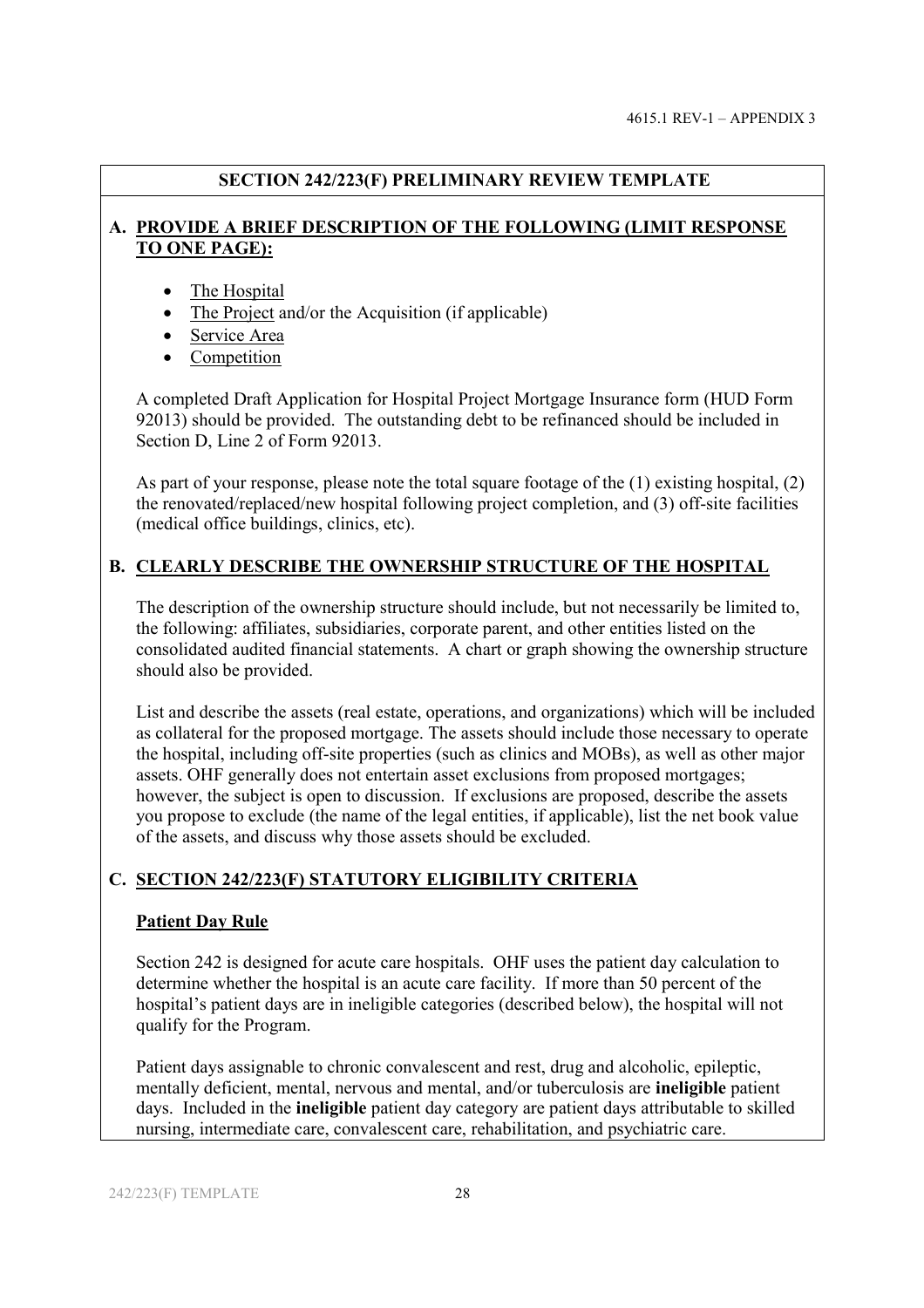## **SECTION 242/223(F) PRELIMINARY REVIEW TEMPLATE**

### **A. PROVIDE A BRIEF DESCRIPTION OF THE FOLLOWING (LIMIT RESPONSE TO ONE PAGE):**

- The Hospital
- The Project and/or the Acquisition (if applicable)
- Service Area
- Competition

A completed Draft Application for Hospital Project Mortgage Insurance form (HUD Form 92013) should be provided. The outstanding debt to be refinanced should be included in Section D, Line 2 of Form 92013.

As part of your response, please note the total square footage of the (1) existing hospital, (2) the renovated/replaced/new hospital following project completion, and (3) off-site facilities (medical office buildings, clinics, etc).

# **B. CLEARLY DESCRIBE THE OWNERSHIP STRUCTURE OF THE HOSPITAL**

The description of the ownership structure should include, but not necessarily be limited to, the following: affiliates, subsidiaries, corporate parent, and other entities listed on the consolidated audited financial statements. A chart or graph showing the ownership structure should also be provided.

List and describe the assets (real estate, operations, and organizations) which will be included as collateral for the proposed mortgage. The assets should include those necessary to operate the hospital, including off-site properties (such as clinics and MOBs), as well as other major assets. OHF generally does not entertain asset exclusions from proposed mortgages; however, the subject is open to discussion. If exclusions are proposed, describe the assets you propose to exclude (the name of the legal entities, if applicable), list the net book value of the assets, and discuss why those assets should be excluded.

# **C. SECTION 242/223(F) STATUTORY ELIGIBILITY CRITERIA**

#### **Patient Day Rule**

Section 242 is designed for acute care hospitals. OHF uses the patient day calculation to determine whether the hospital is an acute care facility. If more than 50 percent of the hospital's patient days are in ineligible categories (described below), the hospital will not qualify for the Program.

Patient days assignable to chronic convalescent and rest, drug and alcoholic, epileptic, mentally deficient, mental, nervous and mental, and/or tuberculosis are **ineligible** patient days. Included in the **ineligible** patient day category are patient days attributable to skilled nursing, intermediate care, convalescent care, rehabilitation, and psychiatric care.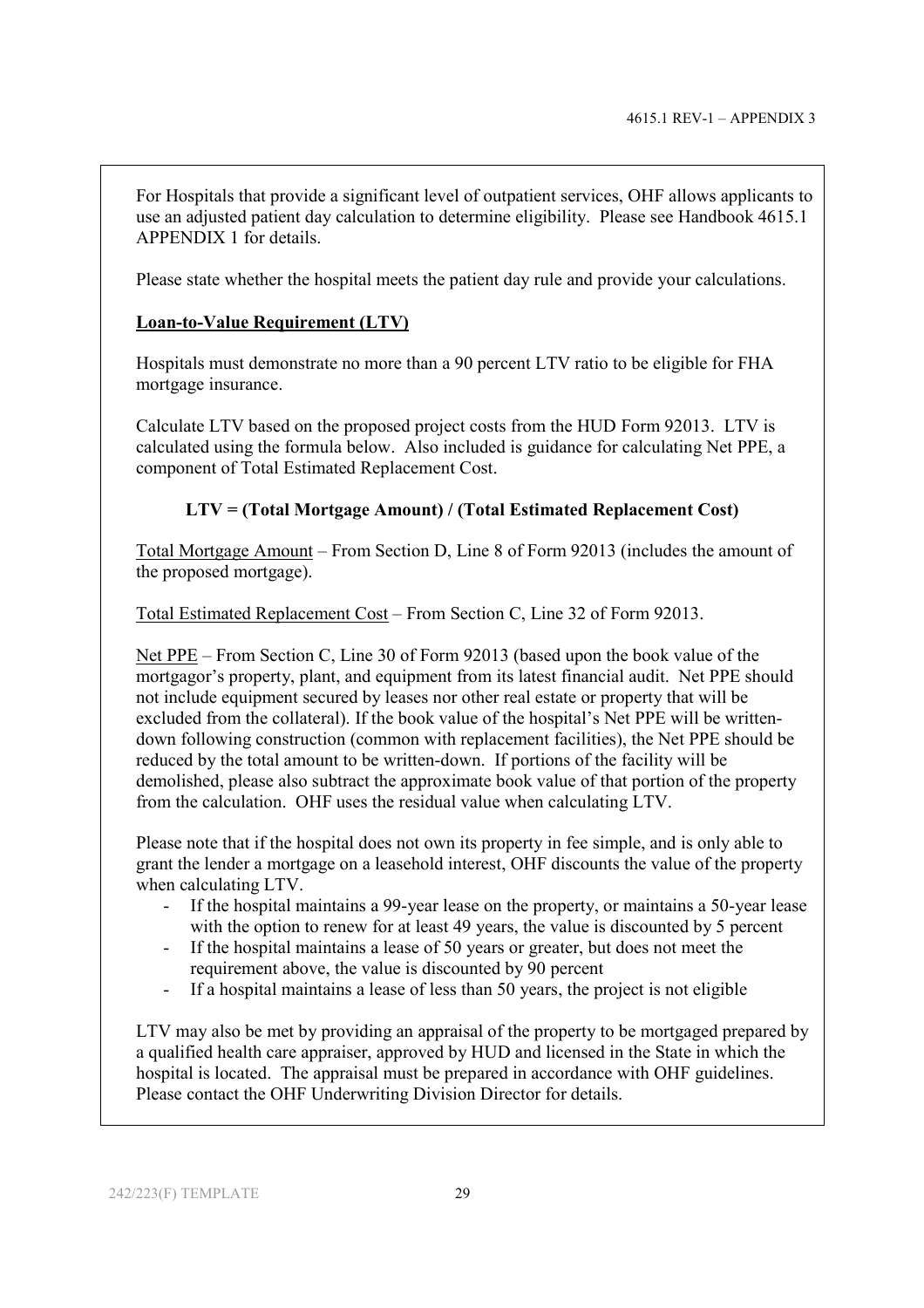For Hospitals that provide a significant level of outpatient services, OHF allows applicants to use an adjusted patient day calculation to determine eligibility. Please see Handbook 4615.1 APPENDIX 1 for details.

Please state whether the hospital meets the patient day rule and provide your calculations.

# **Loan-to-Value Requirement (LTV)**

Hospitals must demonstrate no more than a 90 percent LTV ratio to be eligible for FHA mortgage insurance.

Calculate LTV based on the proposed project costs from the HUD Form 92013. LTV is calculated using the formula below. Also included is guidance for calculating Net PPE, a component of Total Estimated Replacement Cost.

# **LTV = (Total Mortgage Amount) / (Total Estimated Replacement Cost)**

Total Mortgage Amount – From Section D, Line 8 of Form 92013 (includes the amount of the proposed mortgage).

Total Estimated Replacement Cost – From Section C, Line 32 of Form 92013.

Net PPE – From Section C, Line 30 of Form 92013 (based upon the book value of the mortgagor's property, plant, and equipment from its latest financial audit. Net PPE should not include equipment secured by leases nor other real estate or property that will be excluded from the collateral). If the book value of the hospital's Net PPE will be writtendown following construction (common with replacement facilities), the Net PPE should be reduced by the total amount to be written-down. If portions of the facility will be demolished, please also subtract the approximate book value of that portion of the property from the calculation. OHF uses the residual value when calculating LTV.

Please note that if the hospital does not own its property in fee simple, and is only able to grant the lender a mortgage on a leasehold interest, OHF discounts the value of the property when calculating LTV.

- If the hospital maintains a 99-year lease on the property, or maintains a 50-year lease with the option to renew for at least 49 years, the value is discounted by 5 percent
- If the hospital maintains a lease of 50 years or greater, but does not meet the requirement above, the value is discounted by 90 percent
- If a hospital maintains a lease of less than 50 years, the project is not eligible

LTV may also be met by providing an appraisal of the property to be mortgaged prepared by a qualified health care appraiser, approved by HUD and licensed in the State in which the hospital is located. The appraisal must be prepared in accordance with OHF guidelines. Please contact the OHF Underwriting Division Director for details.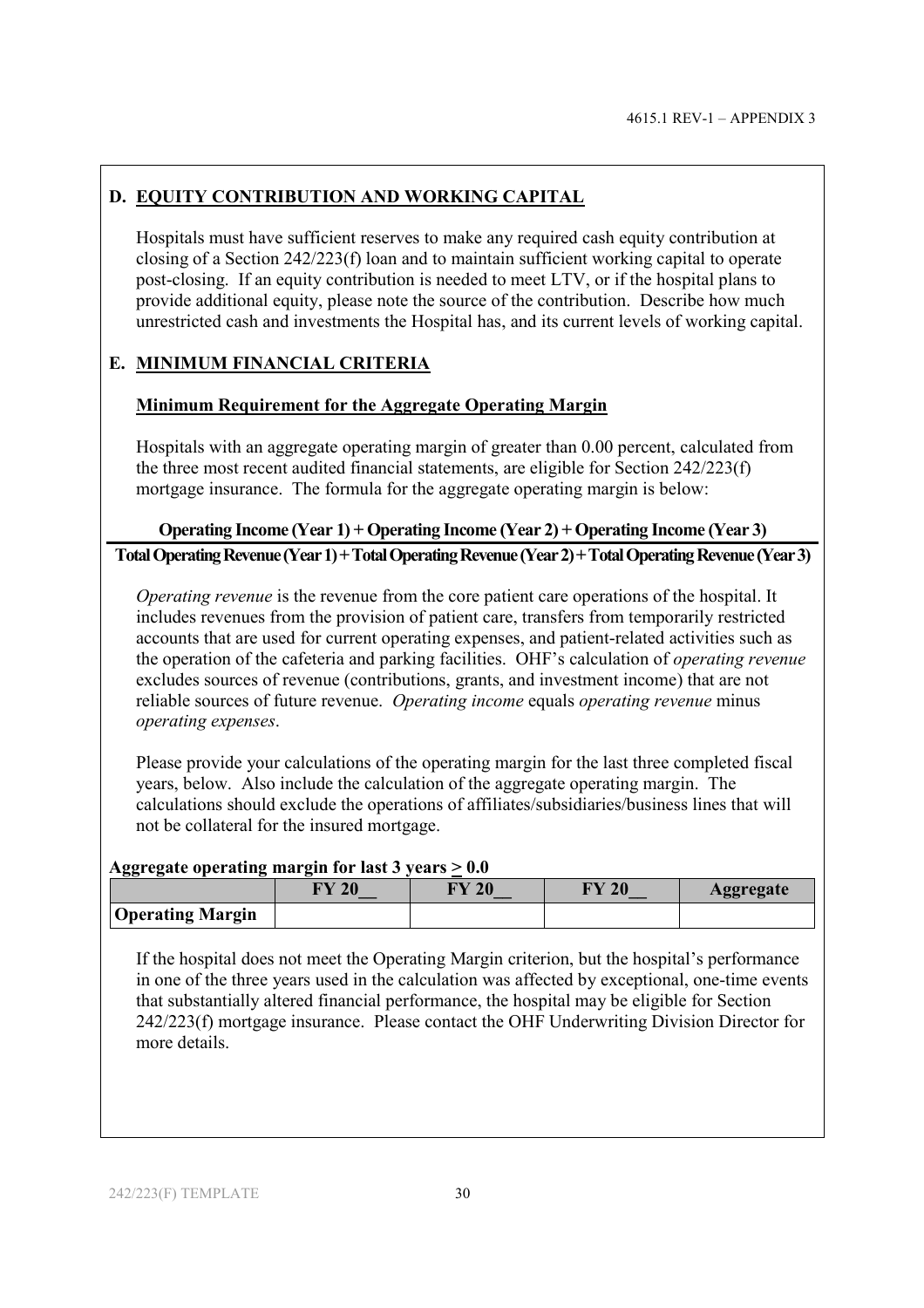# **D. EQUITY CONTRIBUTION AND WORKING CAPITAL**

Hospitals must have sufficient reserves to make any required cash equity contribution at closing of a Section 242/223(f) loan and to maintain sufficient working capital to operate post-closing. If an equity contribution is needed to meet LTV, or if the hospital plans to provide additional equity, please note the source of the contribution. Describe how much unrestricted cash and investments the Hospital has, and its current levels of working capital.

# **E. MINIMUM FINANCIAL CRITERIA**

### **Minimum Requirement for the Aggregate Operating Margin**

Hospitals with an aggregate operating margin of greater than 0.00 percent, calculated from the three most recent audited financial statements, are eligible for Section 242/223(f) mortgage insurance. The formula for the aggregate operating margin is below:

**Operating Income (Year 1) + Operating Income (Year 2) + Operating Income (Year 3) TotalOperatingRevenue(Year1)+TotalOperatingRevenue(Year2)+TotalOperatingRevenue(Year3)**

*Operating revenue* is the revenue from the core patient care operations of the hospital. It includes revenues from the provision of patient care, transfers from temporarily restricted accounts that are used for current operating expenses, and patient-related activities such as the operation of the cafeteria and parking facilities. OHF's calculation of *operating revenue* excludes sources of revenue (contributions, grants, and investment income) that are not reliable sources of future revenue. *Operating income* equals *operating revenue* minus *operating expenses*.

Please provide your calculations of the operating margin for the last three completed fiscal years, below. Also include the calculation of the aggregate operating margin. The calculations should exclude the operations of affiliates/subsidiaries/business lines that will not be collateral for the insured mortgage.

#### **Aggregate operating margin for last 3 years > 0.0**

|                         | <b>20</b><br>DV. | <b>FY 20</b> | FY 20 | <b>Aggregate</b> |
|-------------------------|------------------|--------------|-------|------------------|
| <b>Operating Margin</b> |                  |              |       |                  |

If the hospital does not meet the Operating Margin criterion, but the hospital's performance in one of the three years used in the calculation was affected by exceptional, one-time events that substantially altered financial performance, the hospital may be eligible for Section 242/223(f) mortgage insurance. Please contact the OHF Underwriting Division Director for more details.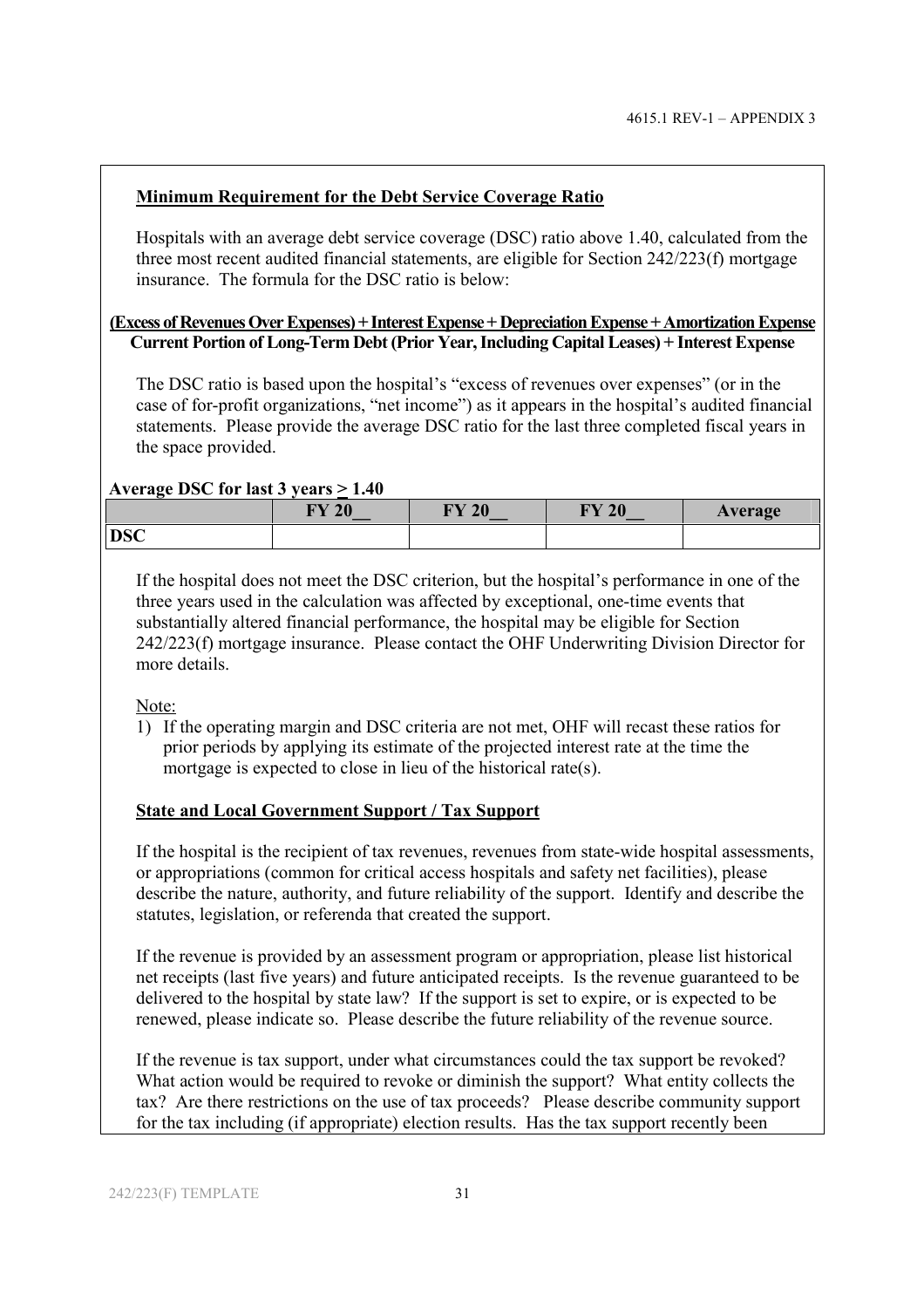# **Minimum Requirement for the Debt Service Coverage Ratio**

Hospitals with an average debt service coverage (DSC) ratio above 1.40, calculated from the three most recent audited financial statements, are eligible for Section 242/223(f) mortgage insurance. The formula for the DSC ratio is below:

#### **(Excess of Revenues Over Expenses) + Interest Expense+ DepreciationExpense + Amortization Expense Current Portion of Long-Term Debt (Prior Year, Including Capital Leases) + Interest Expense**

The DSC ratio is based upon the hospital's "excess of revenues over expenses" (or in the case of for-profit organizations, "net income") as it appears in the hospital's audited financial statements. Please provide the average DSC ratio for the last three completed fiscal years in the space provided.

#### **Average DSC for last 3 years > 1.40**

|                      | EVZ 90<br>ZU | <b>FY 20</b> | <b>FY 20</b> | <b>Average</b> |
|----------------------|--------------|--------------|--------------|----------------|
| $\mathbf{nc}$<br>Dəc |              |              |              |                |

If the hospital does not meet the DSC criterion, but the hospital's performance in one of the three years used in the calculation was affected by exceptional, one-time events that substantially altered financial performance, the hospital may be eligible for Section 242/223(f) mortgage insurance. Please contact the OHF Underwriting Division Director for more details.

Note:

1) If the operating margin and DSC criteria are not met, OHF will recast these ratios for prior periods by applying its estimate of the projected interest rate at the time the mortgage is expected to close in lieu of the historical rate(s).

# **State and Local Government Support / Tax Support**

If the hospital is the recipient of tax revenues, revenues from state-wide hospital assessments, or appropriations (common for critical access hospitals and safety net facilities), please describe the nature, authority, and future reliability of the support. Identify and describe the statutes, legislation, or referenda that created the support.

If the revenue is provided by an assessment program or appropriation, please list historical net receipts (last five years) and future anticipated receipts. Is the revenue guaranteed to be delivered to the hospital by state law? If the support is set to expire, or is expected to be renewed, please indicate so. Please describe the future reliability of the revenue source.

If the revenue is tax support, under what circumstances could the tax support be revoked? What action would be required to revoke or diminish the support? What entity collects the tax? Are there restrictions on the use of tax proceeds? Please describe community support for the tax including (if appropriate) election results. Has the tax support recently been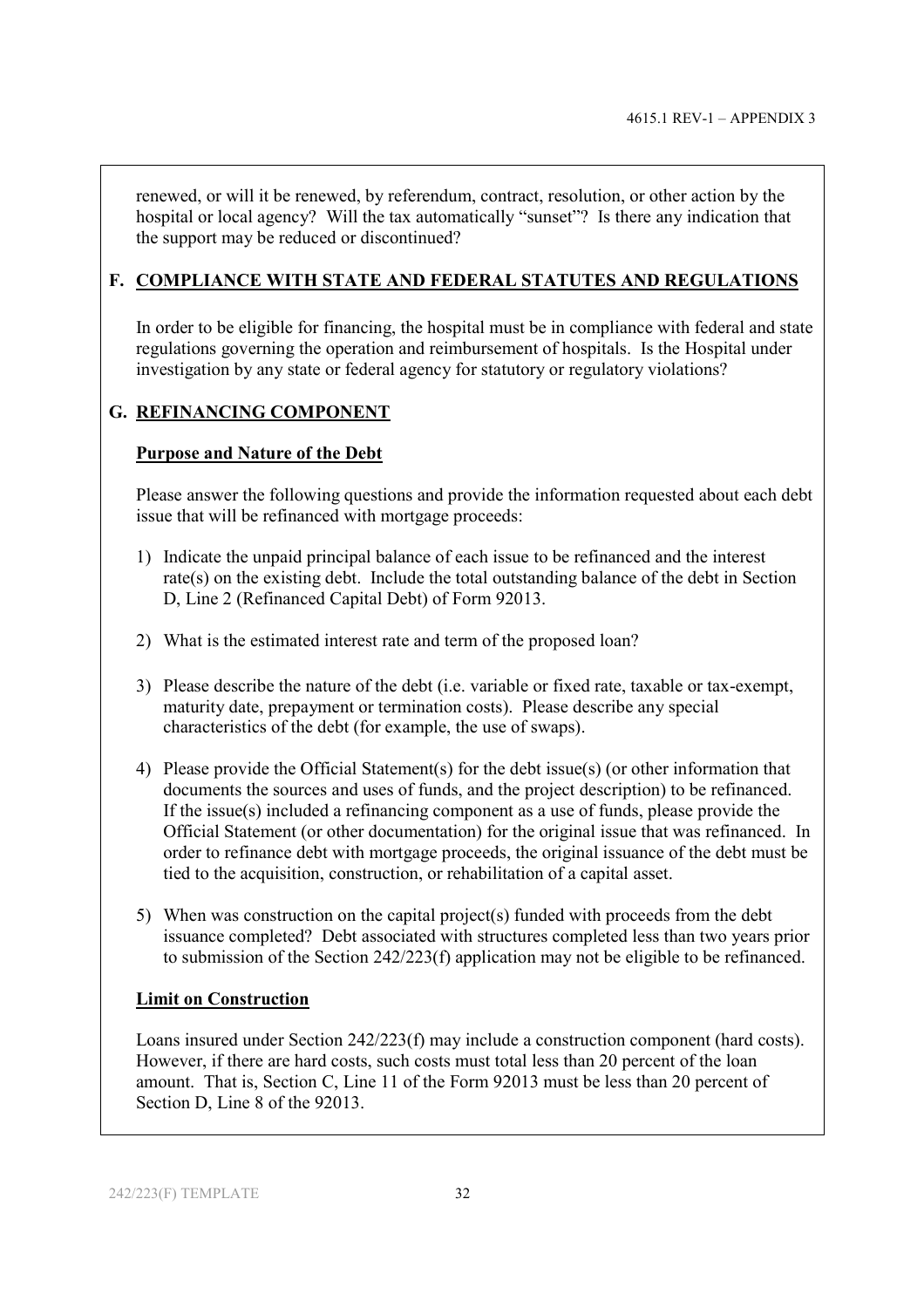renewed, or will it be renewed, by referendum, contract, resolution, or other action by the hospital or local agency? Will the tax automatically "sunset"? Is there any indication that the support may be reduced or discontinued?

### **F. COMPLIANCE WITH STATE AND FEDERAL STATUTES AND REGULATIONS**

In order to be eligible for financing, the hospital must be in compliance with federal and state regulations governing the operation and reimbursement of hospitals. Is the Hospital under investigation by any state or federal agency for statutory or regulatory violations?

### **G. REFINANCING COMPONENT**

#### **Purpose and Nature of the Debt**

Please answer the following questions and provide the information requested about each debt issue that will be refinanced with mortgage proceeds:

- 1) Indicate the unpaid principal balance of each issue to be refinanced and the interest rate(s) on the existing debt. Include the total outstanding balance of the debt in Section D, Line 2 (Refinanced Capital Debt) of Form 92013.
- 2) What is the estimated interest rate and term of the proposed loan?
- 3) Please describe the nature of the debt (i.e. variable or fixed rate, taxable or tax-exempt, maturity date, prepayment or termination costs). Please describe any special characteristics of the debt (for example, the use of swaps).
- 4) Please provide the Official Statement(s) for the debt issue(s) (or other information that documents the sources and uses of funds, and the project description) to be refinanced. If the issue(s) included a refinancing component as a use of funds, please provide the Official Statement (or other documentation) for the original issue that was refinanced. In order to refinance debt with mortgage proceeds, the original issuance of the debt must be tied to the acquisition, construction, or rehabilitation of a capital asset.
- 5) When was construction on the capital project(s) funded with proceeds from the debt issuance completed? Debt associated with structures completed less than two years prior to submission of the Section 242/223(f) application may not be eligible to be refinanced.

#### **Limit on Construction**

Loans insured under Section 242/223(f) may include a construction component (hard costs). However, if there are hard costs, such costs must total less than 20 percent of the loan amount. That is, Section C, Line 11 of the Form 92013 must be less than 20 percent of Section D, Line 8 of the 92013.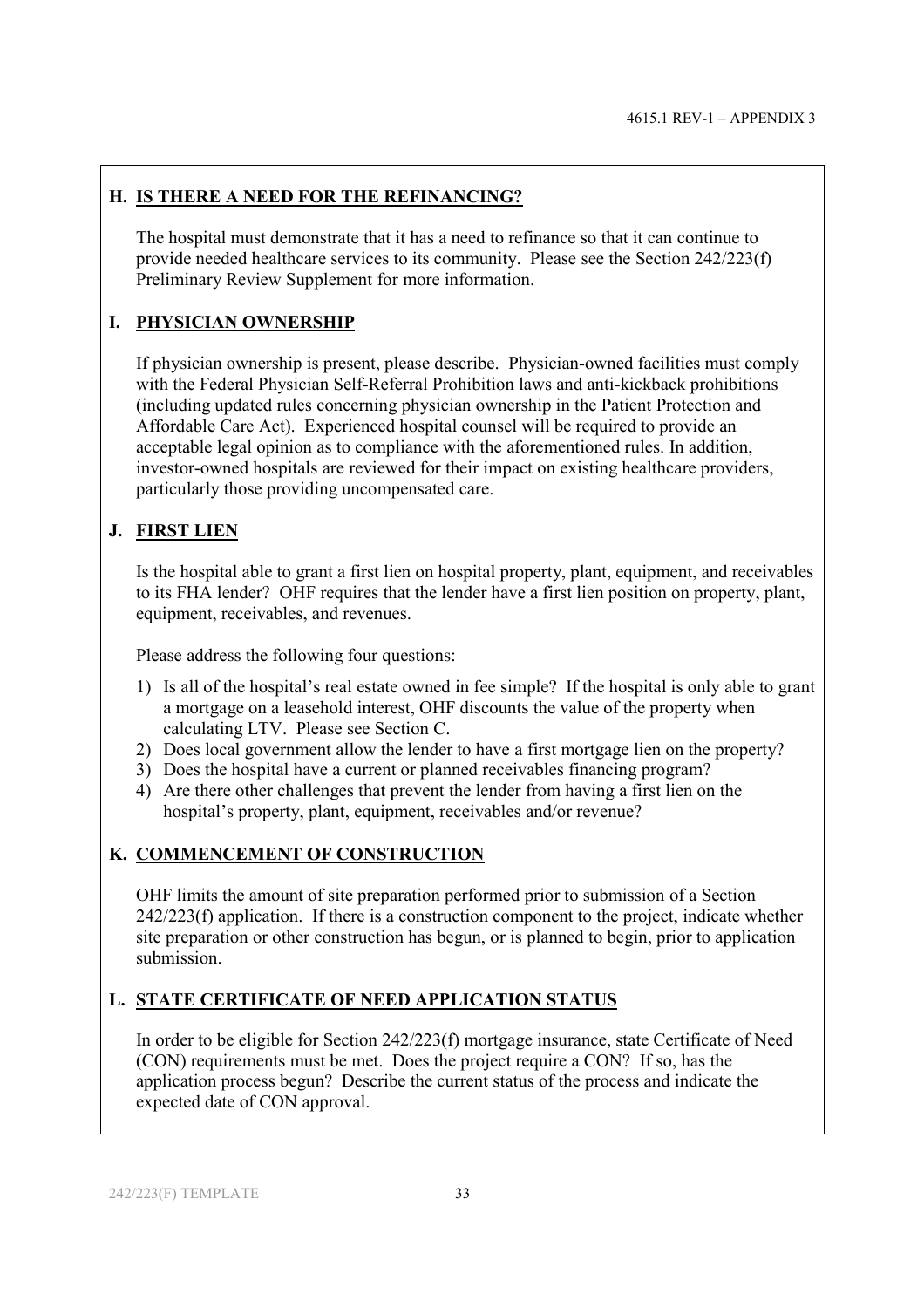# **H. IS THERE A NEED FOR THE REFINANCING?**

The hospital must demonstrate that it has a need to refinance so that it can continue to provide needed healthcare services to its community. Please see the Section 242/223(f) Preliminary Review Supplement for more information.

# **I. PHYSICIAN OWNERSHIP**

If physician ownership is present, please describe. Physician-owned facilities must comply with the Federal Physician Self-Referral Prohibition laws and anti-kickback prohibitions (including updated rules concerning physician ownership in the Patient Protection and Affordable Care Act). Experienced hospital counsel will be required to provide an acceptable legal opinion as to compliance with the aforementioned rules. In addition, investor-owned hospitals are reviewed for their impact on existing healthcare providers, particularly those providing uncompensated care.

# **J. FIRST LIEN**

Is the hospital able to grant a first lien on hospital property, plant, equipment, and receivables to its FHA lender? OHF requires that the lender have a first lien position on property, plant, equipment, receivables, and revenues.

Please address the following four questions:

- 1) Is all of the hospital's real estate owned in fee simple? If the hospital is only able to grant a mortgage on a leasehold interest, OHF discounts the value of the property when calculating LTV. Please see Section C.
- 2) Does local government allow the lender to have a first mortgage lien on the property?
- 3) Does the hospital have a current or planned receivables financing program?
- 4) Are there other challenges that prevent the lender from having a first lien on the hospital's property, plant, equipment, receivables and/or revenue?

# **K. COMMENCEMENT OF CONSTRUCTION**

OHF limits the amount of site preparation performed prior to submission of a Section 242/223(f) application. If there is a construction component to the project, indicate whether site preparation or other construction has begun, or is planned to begin, prior to application submission.

# **L. STATE CERTIFICATE OF NEED APPLICATION STATUS**

In order to be eligible for Section 242/223(f) mortgage insurance, state Certificate of Need (CON) requirements must be met. Does the project require a CON? If so, has the application process begun? Describe the current status of the process and indicate the expected date of CON approval.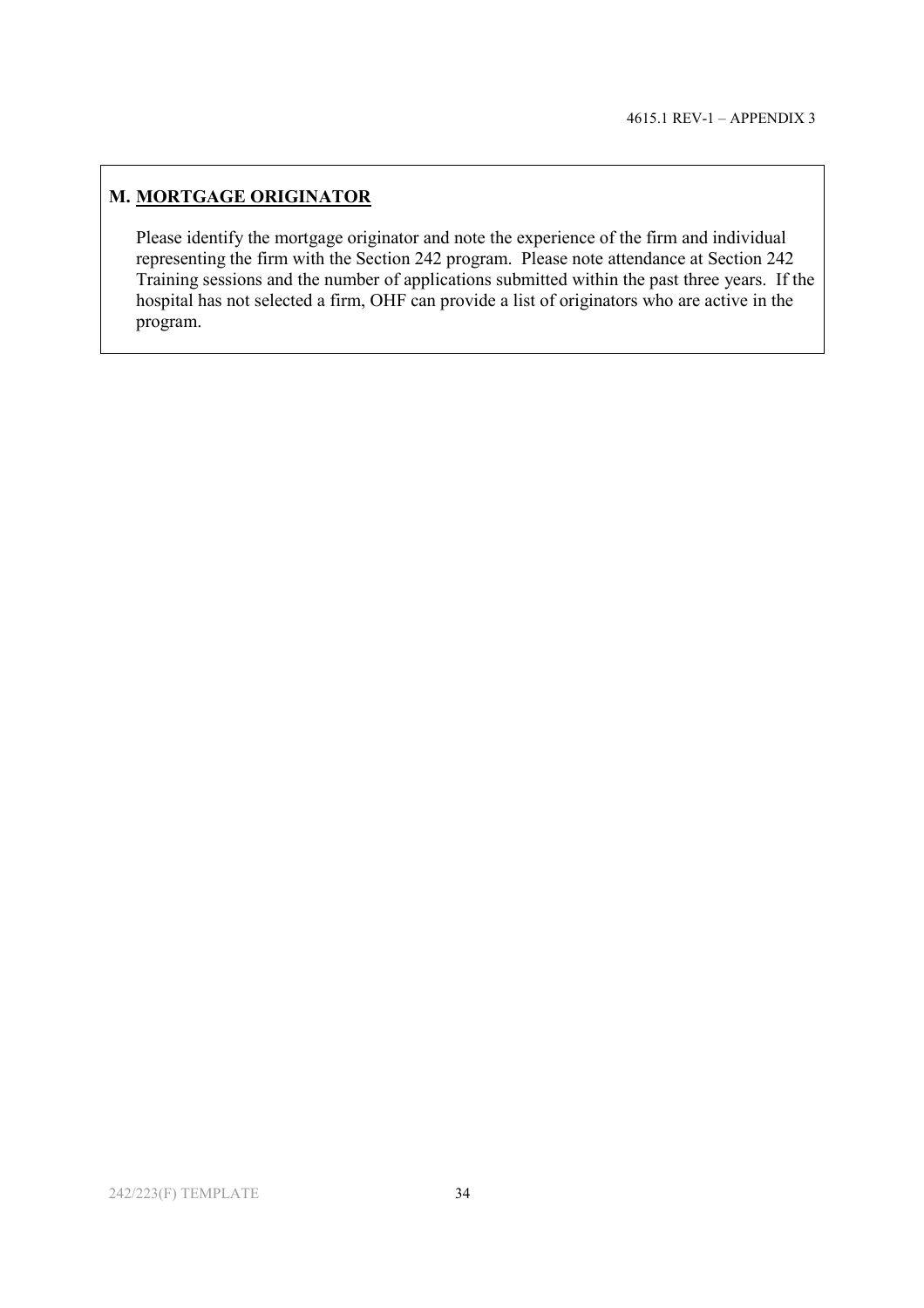## **M. MORTGAGE ORIGINATOR**

Please identify the mortgage originator and note the experience of the firm and individual representing the firm with the Section 242 program. Please note attendance at Section 242 Training sessions and the number of applications submitted within the past three years. If the hospital has not selected a firm, OHF can provide a list of originators who are active in the program.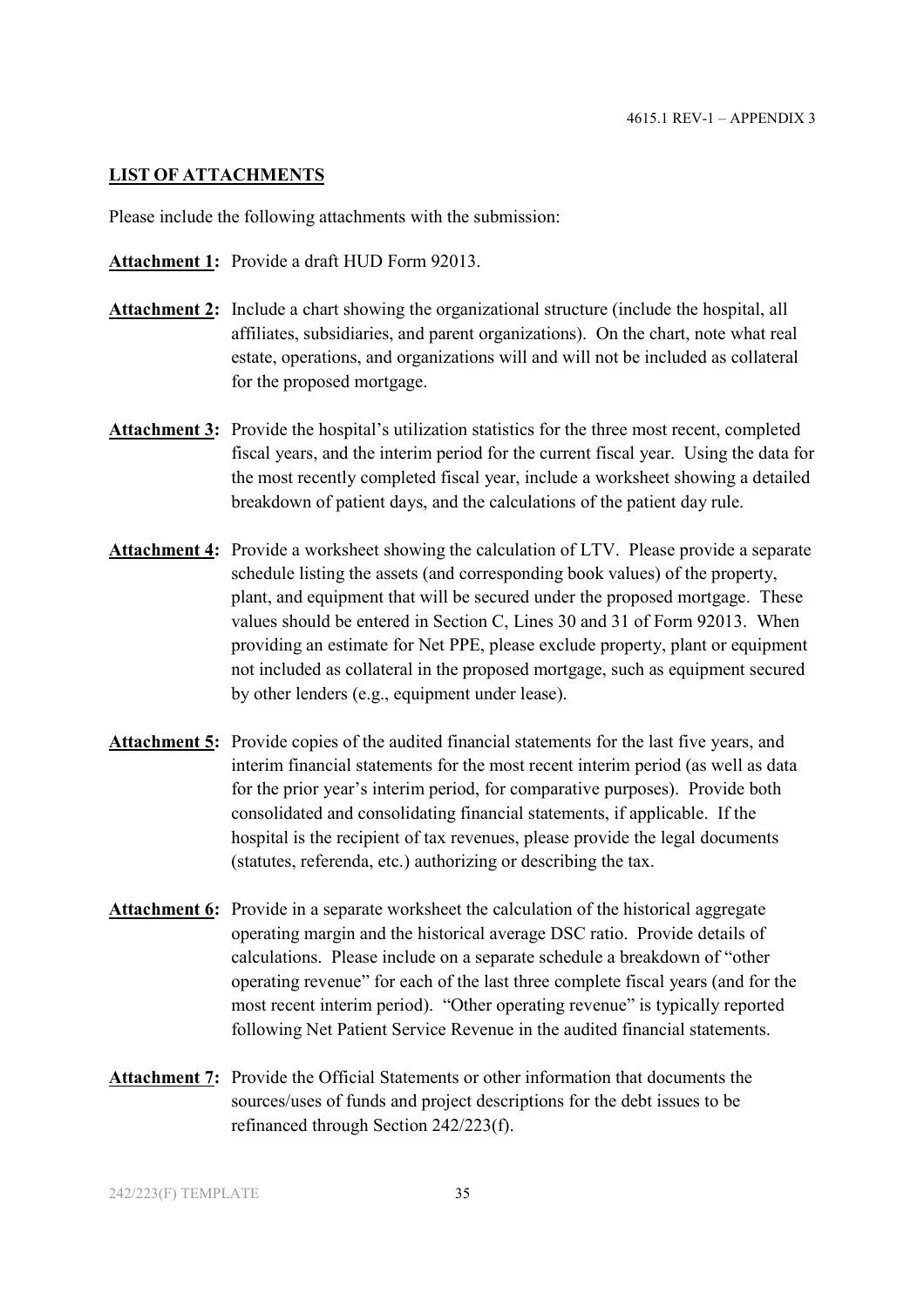#### **LIST OF ATTACHMENTS**

Please include the following attachments with the submission:

- **Attachment 1:** Provide a draft HUD Form 92013.
- **Attachment 2:** Include a chart showing the organizational structure (include the hospital, all affiliates, subsidiaries, and parent organizations). On the chart, note what real estate, operations, and organizations will and will not be included as collateral for the proposed mortgage.
- **Attachment 3:** Provide the hospital's utilization statistics for the three most recent, completed fiscal years, and the interim period for the current fiscal year. Using the data for the most recently completed fiscal year, include a worksheet showing a detailed breakdown of patient days, and the calculations of the patient day rule.
- **Attachment 4:** Provide a worksheet showing the calculation of LTV. Please provide a separate schedule listing the assets (and corresponding book values) of the property, plant, and equipment that will be secured under the proposed mortgage. These values should be entered in Section C, Lines 30 and 31 of Form 92013. When providing an estimate for Net PPE, please exclude property, plant or equipment not included as collateral in the proposed mortgage, such as equipment secured by other lenders (e.g., equipment under lease).
- **Attachment 5:** Provide copies of the audited financial statements for the last five years, and interim financial statements for the most recent interim period (as well as data for the prior year's interim period, for comparative purposes). Provide both consolidated and consolidating financial statements, if applicable. If the hospital is the recipient of tax revenues, please provide the legal documents (statutes, referenda, etc.) authorizing or describing the tax.
- **Attachment 6:** Provide in a separate worksheet the calculation of the historical aggregate operating margin and the historical average DSC ratio. Provide details of calculations. Please include on a separate schedule a breakdown of "other operating revenue" for each of the last three complete fiscal years (and for the most recent interim period). "Other operating revenue" is typically reported following Net Patient Service Revenue in the audited financial statements.
- **Attachment 7:** Provide the Official Statements or other information that documents the sources/uses of funds and project descriptions for the debt issues to be refinanced through Section 242/223(f).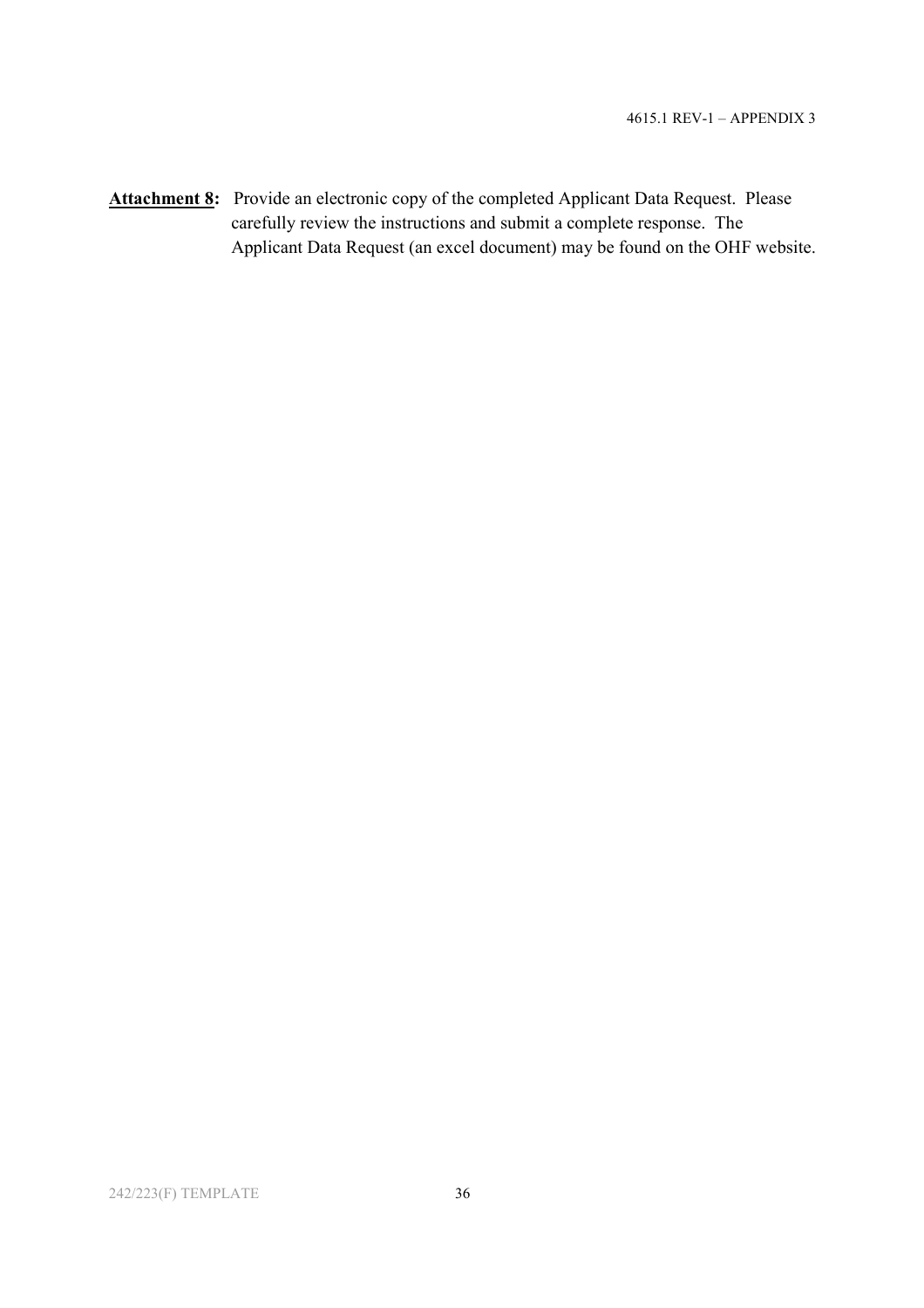**Attachment 8:** Provide an electronic copy of the completed Applicant Data Request. Please carefully review the instructions and submit a complete response. The Applicant Data Request (an excel document) may be found on the OHF website.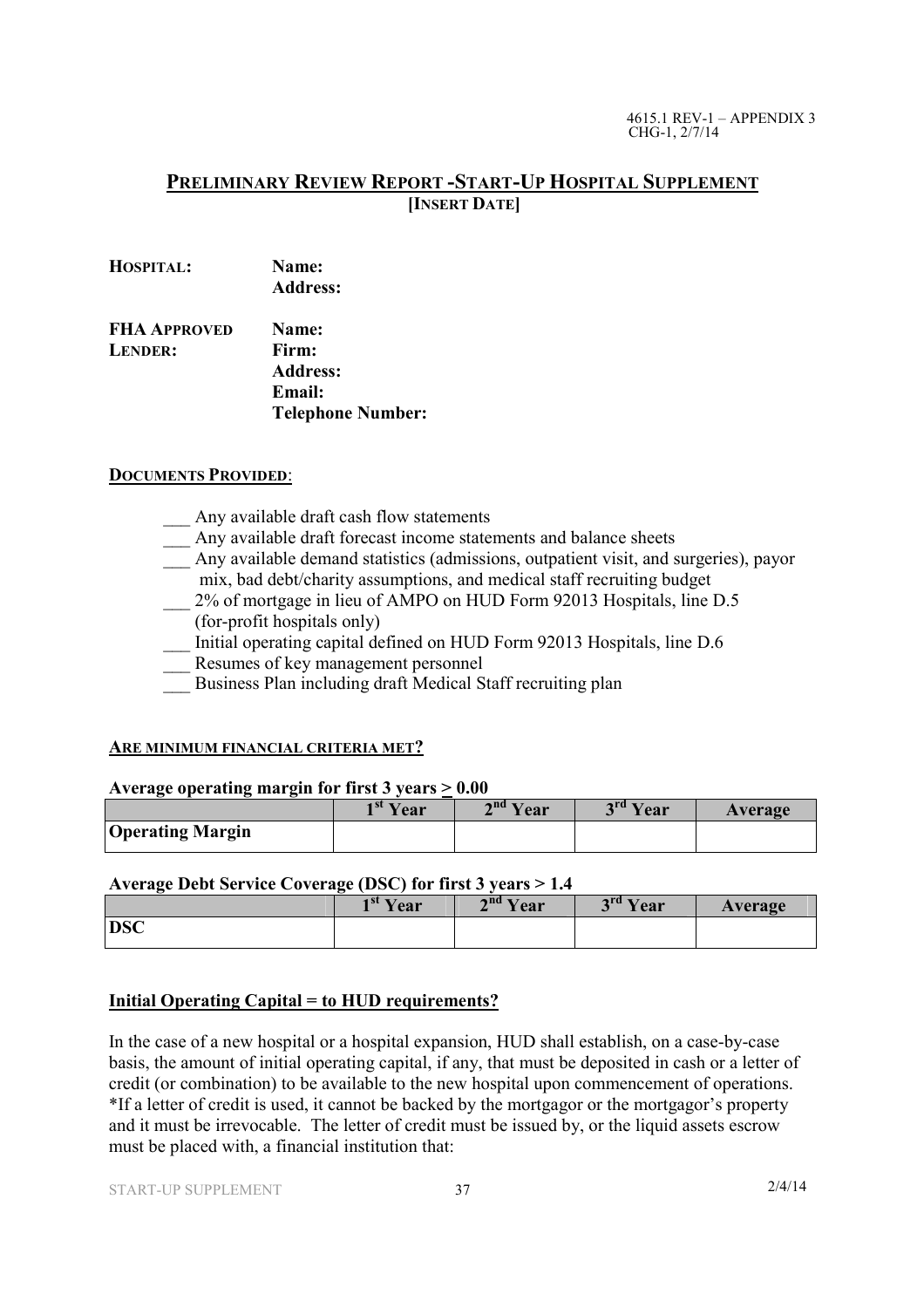4615.1 REV-1 – APPENDIX 3 CHG-1, 2/7/14

## **PRELIMINARY REVIEW REPORT -START-UP HOSPITAL SUPPLEMENT [INSERT DATE]**

**HOSPITAL: Name: Address:**

**FHA APPROVED Name: LENDER: Firm: Address: Email: Telephone Number:**

#### **DOCUMENTS PROVIDED**:

- \_\_\_ Any available draft cash flow statements
- \_\_\_ Any available draft forecast income statements and balance sheets
- \_\_\_ Any available demand statistics (admissions, outpatient visit, and surgeries), payor mix, bad debt/charity assumptions, and medical staff recruiting budget
- \_\_\_ 2% of mortgage in lieu of AMPO on HUD Form 92013 Hospitals, line D.5 (for-profit hospitals only)
- \_\_\_ Initial operating capital defined on HUD Form 92013 Hospitals, line D.6
- Resumes of key management personnel
- \_\_\_ Business Plan including draft Medical Staff recruiting plan

#### **ARE MINIMUM FINANCIAL CRITERIA MET?**

#### Average operating margin for first  $3 \text{ years} \geq 0.00$

|                         | $\overline{\phantom{a}}^{\text{st}}$ Year | $\sim$ <sup>nd</sup> Year | $\overline{\phantom{a}}^{\text{1}}$ Year | Average |
|-------------------------|-------------------------------------------|---------------------------|------------------------------------------|---------|
| <b>Operating Margin</b> |                                           |                           |                                          |         |

#### **Average Debt Service Coverage (DSC) for first 3 years > 1.4**

|            | 1 St $\mathbf{v}$<br>∟ear | $\mathbf{a}$ <sup>nd</sup> Year | $\overline{\phantom{a}}$ <sup>rd</sup> Year | Average |
|------------|---------------------------|---------------------------------|---------------------------------------------|---------|
| <b>DSC</b> |                           |                                 |                                             |         |

#### **Initial Operating Capital = to HUD requirements?**

In the case of a new hospital or a hospital expansion, HUD shall establish, on a case-by-case basis, the amount of initial operating capital, if any, that must be deposited in cash or a letter of credit (or combination) to be available to the new hospital upon commencement of operations. \*If a letter of credit is used, it cannot be backed by the mortgagor or the mortgagor's property and it must be irrevocable. The letter of credit must be issued by, or the liquid assets escrow must be placed with, a financial institution that: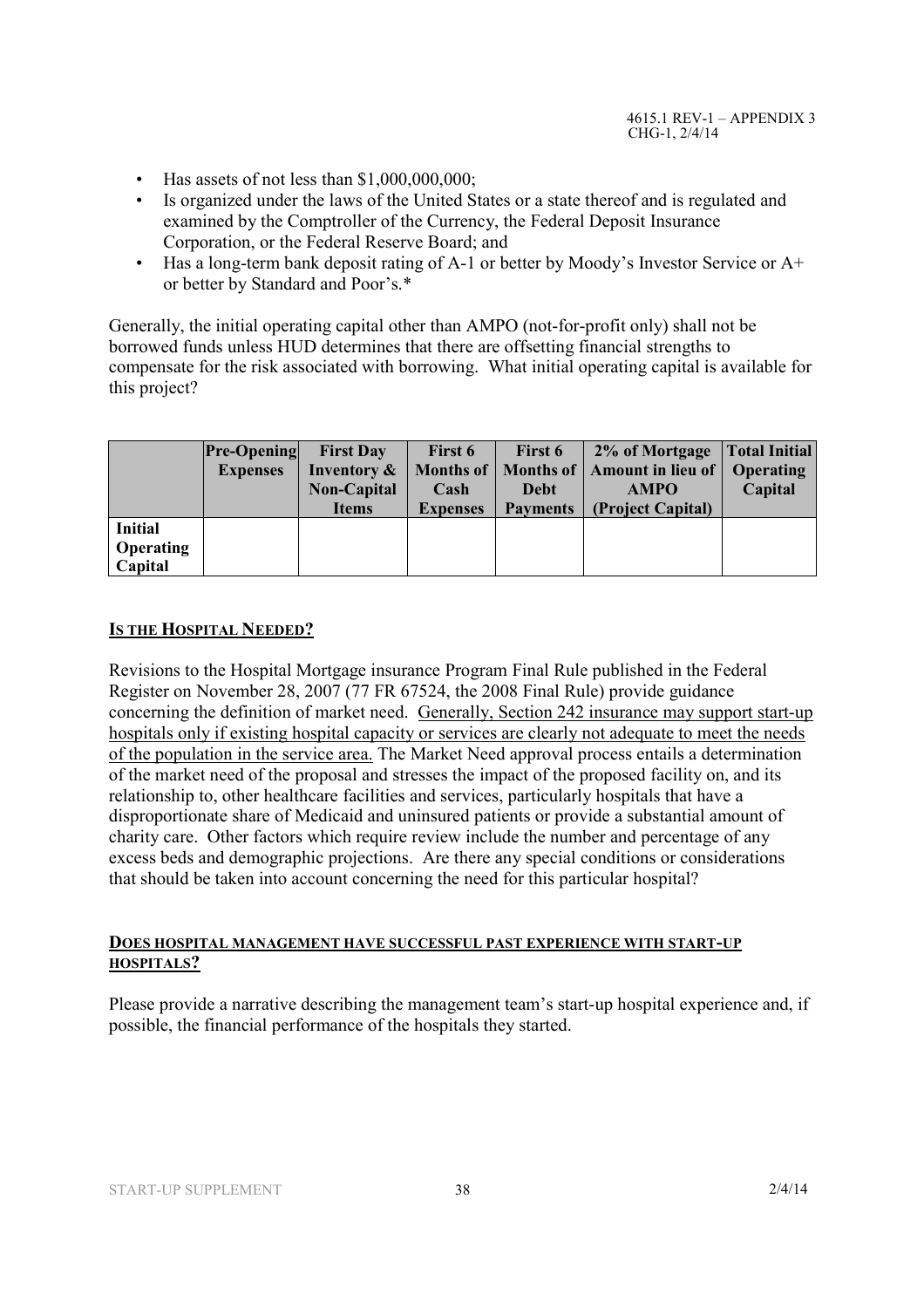- Has assets of not less than  $$1,000,000,000;$
- Is organized under the laws of the United States or a state thereof and is regulated and examined by the Comptroller of the Currency, the Federal Deposit Insurance Corporation, or the Federal Reserve Board; and
- Has a long-term bank deposit rating of A-1 or better by Moody's Investor Service or A+ or better by Standard and Poor's.\*

Generally, the initial operating capital other than AMPO (not-for-profit only) shall not be borrowed funds unless HUD determines that there are offsetting financial strengths to compensate for the risk associated with borrowing. What initial operating capital is available for this project?

|                  | <b>Pre-Opening</b> | <b>First Day</b>   | First 6         | First 6         | 2% of Mortgage Total Initial                          |         |
|------------------|--------------------|--------------------|-----------------|-----------------|-------------------------------------------------------|---------|
|                  | <b>Expenses</b>    | Inventory $\&$     |                 |                 | Months of   Months of   Amount in lieu of   Operating |         |
|                  |                    | <b>Non-Capital</b> | Cash            | <b>Debt</b>     | <b>AMPO</b>                                           | Capital |
|                  |                    | <b>Items</b>       | <b>Expenses</b> | <b>Payments</b> | (Project Capital)                                     |         |
| <b>Initial</b>   |                    |                    |                 |                 |                                                       |         |
| <b>Operating</b> |                    |                    |                 |                 |                                                       |         |
| Capital          |                    |                    |                 |                 |                                                       |         |

### **IS THE HOSPITAL NEEDED?**

Revisions to the Hospital Mortgage insurance Program Final Rule published in the Federal Register on November 28, 2007 (77 FR 67524, the 2008 Final Rule) provide guidance concerning the definition of market need. Generally, Section 242 insurance may support start-up hospitals only if existing hospital capacity or services are clearly not adequate to meet the needs of the population in the service area. The Market Need approval process entails a determination of the market need of the proposal and stresses the impact of the proposed facility on, and its relationship to, other healthcare facilities and services, particularly hospitals that have a disproportionate share of Medicaid and uninsured patients or provide a substantial amount of charity care. Other factors which require review include the number and percentage of any excess beds and demographic projections. Are there any special conditions or considerations that should be taken into account concerning the need for this particular hospital?

#### **DOES HOSPITAL MANAGEMENT HAVE SUCCESSFUL PAST EXPERIENCE WITH START-UP HOSPITALS?**

Please provide a narrative describing the management team's start-up hospital experience and, if possible, the financial performance of the hospitals they started.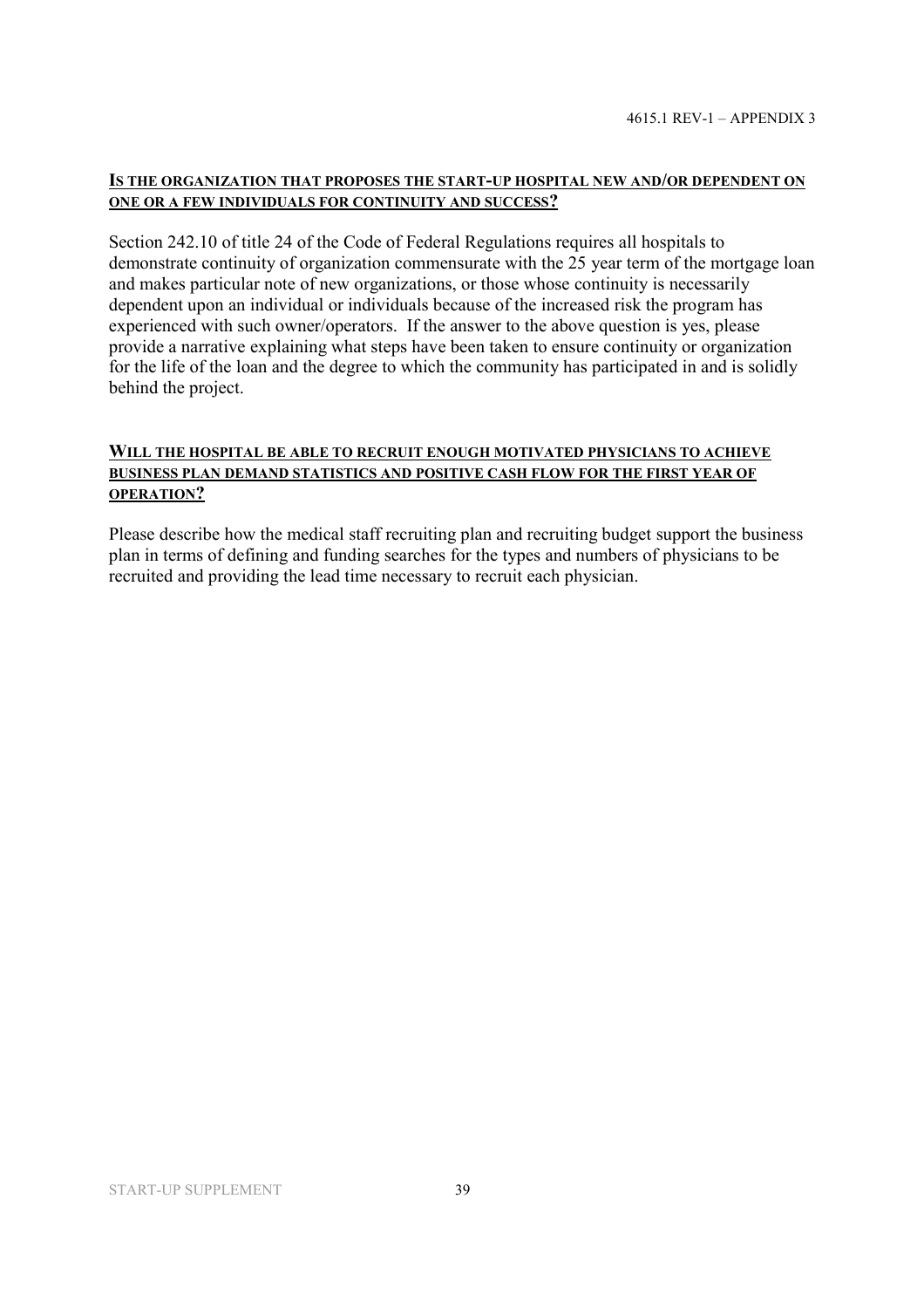#### **IS THE ORGANIZATION THAT PROPOSES THE START-UP HOSPITAL NEW AND/OR DEPENDENT ON ONE OR A FEW INDIVIDUALS FOR CONTINUITY AND SUCCESS?**

Section 242.10 of title 24 of the Code of Federal Regulations requires all hospitals to demonstrate continuity of organization commensurate with the 25 year term of the mortgage loan and makes particular note of new organizations, or those whose continuity is necessarily dependent upon an individual or individuals because of the increased risk the program has experienced with such owner/operators. If the answer to the above question is yes, please provide a narrative explaining what steps have been taken to ensure continuity or organization for the life of the loan and the degree to which the community has participated in and is solidly behind the project.

#### **WILL THE HOSPITAL BE ABLE TO RECRUIT ENOUGH MOTIVATED PHYSICIANS TO ACHIEVE BUSINESS PLAN DEMAND STATISTICS AND POSITIVE CASH FLOW FOR THE FIRST YEAR OF OPERATION?**

Please describe how the medical staff recruiting plan and recruiting budget support the business plan in terms of defining and funding searches for the types and numbers of physicians to be recruited and providing the lead time necessary to recruit each physician.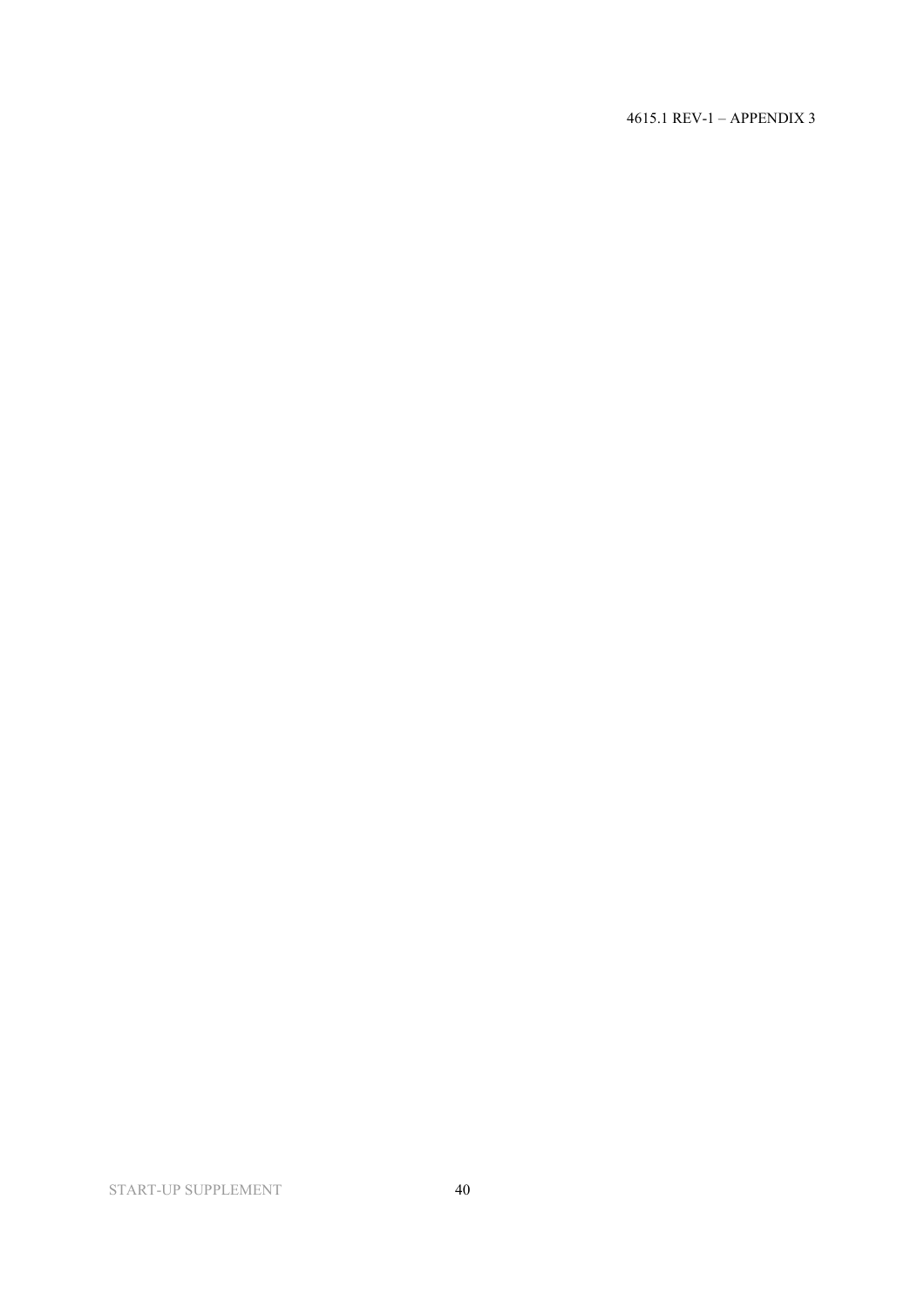#### 4615.1 REV-1 – APPENDIX 3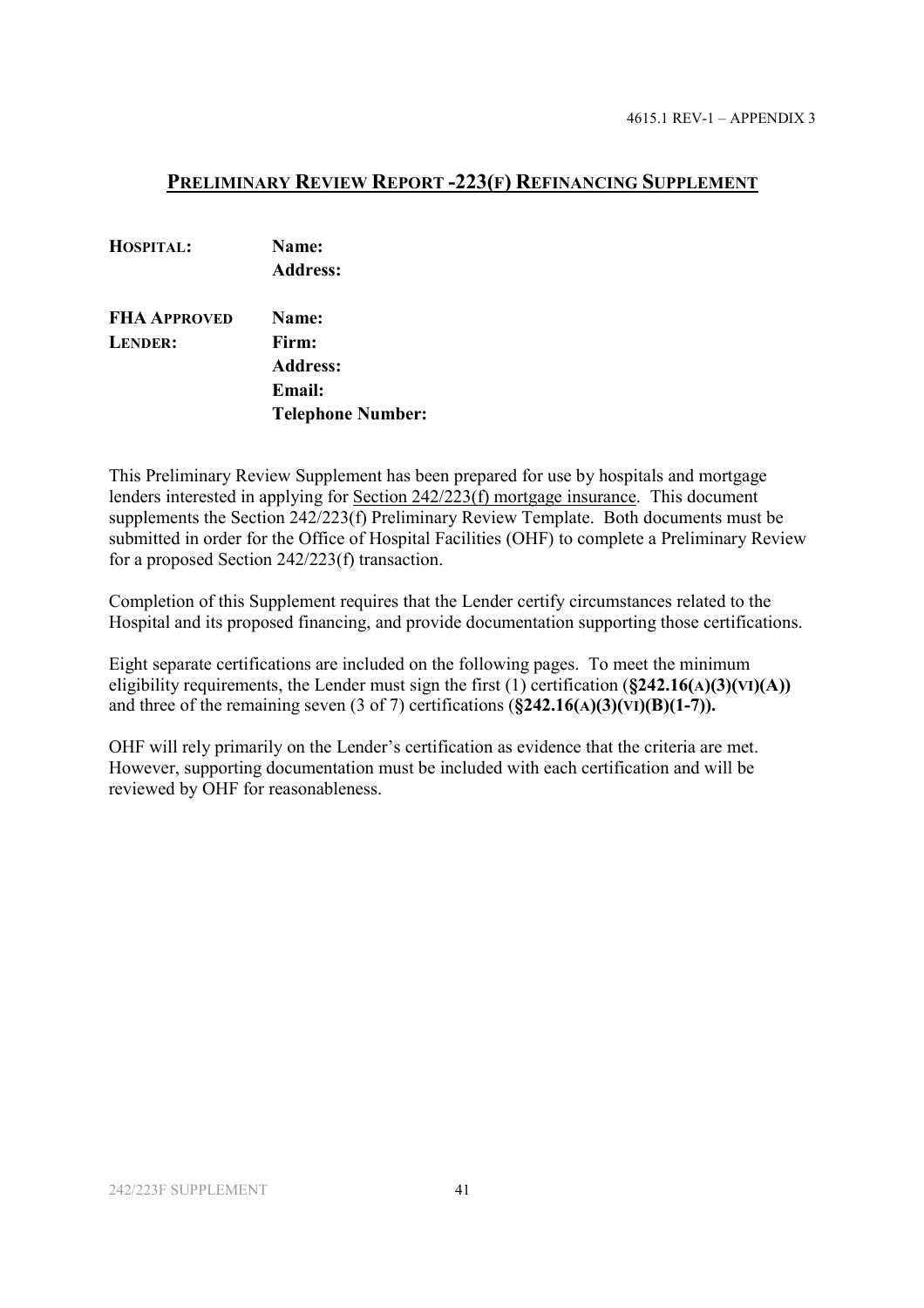# **PRELIMINARY REVIEW REPORT -223(F) REFINANCING SUPPLEMENT**

| <b>HOSPITAL:</b>    | Name:                    |
|---------------------|--------------------------|
|                     | <b>Address:</b>          |
| <b>FHA APPROVED</b> | Name:                    |
| LENDER:             | Firm:                    |
|                     | <b>Address:</b>          |
|                     | <b>Email:</b>            |
|                     | <b>Telephone Number:</b> |

This Preliminary Review Supplement has been prepared for use by hospitals and mortgage lenders interested in applying for Section 242/223(f) mortgage insurance. This document supplements the Section 242/223(f) Preliminary Review Template. Both documents must be submitted in order for the Office of Hospital Facilities (OHF) to complete a Preliminary Review for a proposed Section 242/223(f) transaction.

Completion of this Supplement requires that the Lender certify circumstances related to the Hospital and its proposed financing, and provide documentation supporting those certifications.

Eight separate certifications are included on the following pages. To meet the minimum eligibility requirements, the Lender must sign the first (1) certification (**§242.16(A)(3)(VI)(A))** and three of the remaining seven  $(3 \text{ of } 7)$  certifications  $(\$242.16(A)(3)(\text{VI})(B)(1-7))$ .

OHF will rely primarily on the Lender's certification as evidence that the criteria are met. However, supporting documentation must be included with each certification and will be reviewed by OHF for reasonableness.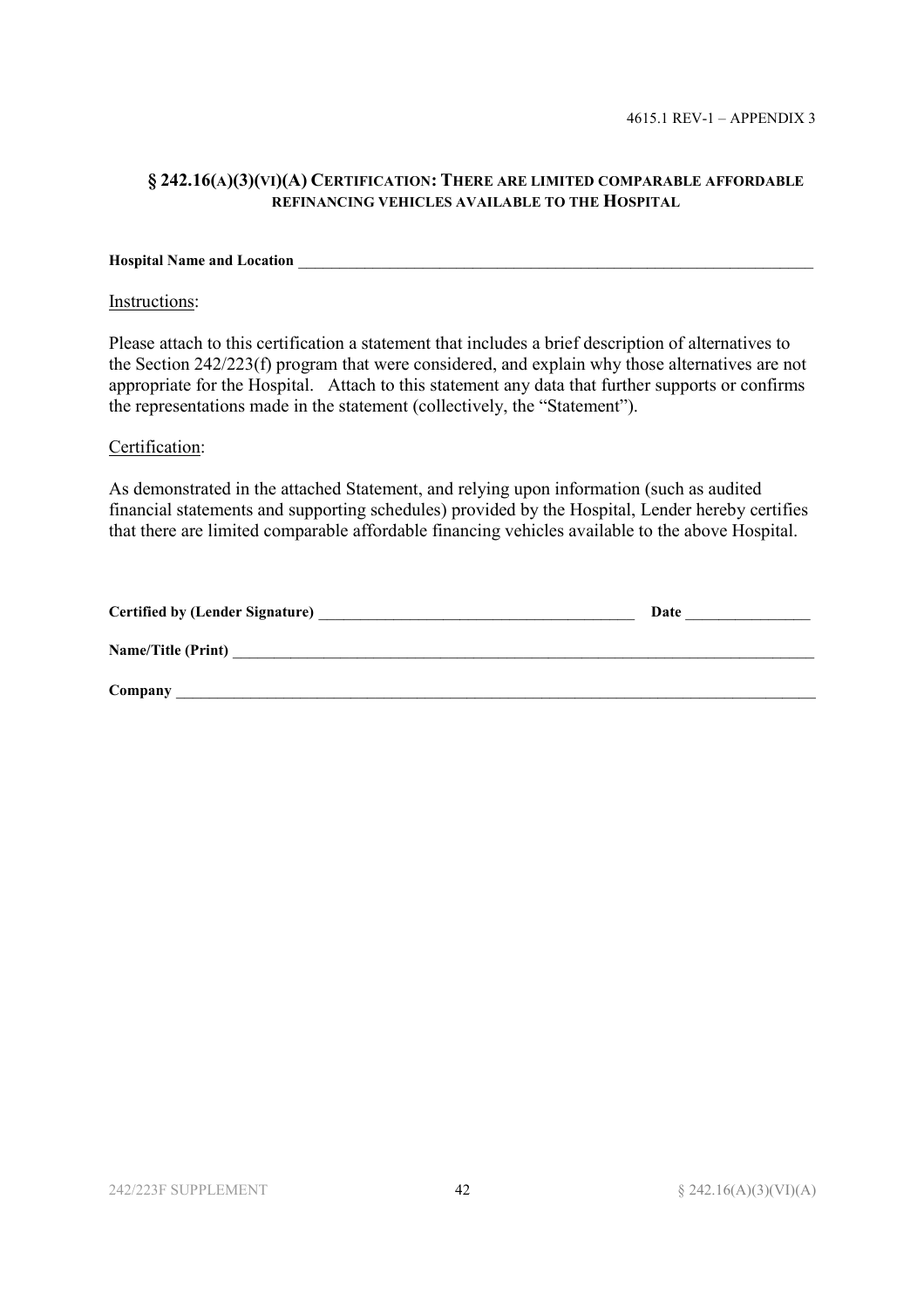4615.1 REV-1 – APPENDIX 3

#### **§ 242.16(A)(3)(VI)(A) CERTIFICATION: THERE ARE LIMITED COMPARABLE AFFORDABLE REFINANCING VEHICLES AVAILABLE TO THE HOSPITAL**

#### **Hospital Name and Location Letters Letters Letters Letters Letters**

#### Instructions:

Please attach to this certification a statement that includes a brief description of alternatives to the Section 242/223(f) program that were considered, and explain why those alternatives are not appropriate for the Hospital. Attach to this statement any data that further supports or confirms the representations made in the statement (collectively, the "Statement").

#### Certification:

As demonstrated in the attached Statement, and relying upon information (such as audited financial statements and supporting schedules) provided by the Hospital, Lender hereby certifies that there are limited comparable affordable financing vehicles available to the above Hospital.

| <b>Certified by (Lender Signature)</b> | Date |
|----------------------------------------|------|
| <b>Name/Title (Print)</b>              |      |
| Company                                |      |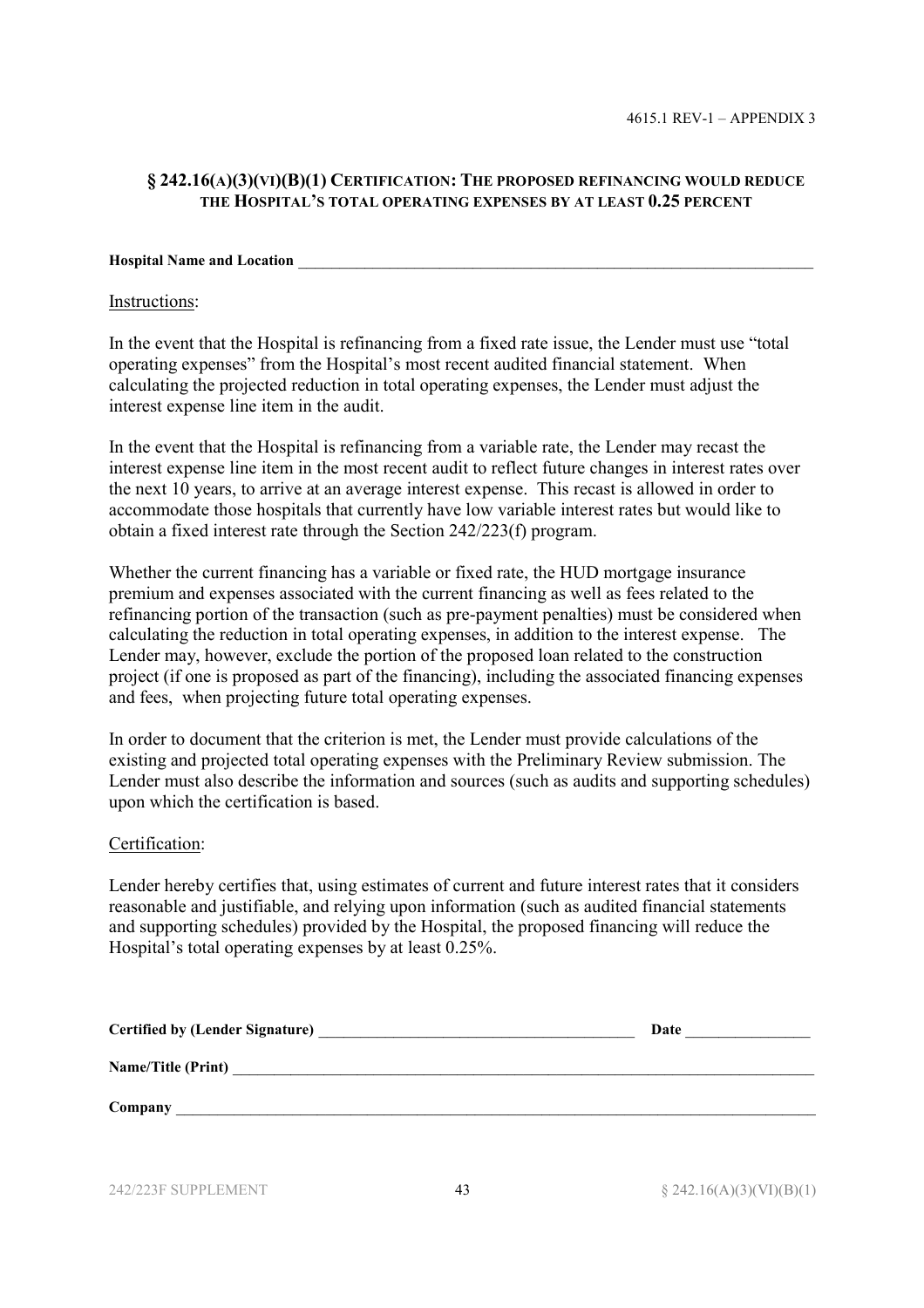#### **§ 242.16(A)(3)(VI)(B)(1) CERTIFICATION: THE PROPOSED REFINANCING WOULD REDUCE THE HOSPITAL'S TOTAL OPERATING EXPENSES BY AT LEAST 0.25 PERCENT**

#### **Hospital Name and Location**

#### Instructions:

In the event that the Hospital is refinancing from a fixed rate issue, the Lender must use "total operating expenses" from the Hospital's most recent audited financial statement. When calculating the projected reduction in total operating expenses, the Lender must adjust the interest expense line item in the audit.

In the event that the Hospital is refinancing from a variable rate, the Lender may recast the interest expense line item in the most recent audit to reflect future changes in interest rates over the next 10 years, to arrive at an average interest expense. This recast is allowed in order to accommodate those hospitals that currently have low variable interest rates but would like to obtain a fixed interest rate through the Section 242/223(f) program.

Whether the current financing has a variable or fixed rate, the HUD mortgage insurance premium and expenses associated with the current financing as well as fees related to the refinancing portion of the transaction (such as pre-payment penalties) must be considered when calculating the reduction in total operating expenses, in addition to the interest expense. The Lender may, however, exclude the portion of the proposed loan related to the construction project (if one is proposed as part of the financing), including the associated financing expenses and fees, when projecting future total operating expenses.

In order to document that the criterion is met, the Lender must provide calculations of the existing and projected total operating expenses with the Preliminary Review submission. The Lender must also describe the information and sources (such as audits and supporting schedules) upon which the certification is based.

#### Certification:

Lender hereby certifies that, using estimates of current and future interest rates that it considers reasonable and justifiable, and relying upon information (such as audited financial statements and supporting schedules) provided by the Hospital, the proposed financing will reduce the Hospital's total operating expenses by at least 0.25%.

| <b>Certified by (Lender Signature)</b> | Date |
|----------------------------------------|------|
| <b>Name/Title (Print)</b>              |      |
| Company                                |      |
|                                        |      |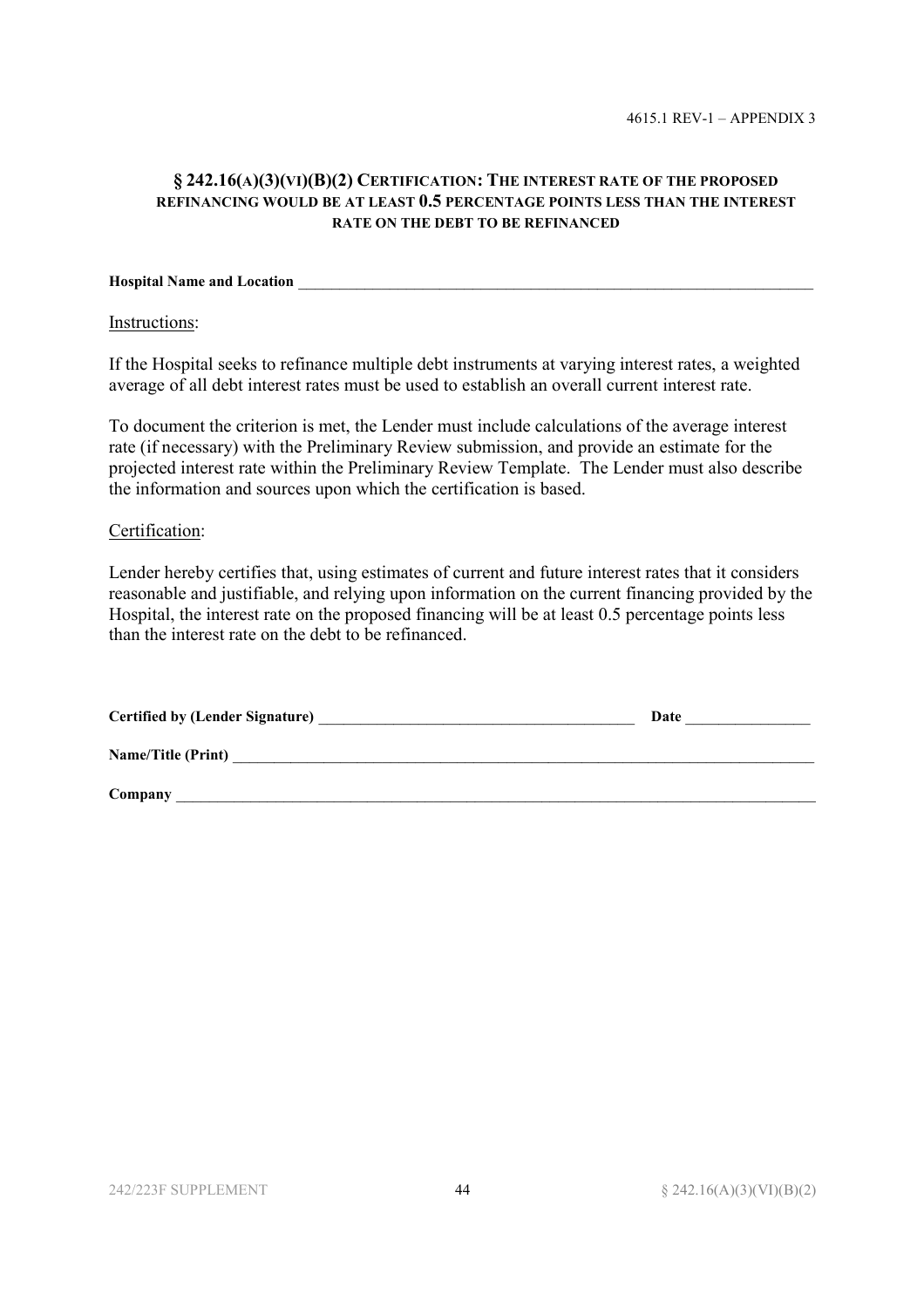4615.1 REV-1 – APPENDIX 3

#### **§ 242.16(A)(3)(VI)(B)(2) CERTIFICATION: THE INTEREST RATE OF THE PROPOSED REFINANCING WOULD BE AT LEAST 0.5 PERCENTAGE POINTS LESS THAN THE INTEREST RATE ON THE DEBT TO BE REFINANCED**

#### **Hospital Name and Location**

Instructions:

If the Hospital seeks to refinance multiple debt instruments at varying interest rates, a weighted average of all debt interest rates must be used to establish an overall current interest rate.

To document the criterion is met, the Lender must include calculations of the average interest rate (if necessary) with the Preliminary Review submission, and provide an estimate for the projected interest rate within the Preliminary Review Template. The Lender must also describe the information and sources upon which the certification is based.

#### Certification:

Lender hereby certifies that, using estimates of current and future interest rates that it considers reasonable and justifiable, and relying upon information on the current financing provided by the Hospital, the interest rate on the proposed financing will be at least 0.5 percentage points less than the interest rate on the debt to be refinanced.

| <b>Certified by (Lender Signature)</b> | Date |  |
|----------------------------------------|------|--|
| <b>Name/Title (Print)</b>              |      |  |
| Company                                |      |  |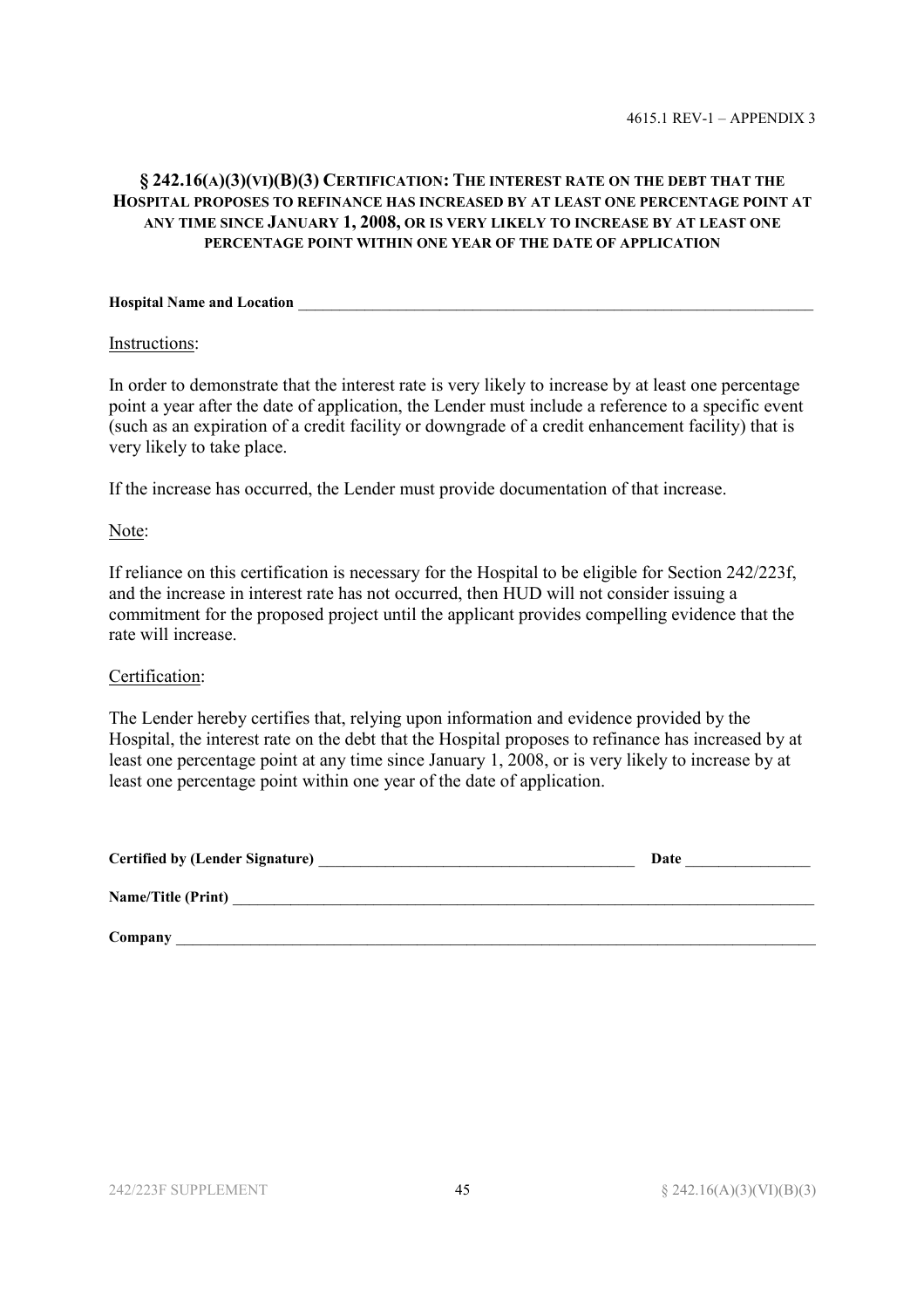#### **§ 242.16(A)(3)(VI)(B)(3) CERTIFICATION: THE INTEREST RATE ON THE DEBT THAT THE HOSPITAL PROPOSES TO REFINANCE HAS INCREASED BY AT LEAST ONE PERCENTAGE POINT AT ANY TIME SINCE JANUARY 1, 2008, OR IS VERY LIKELY TO INCREASE BY AT LEAST ONE PERCENTAGE POINT WITHIN ONE YEAR OF THE DATE OF APPLICATION**

#### **Hospital Name and Location Letters Letters Letters Letters Letters Letters**

#### Instructions:

In order to demonstrate that the interest rate is very likely to increase by at least one percentage point a year after the date of application, the Lender must include a reference to a specific event (such as an expiration of a credit facility or downgrade of a credit enhancement facility) that is very likely to take place.

If the increase has occurred, the Lender must provide documentation of that increase.

#### Note:

If reliance on this certification is necessary for the Hospital to be eligible for Section 242/223f, and the increase in interest rate has not occurred, then HUD will not consider issuing a commitment for the proposed project until the applicant provides compelling evidence that the rate will increase.

#### Certification:

The Lender hereby certifies that, relying upon information and evidence provided by the Hospital, the interest rate on the debt that the Hospital proposes to refinance has increased by at least one percentage point at any time since January 1, 2008, or is very likely to increase by at least one percentage point within one year of the date of application.

| <b>Certified by (Lender Signature)</b> | Date |
|----------------------------------------|------|
| <b>Name/Title (Print)</b>              |      |
| Company                                |      |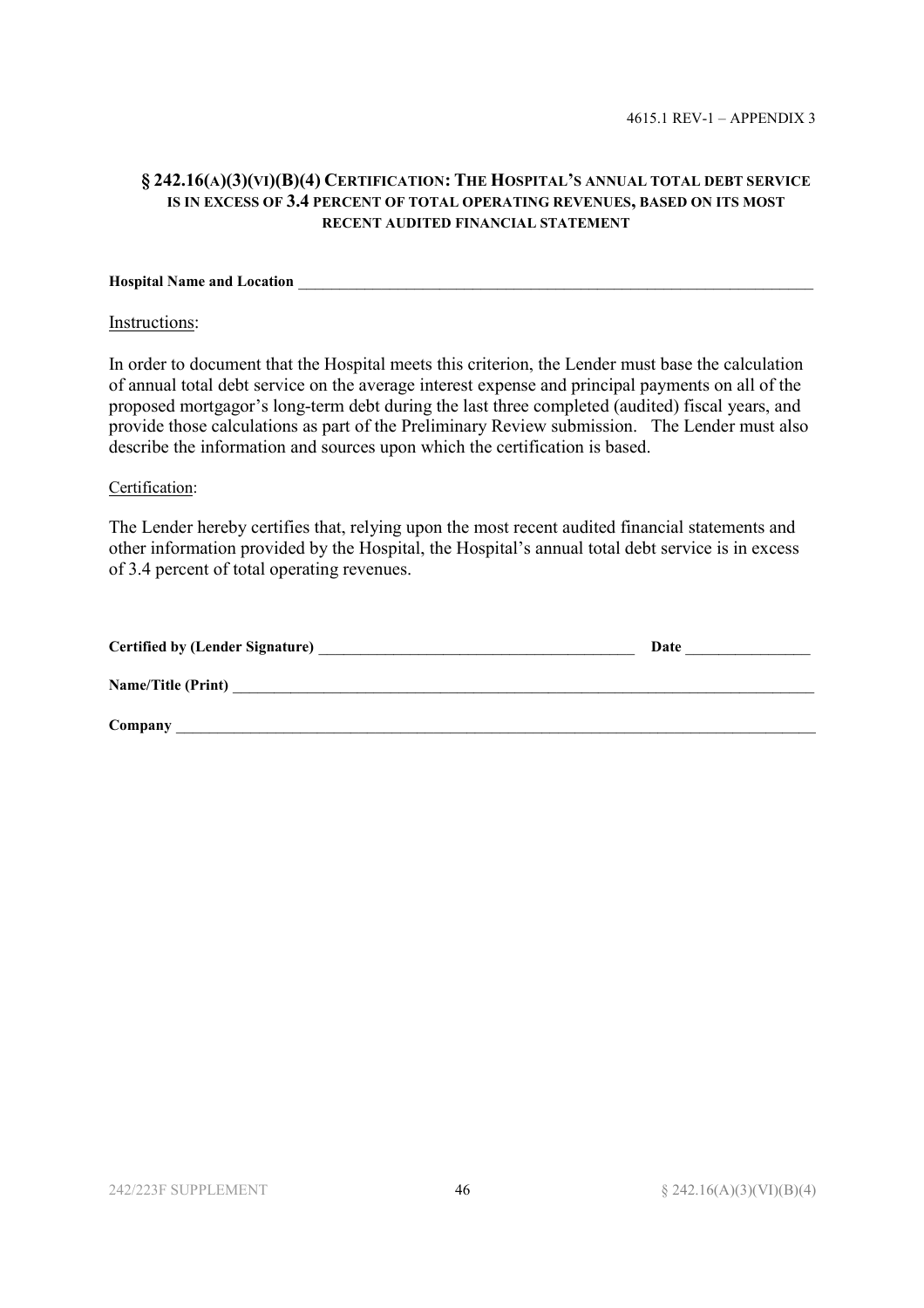4615.1 REV-1 – APPENDIX 3

#### **§ 242.16(A)(3)(VI)(B)(4) CERTIFICATION: THE HOSPITAL'S ANNUAL TOTAL DEBT SERVICE IS IN EXCESS OF 3.4 PERCENT OF TOTAL OPERATING REVENUES, BASED ON ITS MOST RECENT AUDITED FINANCIAL STATEMENT**

#### **Hospital Name and Location**

Instructions:

In order to document that the Hospital meets this criterion, the Lender must base the calculation of annual total debt service on the average interest expense and principal payments on all of the proposed mortgagor's long-term debt during the last three completed (audited) fiscal years, and provide those calculations as part of the Preliminary Review submission. The Lender must also describe the information and sources upon which the certification is based.

#### Certification:

The Lender hereby certifies that, relying upon the most recent audited financial statements and other information provided by the Hospital, the Hospital's annual total debt service is in excess of 3.4 percent of total operating revenues.

| <b>Certified by (Lender Signature)</b> | Date |
|----------------------------------------|------|
| <b>Name/Title (Print)</b>              |      |
| Company                                |      |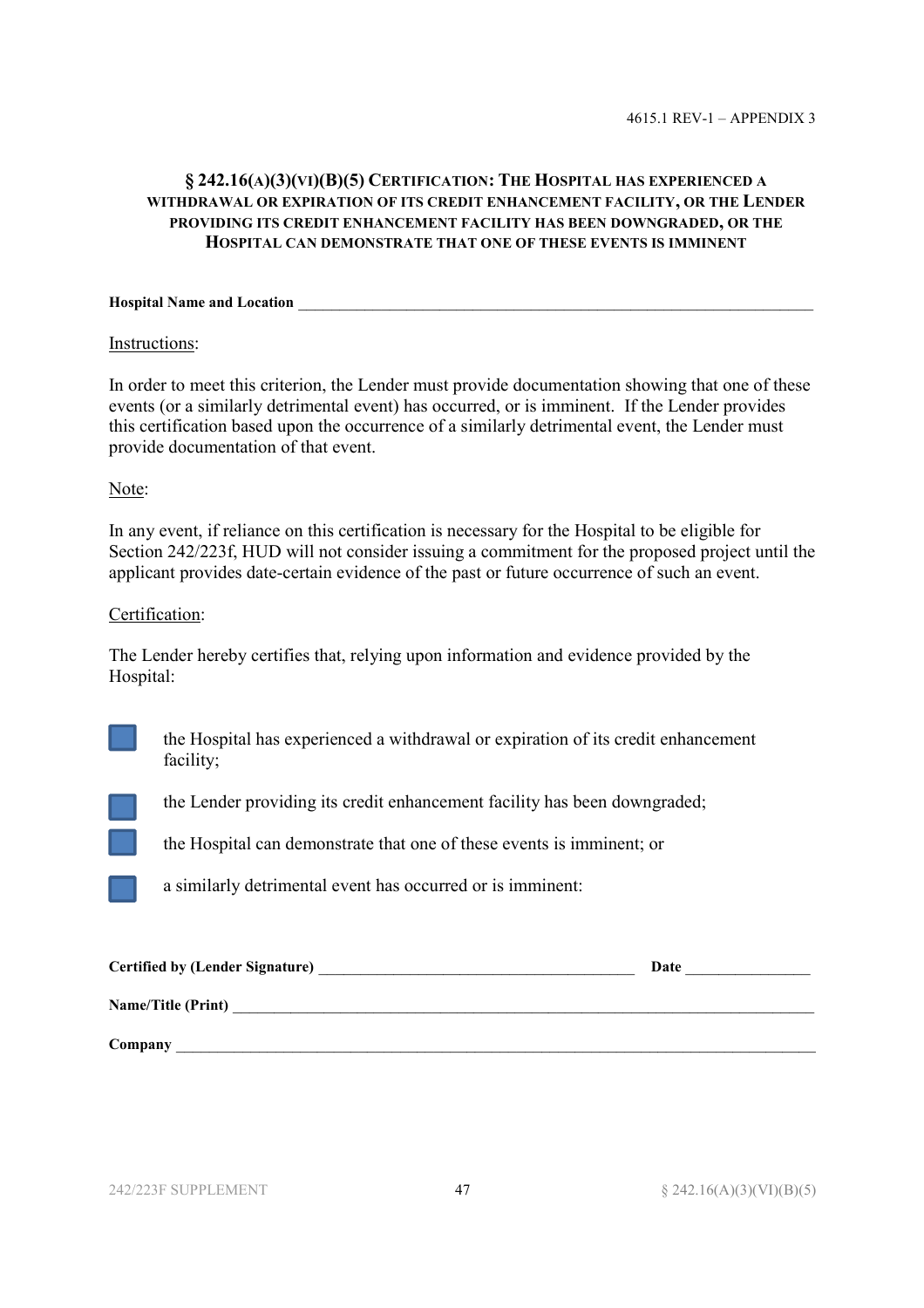#### **§ 242.16(A)(3)(VI)(B)(5) CERTIFICATION: THE HOSPITAL HAS EXPERIENCED A WITHDRAWAL OR EXPIRATION OF ITS CREDIT ENHANCEMENT FACILITY, OR THE LENDER PROVIDING ITS CREDIT ENHANCEMENT FACILITY HAS BEEN DOWNGRADED, OR THE HOSPITAL CAN DEMONSTRATE THAT ONE OF THESE EVENTS IS IMMINENT**

#### **Hospital Name and Location Letters**  $\mathbf{L}$

#### Instructions:

In order to meet this criterion, the Lender must provide documentation showing that one of these events (or a similarly detrimental event) has occurred, or is imminent. If the Lender provides this certification based upon the occurrence of a similarly detrimental event, the Lender must provide documentation of that event.

#### Note:

In any event, if reliance on this certification is necessary for the Hospital to be eligible for Section 242/223f, HUD will not consider issuing a commitment for the proposed project until the applicant provides date-certain evidence of the past or future occurrence of such an event.

#### Certification:

The Lender hereby certifies that, relying upon information and evidence provided by the Hospital:



the Hospital has experienced a withdrawal or expiration of its credit enhancement facility;

the Lender providing its credit enhancement facility has been downgraded;



the Hospital can demonstrate that one of these events is imminent; or



. a similarly detrimental event has occurred or is imminent:

| <b>Certified by (Lender Signature)</b> | Date |
|----------------------------------------|------|
| <b>Name/Title (Print)</b>              |      |
| Company                                |      |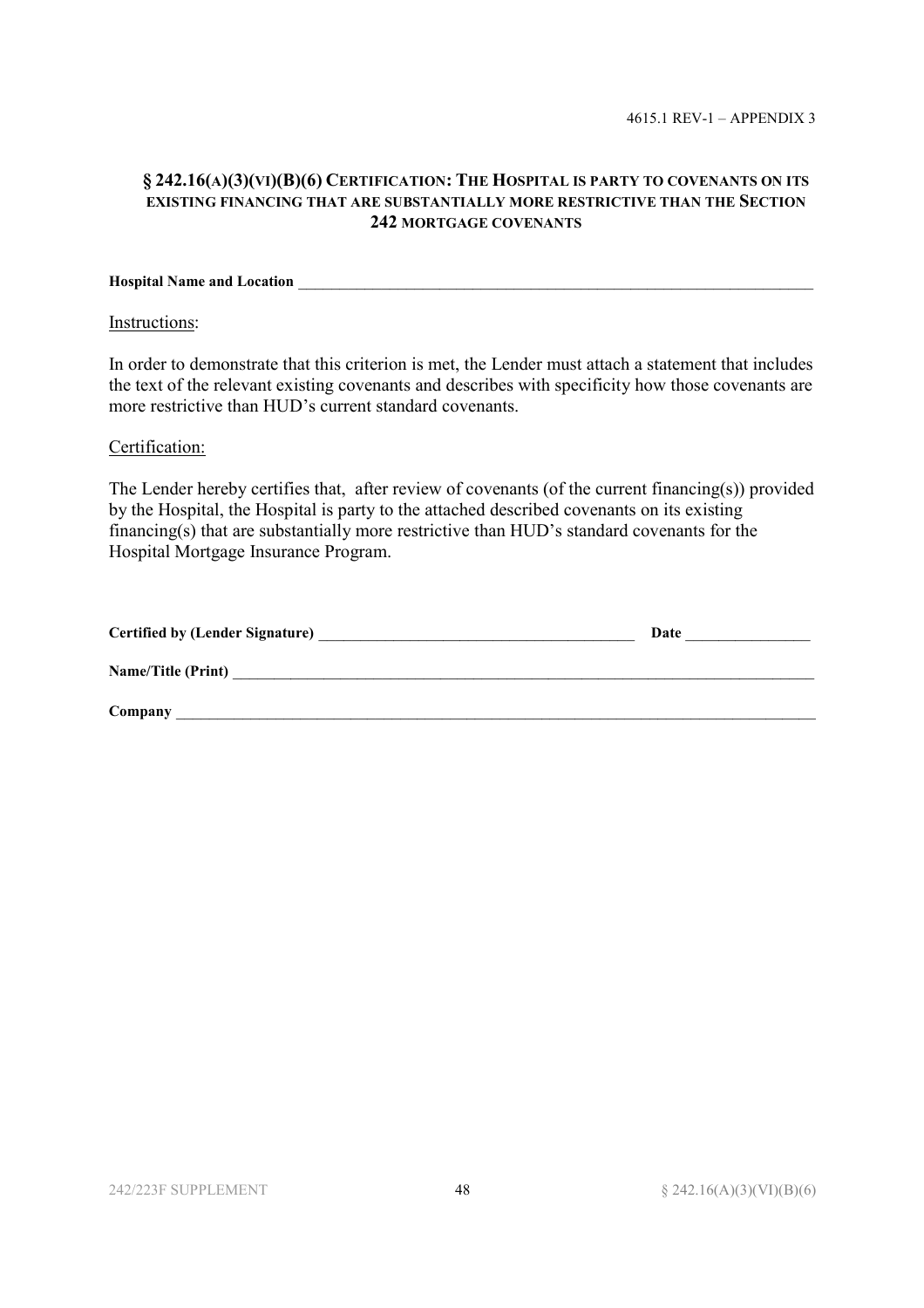4615.1 REV-1 – APPENDIX 3

#### **§ 242.16(A)(3)(VI)(B)(6) CERTIFICATION: THE HOSPITAL IS PARTY TO COVENANTS ON ITS EXISTING FINANCING THAT ARE SUBSTANTIALLY MORE RESTRICTIVE THAN THE SECTION 242 MORTGAGE COVENANTS**

#### **Hospital Name and Location**

#### Instructions:

In order to demonstrate that this criterion is met, the Lender must attach a statement that includes the text of the relevant existing covenants and describes with specificity how those covenants are more restrictive than HUD's current standard covenants.

#### Certification:

The Lender hereby certifies that, after review of covenants (of the current financing(s)) provided by the Hospital, the Hospital is party to the attached described covenants on its existing financing(s) that are substantially more restrictive than HUD's standard covenants for the Hospital Mortgage Insurance Program.

| <b>Certified by (Lender Signature)</b> | Date |
|----------------------------------------|------|
| <b>Name/Title (Print)</b>              |      |
| Company                                |      |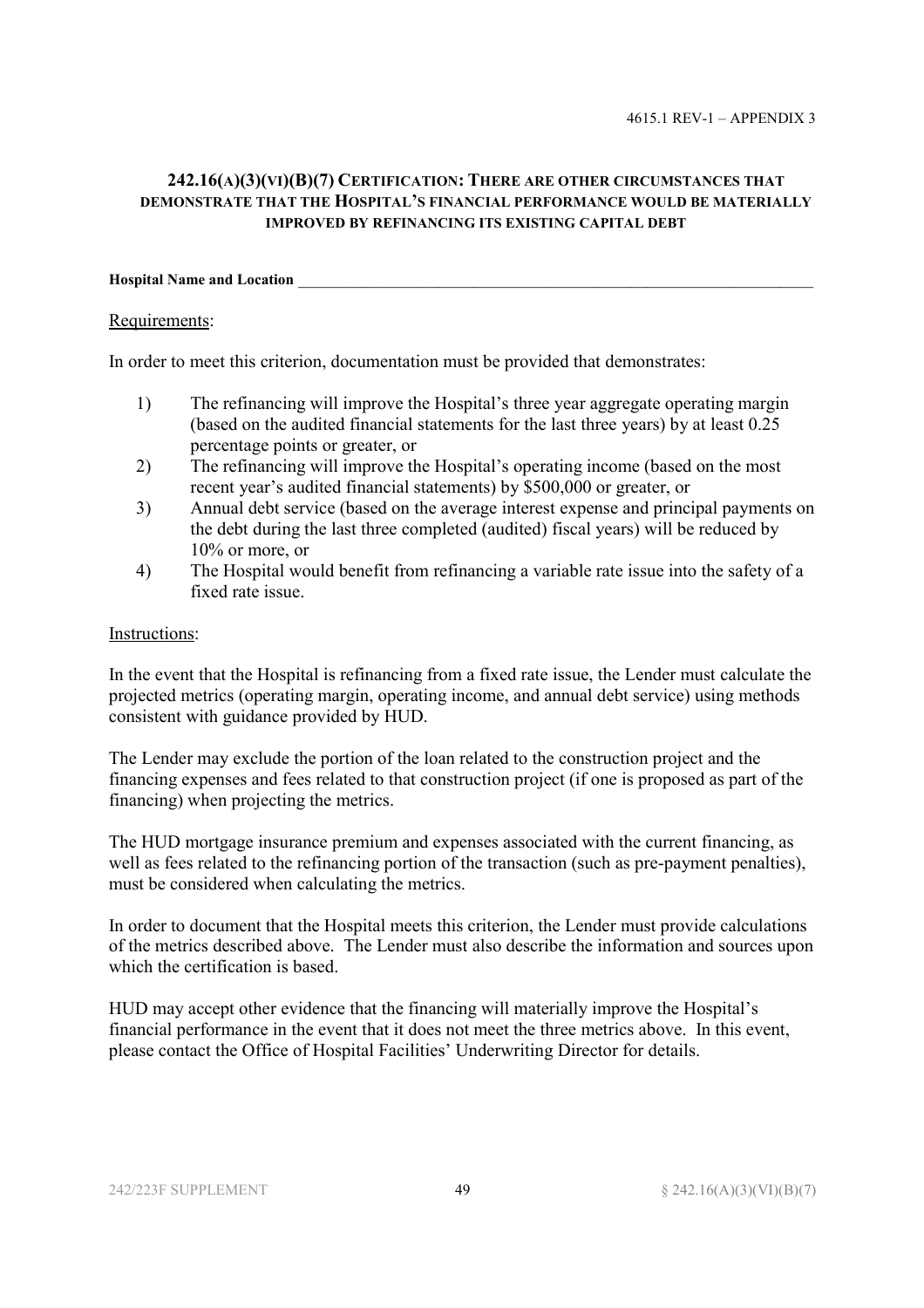4615.1 REV-1 – APPENDIX 3

#### **242.16(A)(3)(VI)(B)(7) CERTIFICATION: THERE ARE OTHER CIRCUMSTANCES THAT DEMONSTRATE THAT THE HOSPITAL'S FINANCIAL PERFORMANCE WOULD BE MATERIALLY IMPROVED BY REFINANCING ITS EXISTING CAPITAL DEBT**

#### **Hospital Name and Location** \_\_\_\_\_\_\_\_\_\_\_\_\_\_\_\_\_\_\_\_\_\_\_\_\_\_\_\_\_\_\_\_\_\_\_\_\_\_\_\_\_\_\_\_\_\_\_\_\_\_\_\_\_\_\_\_\_\_\_\_\_\_

#### Requirements:

In order to meet this criterion, documentation must be provided that demonstrates:

- 1) The refinancing will improve the Hospital's three year aggregate operating margin (based on the audited financial statements for the last three years) by at least 0.25 percentage points or greater, or
- 2) The refinancing will improve the Hospital's operating income (based on the most recent year's audited financial statements) by \$500,000 or greater, or
- 3) Annual debt service (based on the average interest expense and principal payments on the debt during the last three completed (audited) fiscal years) will be reduced by 10% or more, or
- 4) The Hospital would benefit from refinancing a variable rate issue into the safety of a fixed rate issue.

#### Instructions:

In the event that the Hospital is refinancing from a fixed rate issue, the Lender must calculate the projected metrics (operating margin, operating income, and annual debt service) using methods consistent with guidance provided by HUD.

The Lender may exclude the portion of the loan related to the construction project and the financing expenses and fees related to that construction project (if one is proposed as part of the financing) when projecting the metrics.

The HUD mortgage insurance premium and expenses associated with the current financing, as well as fees related to the refinancing portion of the transaction (such as pre-payment penalties), must be considered when calculating the metrics.

In order to document that the Hospital meets this criterion, the Lender must provide calculations of the metrics described above. The Lender must also describe the information and sources upon which the certification is based.

HUD may accept other evidence that the financing will materially improve the Hospital's financial performance in the event that it does not meet the three metrics above. In this event, please contact the Office of Hospital Facilities' Underwriting Director for details.